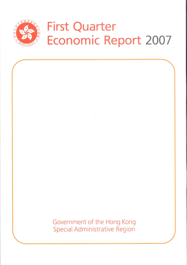

# **First Quarter** Economic Report 2007

ina (19

Government of the Hong Kong **Special Administrative Region**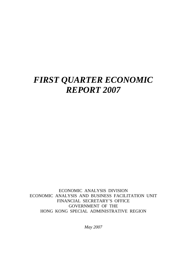# *FIRST QUARTER ECONOMIC REPORT 2007*

ECONOMIC ANALYSIS DIVISION ECONOMIC ANALYSIS AND BUSINESS FACILITATION UNIT FINANCIAL SECRETARY'S OFFICE GOVERNMENT OF THE HONG KONG SPECIAL ADMINISTRATIVE REGION

*May 2007*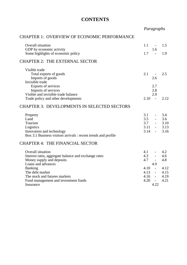# **CONTENTS**

*Paragraphs*

#### CHAPTER 1: OVERVIEW OF ECONOMIC PERFORMANCE

| Overall situation<br>GDP by economic activity                  | 1.1<br>$\sim$<br>1.6           | 1.5  |
|----------------------------------------------------------------|--------------------------------|------|
| Some highlights of economic policy                             | 1.7                            | 1.9  |
| <b>CHAPTER 2: THE EXTERNAL SECTOR</b>                          |                                |      |
| Visible trade                                                  |                                |      |
| Total exports of goods                                         | 2.1                            | 2.5  |
| Imports of goods                                               | 2.6                            |      |
| Invisible trade                                                |                                |      |
| Exports of services                                            | 2.7                            |      |
| Imports of services                                            | 2.8                            |      |
| Visible and invisible trade balance                            | 2.9                            |      |
| Trade policy and other developments                            | 2.10<br>$\sim$                 | 2.12 |
| <b>CHAPTER 3: DEVELOPMENTS IN SELECTED SECTORS</b>             |                                |      |
| Property                                                       | 3.1                            | 3.4  |
| Land                                                           | 3.5                            | 3.6  |
| Tourism                                                        | 3.7                            | 3.10 |
| Logistics                                                      | 3.11<br>$\omega_{\rm{max}}$    | 3.13 |
| Innovation and technology                                      | 3.14<br>$\sim 100$             | 3.16 |
| Box 3.1 Business visitors arrivals : recent trends and profile |                                |      |
| <b>CHAPTER 4: THE FINANCIAL SECTOR</b>                         |                                |      |
| Overall situation                                              | 4.1<br>$\sim 100$ km s $^{-1}$ | 4.2  |
| Interest rates, aggregate balance and exchange rates           | 4.3                            | 4.6  |
| Money supply and deposits                                      | 4.7                            | 4.8  |
| Loans and advances                                             | 4.9                            |      |
| <b>Banking</b>                                                 | 4.10<br>$\sim$                 | 4.12 |
| The debt market                                                | 4.13<br>$\sim$                 | 4.15 |
| The stock and futures markets                                  | 4.16<br>$\overline{a}$         | 4.19 |
| Fund management and investment funds                           | 4.20                           | 4.21 |
| Insurance                                                      | 4.22                           |      |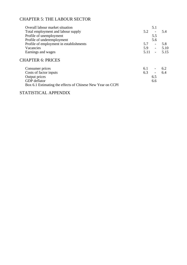# CHAPTER 5: THE LABOUR SECTOR

| Overall labour market situation                            |      | 5.1                      |      |
|------------------------------------------------------------|------|--------------------------|------|
| Total employment and labour supply                         | 5.2  |                          | 5.4  |
| Profile of unemployment                                    |      | 5.5                      |      |
| Profile of underemployment                                 |      | 5.6                      |      |
| Profile of employment in establishments                    | 5.7  | $\overline{\phantom{0}}$ | 5.8  |
| Vacancies                                                  | 5.9  | $\omega_{\rm{max}}$      | 5.10 |
| Earnings and wages                                         | 5.11 | $\Delta \sim 10^4$       | 5.15 |
| <b>CHAPTER 6: PRICES</b>                                   |      |                          |      |
| Consumer prices                                            | 6.1  |                          | 6.2  |
| Costs of factor inputs                                     | 6.3  | $\blacksquare$           | 6.4  |
| Output prices                                              |      | 6.5                      |      |
| GDP deflator                                               |      | 6.6                      |      |
| Box 6.1 Estimating the effects of Chinese New Year on CCPI |      |                          |      |

# STATISTICAL APPENDIX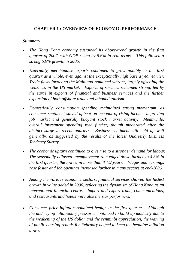# **CHAPTER 1 : OVERVIEW OF ECONOMIC PERFORMANCE**

#### *Summary*

- <sup>z</sup>*The Hong Kong economy sustained its above-trend growth in the first quarter of 2007, with GDP rising by 5.6% in real terms. This followed a strong 6.9% growth in 2006.*
- Externally, merchandise exports continued to grow notably in the first *quarter as a whole, even against the exceptionally high base a year earlier. Trade flows involving the Mainland remained vibrant, largely offsetting the weakness in the US market. Exports of services remained strong, led by the surge in exports of financial and business services and the further expansion of both offshore trade and inbound tourism.*
- <sup>z</sup>*Domestically, consumption spending maintained strong momentum, as consumer sentiment stayed upbeat on account of rising income, improving job market and generally buoyant stock market activity. Meanwhile, overall investment spending rose further, though moderated after the*  distinct surge in recent quarters. Business sentiment still held up well *generally, as suggested by the results of the latest Quarterly Business Tendency Survey.*
- The economic upturn continued to give rise to a stronger demand for labour. *The seasonally adjusted unemployment rate edged down further to 4.3% in the first quarter, the lowest in more than 8 1/2 years. Wages and earnings rose faster and job openings increased further in many sectors at end-2006.*
- <sup>z</sup>*Among the various economic sectors, financial services showed the fastest growth in value added in 2006, reflecting the dynamism of Hong Kong as an international financial centre. Import and export trade, communications, and restaurants and hotels were also the star performers.*
- Consumer price inflation remained benign in the first quarter. Although *the underlying inflationary pressures continued to build up modestly due to the weakening of the US dollar and the renminbi appreciation, the waiving of public housing rentals for February helped to keep the headline inflation down.*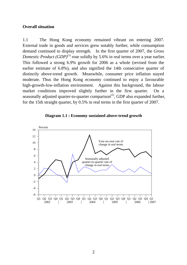#### **Overall situation**

1.1 The Hong Kong economy remained vibrant on entering 2007. External trade in goods and services grew notably further, while consumption demand continued to display strength. In the first quarter of 2007, the *Gross Domestic Product (GDP)*<sup>(1)</sup> rose solidly by 5.6% in real terms over a year earlier. This followed a strong 6.9% growth for 2006 as a whole (revised from the earlier estimate of 6.8%), and also signified the 14th consecutive quarter of distinctly above-trend growth. Meanwhile, consumer price inflation stayed moderate. Thus the Hong Kong economy continued to enjoy a favourable high-growth-low-inflation environment. Against this background, the labour market conditions improved slightly further in the first quarter. On a seasonally adjusted quarter-to-quarter comparison<sup> $(2)$ </sup>, GDP also expanded further, for the 15th straight quarter, by 0.5% in real terms in the first quarter of 2007.



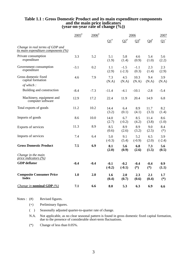# **Table 1.1 : Gross Domestic Product and its main expenditure components and the main price indicators (year-on-year rate of change (%))**

|                                                                        | $2005$ <sup>#</sup> | $2006$ <sup>#</sup> |                       |                    | 2006            |                 | 2007            |
|------------------------------------------------------------------------|---------------------|---------------------|-----------------------|--------------------|-----------------|-----------------|-----------------|
|                                                                        |                     |                     | $\Omega$ <sup>#</sup> | $Q2^{\#}$          | $Q3^{\#}$       | $Q4^{\#}$       | $\Omega^+$      |
| Change in real terms of GDP and<br>its main expenditure components (%) |                     |                     |                       |                    |                 |                 |                 |
| Private consumption<br>expenditure                                     | 3.3                 | 5.2                 | 5.1<br>(1.9)          | 5.8<br>(1.4)       | 4.6<br>(0.9)    | 5.4<br>(1.0)    | 5.6<br>(2.2)    |
| Government consumption<br>expenditure                                  | $-3.1$              | 0.2                 | 1.1<br>(2.9)          | $-1.5$<br>$(-2.3)$ | $-1.1$<br>(0.3) | 2.3<br>(1.4)    | 2.3<br>(2.9)    |
| Gross domestic fixed<br>capital formation                              | 4.6                 | 7.9                 | 7.3<br>(N.A)          | 4.5<br>(N.A)       | 10.3<br>(N.A)   | 9.4<br>(N.A)    | 3.9<br>(N.A)    |
| of which:                                                              |                     |                     |                       |                    |                 |                 |                 |
| Building and construction                                              | $-8.4$              | $-7.3$              | $-11.4$               | $-4.1$             | $-10.1$         | $-2.8$          | $-5.4$          |
| Machinery, equipment and<br>computer software                          | 12.9                | 17.2                | 22.4                  | 11.9               | 20.4            | 14.9            | 6.8             |
| Total exports of goods                                                 | 11.2                | 10.2                | 14.4<br>(3.2)         | 6.4<br>(0.1)       | 8.9<br>(4.1)    | 11.7<br>(3.3)   | 8.2<br>(1.4)    |
| Imports of goods                                                       | 8.6                 | 10.0                | 14.0<br>(2.7)         | 6.7<br>$(-0.2)$    | 8.5<br>(4.2)    | 11.4<br>(3.8)   | 8.6<br>(1.0)    |
| Exports of services                                                    | 11.3                | 8.9                 | 8.5<br>(0.6)          | 8.9<br>(2.6)       | 8.9<br>(3.2)    | 9.0<br>(2.5)    | 8.4<br>$(*)$    |
| Imports of services                                                    | 7.4                 | 6.4                 | 5.0<br>$(-0.3)$       | 9.1<br>(5.4)       | 5.2<br>$(-0.9)$ | 6.5<br>(2.0)    | 3.9<br>$(-2.4)$ |
| <b>Gross Domestic Product</b>                                          | 7.5                 | 6.9                 | 8.1<br>(2.0)          | 5.6<br>(0.9)       | 6.8<br>(2.6)    | 7.3<br>(1.5)    | 5.6<br>(0.5)    |
| Change in the main<br>price indicators $(\%)$                          |                     |                     |                       |                    |                 |                 |                 |
| <b>GDP</b> deflator                                                    | $-0.4$              | $-0.4$              | $-0.1$<br>$(-0.2)$    | $-0.2$<br>$(-0.1)$ | $-0.4$<br>$(*)$ | $-0.4$<br>$(*)$ | 0.9<br>(1.1)    |
| <b>Composite Consumer Price</b><br><b>Index</b>                        | 1.0                 | 2.0                 | 1.6<br>(0.4)          | 2.0<br>(0.7)       | 2.3<br>(0.6)    | 2.1<br>(0.4)    | 1.7<br>$(*)$    |
| <i>Change in nominal GDP</i> $(\%)$                                    | 7.1                 | 6.6                 | 8.0                   | 5.3                | 6.3             | 6.9             | 6.6             |

Notes : (#) Revised figures.

(+) Preliminary figures.

( ) Seasonally adjusted quarter-to-quarter rate of change.

 N.A. Not applicable, as no clear seasonal pattern is found in gross domestic fixed capital formation, due to the presence of considerable short-term fluctuations.

(\*) Change of less than 0.05%.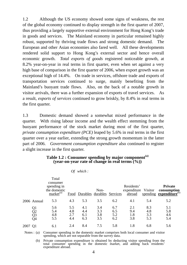1.2 Although the US economy showed some signs of weakness, the rest of the global economy continued to display strength in the first quarter of 2007, thus providing a largely supportive external environment for Hong Kong's trade in goods and services. The Mainland economy in particular remained highly robust, supported by thriving trade flows and strong domestic demand. The European and other Asian economies also fared well. All these developments rendered solid support to Hong Kong's external sector and hence overall economic growth. *Total exports of goods* registered noticeable growth, at 8.2% year-on-year in real terms in first quarter, even when set against a very high base of comparison in the first quarter of 2006, when export growth was an exceptional high of 14.4%. On trade in services, offshore trade and exports of transportation services continued to surge, mainly benefiting from the Mainland's buoyant trade flows. Also, on the back of a notable growth in visitor arrivals, there was a further expansion of exports of travel services. As a result, *exports of services* continued to grow briskly, by 8.4% in real terms in the first quarter.

1.3 Domestic demand showed a somewhat mixed performance in the quarter. With rising labour income and the wealth effect stemming from the buoyant performance of the stock market during most of the first quarter, *private consumption expenditure (PCE)* leaped by 5.6% in real terms in the first quarter over a year earlier, extending the strong growth momentum in the latter part of 2006. *Government consumption expenditure* also continued to register a slight increase in the first quarter.

|      |                                                | Total<br>consumer<br>spending in<br>the domestic<br>market <sup>(a)</sup> |                          | Food Durables durables Services | Non-                     |                          | Residents'<br>expenditure Visitor<br>abroad |                          | <b>Private</b><br>consumption<br>spending expenditure <sup>(b)</sup> |
|------|------------------------------------------------|---------------------------------------------------------------------------|--------------------------|---------------------------------|--------------------------|--------------------------|---------------------------------------------|--------------------------|----------------------------------------------------------------------|
|      | 2006 Annual                                    | 5.3                                                                       | 4.3                      | 5.3                             | 3.5                      | 6.2                      | 4.1                                         | 5.4                      | 5.2                                                                  |
|      | Q1<br>$\overline{Q}$<br>$\overline{Q}$ 3<br>Q4 | 5.6<br>5.4<br>4.8<br>5.5                                                  | 5.5<br>4.8<br>2.7<br>4.4 | 4.1<br>4.4<br>6.1<br>6.3        | 3.4<br>3.3<br>3.8<br>3.5 | 6.7<br>6.5<br>5.2<br>6.2 | 2.1<br>9.4<br>1.8<br>3.8                    | 8.3<br>4.8<br>3.3<br>5.3 | 5.1<br>5.8<br>4.6<br>5.4                                             |
| 2007 |                                                | 6.1                                                                       | 2.4                      | 8.4                             | 7.5                      | 5.8                      | 1.8                                         | 6.8                      | 5.6                                                                  |

#### **Table 1.2 : Consumer spending by major component(a) (year-on-year rate of change in real terms (%))**

*Of which :* 

Notes : (a) Consumer spending in the domestic market comprises both local consumer and visitor spending, which are not separable from the survey data.

 (b) Private consumption expenditure is obtained by deducting visitor spending from the total consumer spending in the domestic market, and adding back residents' expenditure abroad.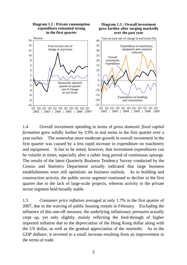

1.4 Overall investment spending in terms of *gross domestic fixed capital formation* grew solidly further by 3.9% in real terms in the first quarter over a year earlier. The somewhat more moderate growth in overall investment in the first quarter was caused by a less rapid increase in expenditure on machinery and equipment. It has to be noted, however, that investment expenditures can be volatile at times, especially after a rather long period of continuous upsurge. The results of the latest Quarterly Business Tendency Survey conducted by the Census and Statistics Department actually indicated that large business establishments were still optimistic on business outlook. As to building and construction activity, the public sector segment continued to decline in the first quarter due to the lack of large-scale projects, whereas activity in the private sector segment held broadly stable.

1.5 *Consumer price inflation* averaged at only 1.7% in the first quarter of 2007, due to the waiving of public housing rentals in February. Excluding the influence of this one-off measure, the underlying inflationary pressures actually crept up, yet only slightly, mainly reflecting the feed-through of higher imported inflation due to the depreciation of the Hong Kong dollar along with the US dollar, as well as the gradual appreciation of the renminbi. As to the *GDP deflator*, it reverted to a small increase resulting from an improvement in the terms of trade.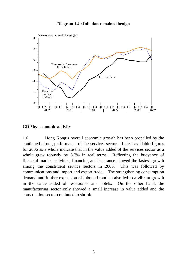



#### **GDP by economic activity**

1.6 Hong Kong's overall economic growth has been propelled by the continued strong performance of the services sector. Latest available figures for 2006 as a whole indicate that in the value added of the services sector as a whole grew robustly by 8.7% in real terms. Reflecting the buoyancy of financial market activities, financing and insurance showed the fastest growth among the constituent service sectors in 2006. This was followed by communications and import and export trade. The strengthening consumption demand and further expansion of inbound tourism also led to a vibrant growth in the value added of restaurants and hotels. On the other hand, the manufacturing sector only showed a small increase in value added and the construction sector continued to shrink.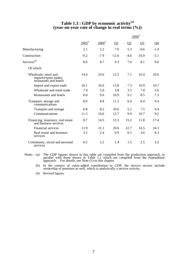#### **Table 1.3 : GDP by economic activity(a) (year-on-year rate of change in real terms (%))**

|                                                                          |                     |                     |          |                | $2006$ <sup>#</sup> |           |
|--------------------------------------------------------------------------|---------------------|---------------------|----------|----------------|---------------------|-----------|
|                                                                          | $2005$ <sup>#</sup> | $2006$ <sup>#</sup> | $\Omega$ | Q <sub>2</sub> | $Q_3$               | <u>Q4</u> |
| Manufacturing                                                            | 2.1                 | 2.2                 | 7.0      | 5.3            | $-0.6$              | $-1.4$    |
| Construction                                                             | $-9.2$              | $-7.9$              | $-12.6$  | $-4.6$         | $-10.9$             | $-3.1$    |
| Services <sup>(b)</sup>                                                  | 8.0                 | 8.7                 | 9.3      | 7.6            | 8.1                 | 9.6       |
| Of which:                                                                |                     |                     |          |                |                     |           |
| Wholesale, retail and<br>import/export trades,<br>restaurants and hotels | 14.4                | 10.0                | 12.5     | 7.1            | 10.4                | 10.0      |
| Import and export trade                                                  | 16.1                | 10.6                | 13.8     | 7.3            | 10.9                | 10.7      |
| Wholesale and retail trade                                               | 7.4                 | 5.0                 | 3.8      | 3.5            | 7.0                 | 5.6       |
| Restaurants and hotels                                                   | 6.0                 | 9.0                 | 10.9     | 9.1            | 8.5                 | 7.3       |
| Transport, storage and<br>communications                                 | 8.0                 | 8.8                 | 11.2     | 6.4            | 8.4                 | 9.4       |
| Transport and storage                                                    | 6.8                 | 8.2                 | 10.6     | 5.1            | 7.5                 | 9.4       |
| Communications                                                           | 11.5                | 10.6                | 12.7     | 9.9            | 10.7                | 9.2       |
| Financing, insurance, real estate<br>and business services               | 8.7                 | 14.5                | 13.3     | 15.2           | 11.8                | 17.4      |
| <b>Financial services</b>                                                | 11.9                | 21.1                | 20.6     | 22.7           | 16.5                | 24.3      |
| Real estate and business<br>services                                     | 3.2                 | 2.4                 | 0.9      | 0.5            | 3.6                 | 4.3       |
| Community, social and personal<br>services                               | 0.2                 | 2.2                 | 1.4      | 1.5            | 2.5                 | 3.2       |

- Notes : (a) The GDP figures shown in this table are compiled from the production approach, in parallel with those shown in Table 1.1 which are compiled from the expenditure approach. For details, see Note (1) to this chapt
- (b) In the context of value-added contribution to GDP, the service sectors include ownership of premises as well, which is analytically a service activity.
	- (#) Revised figures.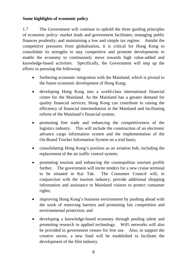# **Some highlights of economic policy**

1.7 The Government will continue to uphold the three guiding principles of economic policy: market leads and government facilitates; managing public finances prudently; and maintaining a low and simple tax regime. Amidst the competitive pressures from globalisation, it is critical for Hong Kong to consolidate its strengths to stay competitive and promote developments to enable the economy to continuously move towards high value-added and knowledge-based activities. Specifically, the Government will step up the efforts in pursuing the following:

- furthering economic integration with the Mainland, which is pivotal to the future economic development of Hong Kong;
- developing Hong Kong into a world-class international financial centre for the Mainland. As the Mainland has a greater demand for quality financial services, Hong Kong can contribute to raising the efficiency of financial intermediation in the Mainland and facilitating reform of the Mainland's financial system;
- promoting free trade and enhancing the competitiveness of the logistics industry. This will include the construction of an electronic advance cargo information system and the implementation of the On-Board Trucker Information System on a trial basis;
- consolidating Hong Kong's position as an aviation hub, including the replacement of the air traffic control system;
- promoting tourism and enhancing the cosmopolitan tourism profile further. The government will invite tenders for a new cruise terminal to be situated in Kai Tak. The Consumer Council will, in conjunction with the tourism industry, provide additional shopping information and assistance to Mainland visitors to protect consumer rights;
- improving Hong Kong's business environment by pushing ahead with the work of removing barriers and promoting fair competition and environmental protection; and
- developing a knowledge-based economy through pooling talent and promoting research in applied technology. WiFi networks will also be provided in government venues for free use. Also, to support the creative sector, a new fund will be established to facilitate the development of the film industry.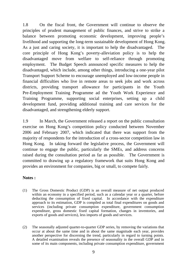1.8 On the fiscal front, the Government will continue to observe the principles of prudent management of public finances, and strive to strike a balance between promoting economic development, improving people's livelihood and supporting the long-term sustainable development of Hong Kong. As a just and caring society, it is important to help the disadvantaged. The core principle of Hong Kong's poverty-alleviation policy is to help the disadvantaged move from welfare to self-reliance through promoting employment. The Budget Speech announced specific measures to help the disadvantaged, which include, among other things, introducing a one-year pilot Transport Support Scheme to encourage unemployed and low-income people in financial difficulties who live in remote areas to seek jobs and work across districts, providing transport allowance for participants in the Youth Pre-Employment Training Programme ad the Youth Work Experience and Training Programme, supporting social enterprises, setting up a child development fund, providing additional training and care services for the disadvantaged, and strengthening elderly support.

1.9 In March, the Government released a report on the public consultation exercise on Hong Kong's competition policy conducted between November 2006 and February 2007, which indicated that there was support from the majority of respondents for the introduction of a cross-sector competition law in Hong Kong. In taking forward the legislative process, the Government will continue to engage the public, particularly the SMEs, and address concerns raised during the consultation period as far as possible. The Government is committed to drawing up a regulatory framework that suits Hong Kong and provides an environment for companies, big or small, to compete fairly.

#### **Notes :**

- (1) The Gross Domestic Product (GDP) is an overall measure of net output produced within an economy in a specified period, such as a calendar year or a quarter, before deducting the consumption of fixed capital. In accordance with the expenditure approach to its estimation, GDP is compiled as total final expenditures on goods and services (including private consumption expenditure, government consumption expenditure, gross domestic fixed capital formation, changes in inventories, and exports of goods and services), less imports of goods and services.
- (2) The seasonally adjusted quarter-to-quarter GDP series, by removing the variations that occur at about the same time and in about the same magnitude each year, provides another perspective for discerning the trend, particularly in regard to turning points. A detailed examination reveals the presence of seasonality in the overall GDP and in some of its main components, including private consumption expenditure, government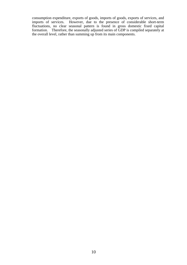consumption expenditure, exports of goods, imports of goods, exports of services, and imports of services. However, due to the presence of considerable short-term fluctuations, no clear seasonal pattern is found in gross domestic fixed capital formation. Therefore, the seasonally adjusted series of GDP is compiled separately at the overall level, rather than summing up from its main components.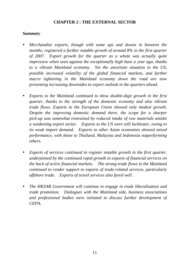# **CHAPTER 2 : THE EXTERNAL SECTOR**

#### *Summary*

- *Merchandise exports, though with some ups and downs in between the months, registered a further notable growth of around 8% in the first quarter of 2007. Export growth for the quarter as a whole was actually quite impressive when seen against the exceptionally high base a year ago, thanks to a vibrant Mainland economy. Yet the uncertain situation in the US, possible increased volatility of the global financial markets, and further macro tightening in the Mainland economy down the road are now presenting increasing downsides to export outlook in the quarters ahead.*
- *Exports to the Mainland continued to show double-digit growth in the first quarter, thanks to the strength of the domestic economy and also vibrant trade flows. Exports to the European Union showed only modest growth. Despite the improving domestic demand there, the scope for a sharper pick-up was somewhat restrained by reduced intake of raw materials amidst a weakening export sector. Exports to the US were still lackluster, owing to its weak import demand. Exports to other Asian economies showed mixed performance, with those to Thailand, Malaysia and Indonesia outperforming others.*
- *Exports of services continued to register notable growth in the first quarter, underpinned by the continued rapid growth in exports of financial services on the back of active financial markets. The strong trade flows in the Mainland continued to render support to exports of trade-related services, particularly offshore trade. Exports of travel services also fared well.*
- *The HKSAR Government will continue to engage in trade liberalisation and trade promotion. Dialogues with the Mainland side, business associations and professional bodies were initiated to discuss further development of CEPA.*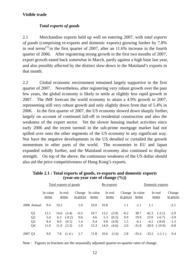# **Visible trade**

## *Total exports of goods*

2.1 Merchandise exports held up well on entering 2007, with *total exports of goods* (comprising re-exports and domestic exports) growing further by 7.8% in real terms<sup> $(1)$ </sup> in the first quarter of 2007, after an 11.6% increase in the fourth quarter of 2006. After registering strong growth in the first two months of 2007, export growth eased back somewhat in March, partly against a high base last year, and also possibly affected by the distinct slow-down in the Mainland's exports in that month.

2.2 Global economic environment remained largely supportive in the first quarter of 2007. Nevertheless, after registering very robust growth over the past few years, the global economy is likely to settle at slightly less rapid growth in 2007. The IMF forecast the world economy to attain a 4.9% growth in 2007, representing still very robust growth and only slightly down from that of 5.4% in 2006. In the first quarter of 2007, the US economy slowed down sharply further, largely on account of continued fall-off in residential construction and also the weakness of the export sector. Yet the slower housing market activities since early 2006 and the recent turmoil in the sub-prime mortgage market had not spilled over onto the other segments of the US economy in any significant way. Nor have the negative developments in the US derailed or curtailed the growth momentum in other parts of the world. The economies in EU and Japan expanded solidly further, and the Mainland economy also continued to display strength. On top of the above, the continuous weakness of the US dollar should also aid the price competitiveness of Hong Kong's exports.

|                | Total exports of goods |      |                  |                     |                   | Re-exports |                  |           |                          | Domestic exports |                  |                     |
|----------------|------------------------|------|------------------|---------------------|-------------------|------------|------------------|-----------|--------------------------|------------------|------------------|---------------------|
|                | In value<br>terms      |      | In real<br>terms | Change<br>in prices | In value<br>terms |            | In real<br>terms | in prices | Change In value<br>terms |                  | In real<br>terms | Change<br>in prices |
| 2006 Annual    | 9.4                    | 10.2 |                  | 1.0                 | 10.0              | 10.8       |                  | 1.1       | $-1.1$                   | 1.1              |                  | $-2.1$              |
| Q <sub>1</sub> | 12.1                   | 14.6 | (3.4)            | $-0.3$              | 10.7              | 13.2       | (3.9)            | $-0.2$    | 38.7                     | 42.3             | $(-3.1)$         | $-2.9$              |
| Q <sub>2</sub> | 5.4                    | 6.3  | $(-0.2)$         | 0.6                 | 4.6               | 5.3        | (0.2)            | 0.9       | 19.9                     | 23.9             | $(-6.7)$         | $-3.9$              |
| Q <sub>3</sub> | 8.4                    | 8.9  | (4.1)            | 1.4                 | 9.4               | 9.8        | (4.9)            | 1.5       | $-6.1$                   | $-4.2$           | $(-8.0)$         | $-1.3$              |
| Q4             | 11.9                   | 11.6 | (3.3)            | 1.9                 | 15.3              | 14.9       | (4.6)            | 2.0       | $-31.8$                  | $-30.9$          | $(-19.9)$        | $-0.8$              |
| 2007 Q1        | 9.0                    | 7.8  | (1.4)            | 2.7                 | 11.8              | 10.6       | (1.6)            | 2.8       | $-33.4$                  | $-33.5$          | $(-1.1)$         | 0.4                 |

**Table 2.1 : Total exports of goods, re-exports and domestic exports (year-on-year rate of change (%))** 

Note : Figures in brackets are the seasonally adjusted quarter-to-quarter rates of change.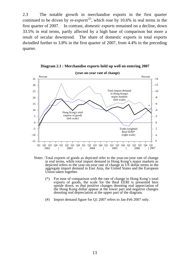2.3 The notable growth in merchandise exports in the first quarter continued to be driven by *re-exports*<sup>(2)</sup>, which rose by 10.6% in real terms in the first quarter of 2007. In contrast, *domestic exports* remained on a decline, down 33.5% in real terms, partly affected by a high base of comparison but more a result of secular downtrend. The share of domestic exports in total exports dwindled further to 3.8% in the first quarter of 2007, from 4.4% in the preceding quarter.



**Diagram 2.1 : Merchandise exports held up well on entering 2007**

- Notes : Total exports of goods as depicted refer to the year-on-year rate of change in real terms, while total import demand in Hong Kong's major markets as depicted refers to the year-on-year rate of change in US dollar terms in the aggregate import demand in East Asia, the United States and the European
	- Union taken together.<br>(\*) For ease of comparison with the rate of change in Hong Kong's total exports of goods, the scale for the Real EERI is presented here upside down, so that positive changes denoting real appreciation of the Hong Kong dollar appear at the lower part and negative changes denoting real depreciation at the upper part of the diagram.
	- (#) Import demand figure for Q1 2007 refers to Jan-Feb 2007 only.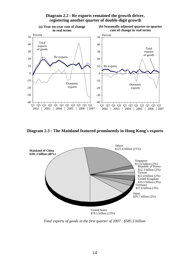

#### **Diagram 2.2 : Re-exports remained the growth driver, registering another quarter of double-digit growth**

**Diagram 2.3 : The Mainland featured prominently in Hong Kong's exports**



*Total exports of goods in the first quarter of 2007 : \$585.5 billion*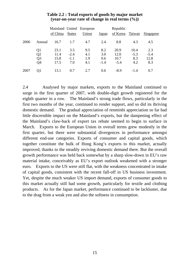|      |                |          |               | Mainland United European |        | Republic |        |           |
|------|----------------|----------|---------------|--------------------------|--------|----------|--------|-----------|
|      |                | of China | <b>States</b> | Union                    | Japan  | of Korea | Taiwan | Singapore |
| 2006 | Annual         | 16.7     | 1.7           | 4.7                      | 2.4    | 8.8      | 4.3    | 4.5       |
|      | Q1             | 23.1     | 3.5           | 9.5                      | 8.2    | 20.9     | 10.4   | 2.3       |
|      | Q <sub>2</sub> | 11.4     | $-2.4$        | 4.1                      | 3.0    | 12.0     | $-5.3$ | $-5.4$    |
|      | Q <sub>3</sub> | 15.8     | $-1.1$        | 1.9                      | 0.6    | 10.7     | 8.3    | 12.8      |
|      | Q <sub>4</sub> | 17.5     | 7.0           | 4.1                      | $-1.4$ | $-5.4$   | 4.2    | 8.3       |
| 2007 | Q1             | 13.1     | 0.7           | 2.7                      | 0.6    | $-8.9$   | $-1.4$ | 0.7       |

#### **Table 2.2 : Total exports of goods by major market (year-on-year rate of change in real terms (%))**

2.4 Analysed by major markets, exports to the Mainland continued to surge in the first quarter of 2007, with double-digit growth registered for the eighth quarter in a row. The Mainland's strong trade flows, particularly in the first two months of the year, continued to render support, and so did its thriving domestic demand. The gradual appreciation of renminbi appreciation so far had little discernible impact on the Mainland's exports, but the dampening effect of the Mainland's claw-back of export tax rebate seemed to begin to surface in March. Exports to the European Union in overall terms grew modestly in the first quarter, but there were substantial divergences in performance amongst different end-use categories. Exports of consumer and capital goods, which together constitute the bulk of Hong Kong's exports to this market, actually improved, thanks to the steadily reviving domestic demand there. But the overall growth performance was held back somewhat by a sharp slow-down in EU's raw material intake, conceivably as EU's export outlook weakened with a stronger euro. Exports to the US were still flat, with the weakness concentrated in intake of capital goods, consistent with the recent fall-off in US business investment. Yet, despite the much weaker US import demand, exports of consumer goods to this market actually still had some growth, particularly for textile and clothing products. As for the Japan market, performance continued to be lackluster, due to the drag from a weak yen and also the softness in consumption.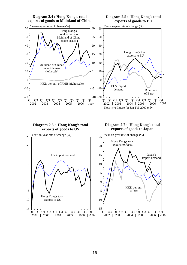

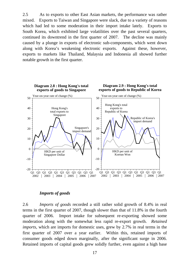2.5 As to exports to other East Asian markets, the performance was rather mixed. Exports to Taiwan and Singapore were slack, due to a variety of reasons which had led to some moderation in their import intake lately. Exports to South Korea, which exhibited large volatilities over the past several quarters, continued its downtrend in the first quarter of 2007. The decline was mainly caused by a plunge in exports of electronic sub-components, which went down along with Korea's weakening electronic exports. Against these, however, exports to markets like Thailand, Malaysia and Indonesia all showed further notable growth in the first quarter.



#### *Imports of goods*

2.6 *Imports of goods* recorded a still rather solid growth of 8.4% in real terms in the first quarter of 2007, though slower than that of 11.8% in the fourth quarter of 2006. Import intake for subsequent re-exporting showed some moderation along with the somewhat less rapid re-export growth. *Retained imports*, which are imports for domestic uses, grew by 2.7% in real terms in the first quarter of 2007 over a year earlier. Within this, retained imports of consumer goods edged down marginally, after the significant surge in 2006. Retained imports of capital goods grew solidly further, even against a high base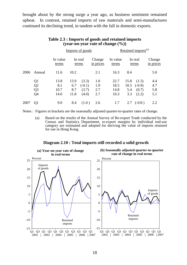brought about by the strong surge a year ago, as business sentiment remained upbeat. In contrast, retained imports of raw materials and semi-manufactures continued its declining trend, in tandem with the fall in domestic exports.

|      |                                                                      |                             |                            | Imports of goods                    |                          | Retained imports <sup>(a)</sup> |                            |                                     |                          |  |
|------|----------------------------------------------------------------------|-----------------------------|----------------------------|-------------------------------------|--------------------------|---------------------------------|----------------------------|-------------------------------------|--------------------------|--|
|      |                                                                      | In value<br>terms           | In real<br>terms           |                                     | Change<br>in prices      | In value<br>terms               | In real<br>terms           |                                     | Change<br>in prices      |  |
| 2006 | Annual                                                               | 11.6                        | 10.2                       |                                     | 2.1                      | 16.3                            | 8.4                        |                                     | 5.0                      |  |
|      | Q <sub>1</sub><br>Q <sub>2</sub><br>Q <sub>3</sub><br>Q <sub>4</sub> | 13.8<br>8.1<br>10.7<br>14.0 | 13.9<br>6.7<br>8.7<br>11.8 | (3.3)<br>$(-0.1)$<br>(3.7)<br>(4.0) | 1.0<br>1.9<br>2.7<br>2.7 | 22.7<br>18.5<br>14.8<br>10.3    | 15.8<br>10.5<br>5.4<br>3.3 | (1.5)<br>$(-0.9)$<br>(0.7)<br>(2.2) | 4.4<br>4.7<br>5.8<br>5.1 |  |
| 2007 | Q <sub>1</sub>                                                       | 9.0                         | 8.4                        | (1.0)                               | 2.6                      | 1.7                             | 2.7                        | $(-0.8)$                            | 2.2                      |  |

#### **Table 2.3 : Imports of goods and retained imports (year-on-year rate of change (%))**

Notes : Figures in brackets are the seasonally adjusted quarter-to-quarter rates of change.

 (a) Based on the results of the Annual Survey of Re-export Trade conducted by the Census and Statistics Department, re-export margins by individual end-use category are estimated and adopted for deriving the value of imports retained for use in Hong Kong.

#### **Diagram 2.10 : Total imports still recorded a solid growth**

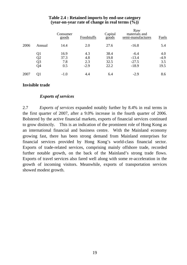|      |        | Consumer<br>goods | Foodstuffs | Capital<br>$\overline{goods}$ | Raw<br>materials and<br>semi-manufactures | Fuels  |
|------|--------|-------------------|------------|-------------------------------|-------------------------------------------|--------|
| 2006 | Annual | 14.4              | 2.0        | 27.6                          | $-16.8$                                   | 5.4    |
|      | Q1     | 16.9              | 4.3        | 38.4                          | $-6.4$                                    | 4.0    |
|      | Q2     | 37.3              | 4.8        | 19.8                          | $-13.4$                                   | $-4.9$ |
|      | Q3     | 7.8               | 2.3        | 32.5                          | $-27.5$                                   | 3.5    |
|      | Q4     | 0.5               | $-2.9$     | 22.2                          | $-18.9$                                   | 19.5   |
| 2007 | Q1     | $-1.0$            | 4.4        | 6.4                           | $-2.9$                                    | 8.6    |

#### **Table 2.4 : Retained imports by end-use category (year-on-year rate of change in real terms (%))**

#### **Invisible trade**

#### *Exports of services*

2.7 *Exports of services* expanded notably further by 8.4% in real terms in the first quarter of 2007, after a 9.0% increase in the fourth quarter of 2006. Bolstered by the active financial markets, exports of financial services continued to grow distinctly. This is an indication of the prominent role of Hong Kong as an international financial and business centre. With the Mainland economy growing fast, there has been strong demand from Mainland enterprises for financial services provided by Hong Kong's world-class financial sector. Exports of trade-related services, comprising mainly offshore trade, recorded further notable growth, on the back of the Mainland's strong trade flows. Exports of travel services also fared well along with some re-acceleration in the growth of incoming visitors. Meanwhile, exports of transportation services showed modest growth.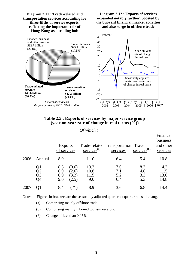

#### **Table 2.5 : Exports of services by major service group (year-on-year rate of change in real terms (%))**

#### *Of which :*

|                      | <b>Exports</b><br>of services     | $s$ ervices <sup>(a)</sup>  | services                         |                          | Finance,<br>business<br>and other<br>services                  |
|----------------------|-----------------------------------|-----------------------------|----------------------------------|--------------------------|----------------------------------------------------------------|
| Annual               | 8.9                               | 11.0                        | 6.4                              | 5.4                      | 10.8                                                           |
| Q1<br>Q2<br>Q3<br>Q4 | 8.5<br>8.9<br>8.9<br>(2.5)<br>9.0 | 13.3<br>10.8<br>11.5<br>9.0 | 7.0<br>7.1<br>5.2<br>6.4         | 8.3<br>4.8<br>3.3<br>5.3 | 4.2<br>11.5<br>13.0<br>14.8                                    |
| 01                   | 8.4                               | 8.9                         | 3.6                              | 6.8                      | 14.4                                                           |
|                      |                                   |                             | (0.6)<br>(2.6)<br>(3.2)<br>$*$ ) |                          | Trade-related Transportation Travel<br>services <sup>(b)</sup> |

Notes : Figures in brackets are the seasonally adjusted quarter-to-quarter rates of change.

- (a) Comprising mainly offshore trade.
- (b) Comprising mainly inbound tourism receipts.
- (\*) Change of less than 0.05%.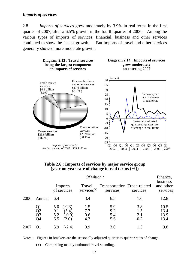#### *Imports of services*

2.8 *Imports of services* grew moderately by 3.9% in real terms in the first quarter of 2007, after a 6.5% growth in the fourth quarter of 2006. Among the various types of imports of services, financial, business and other services continued to show the fastest growth. But imports of travel and other services generally showed more moderate growth.



#### **Table 2.6 : Imports of services by major service group (year-on-year rate of change in real terms (%))**

|      |                      |                                                                    | Of which:                   |                                          |                             |                                   |  |  |  |  |  |
|------|----------------------|--------------------------------------------------------------------|-----------------------------|------------------------------------------|-----------------------------|-----------------------------------|--|--|--|--|--|
|      |                      | Imports<br>of services                                             | Travel<br>$s$ ervices $(+)$ | Transportation Trade-related<br>services | services                    | business<br>and other<br>services |  |  |  |  |  |
| 2006 | Annual               | 6.4                                                                | 3.4                         | 6.5                                      | 1.6                         | 12.8                              |  |  |  |  |  |
|      | Q1<br>Q2<br>Q3<br>Q4 | $(-0.3)$<br>5.0<br>(5.4)<br>9.1<br>$(-0.9)$<br>5.2<br>6.5<br>(2.0) | 1.5<br>7.7<br>0.6<br>4.3    | 5.9<br>9.2<br>5.4<br>5.6                 | 3.8<br>1.5<br>2.1<br>$-0.2$ | 10.5<br>13.4<br>13.9<br>13.4      |  |  |  |  |  |
| 2007 | 01                   | $(-2.4)$<br>3.9                                                    | 0.9                         | 3.6                                      | 1.3                         | 9.8                               |  |  |  |  |  |

Notes : Figures in brackets are the seasonally adjusted quarter-to-quarter rates of change.

(+) Comprising mainly outbound travel spending.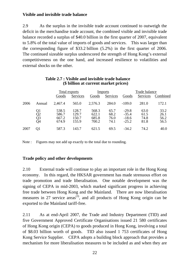# **Visible and invisible trade balance**

2.9 As the surplus in the invisible trade account continued to outweigh the deficit in the merchandise trade account, the combined visible and invisible trade balance recorded a surplus of \$40.0 billion in the first quarter of 2007, equivalent to 5.8% of the total value of imports of goods and services. This was larger than the corresponding figure of \$33.2 billion (5.2%) in the first quarter of 2006. The continued sizeable surplus underscored the strength of Hong Kong's external competitiveness on the one hand, and increased resilience to volatilities and external shocks on the other.

|      |                      |                                  | Total exports                    |                                  | Imports                      | Trade balance                            |                              |                              |
|------|----------------------|----------------------------------|----------------------------------|----------------------------------|------------------------------|------------------------------------------|------------------------------|------------------------------|
|      |                      | Goods                            | Services                         | Goods                            | Services                     | Goods                                    | Services                     | Combined                     |
| 2006 | Annual               | 2,467.4                          | 565.0                            | 2,576.3                          | 284.0                        | $-109.0$                                 | 281.0                        | 172.1                        |
|      | Q1<br>Q2<br>Q3<br>Q4 | 538.5<br>586.7<br>667.2<br>674.9 | 128.7<br>129.7<br>150.7<br>155.9 | 568.3<br>622.1<br>685.8<br>700.2 | 65.7<br>68.2<br>76.0<br>74.1 | $-29.8$<br>$-35.4$<br>$-18.6$<br>$-25.2$ | 63.0<br>61.5<br>74.8<br>81.8 | 33.2<br>26.1<br>56.2<br>56.5 |
| 2007 | Ol                   | 587.3                            | 143.7                            | 621.5                            | 69.5                         | $-34.2$                                  | 74.2                         | 40.0                         |

#### **Table 2.7 : Visible and invisible trade balance (\$ billion at current market prices)**

Note : Figures may not add up exactly to the total due to rounding.

# **Trade policy and other developments**

2.10 External trade will continue to play an important role in the Hong Kong economy. In this regard, the HKSAR government has made strenuous effort on trade promotion and trade liberalisation. One notable development was the signing of CEPA in mid-2003, which marked significant progress in achieving free trade between Hong Kong and the Mainland. There are now liberalisation measures in 27 service areas<sup>(3)</sup>, and all products of Hong Kong origin can be exported to the Mainland tariff-free.

2.11 As at end-April 2007, the Trade and Industry Department (TID) and five Government Approved Certificate Organisations issued 21 580 certificates of Hong Kong origin (CEPA) to goods produced in Hong Kong, involving a total of \$8.03 billion worth of goods. TID also issued 1 753 certificates of Hong Kong Service Supplier. CEPA adopts a building block approach that provides a mechanism for more liberalisation measures to be included as and when they are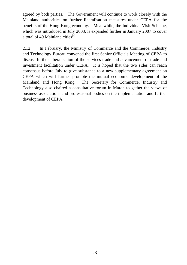agreed by both parties. The Government will continue to work closely with the Mainland authorities on further liberalisation measures under CEPA for the benefits of the Hong Kong economy. Meanwhile, the Individual Visit Scheme, which was introduced in July 2003, is expanded further in January 2007 to cover a total of 49 Mainland cities<sup> $(4)$ </sup>.

2.12 In February, the Ministry of Commerce and the Commerce, Industry and Technology Bureau convened the first Senior Officials Meeting of CEPA to discuss further liberalisation of the services trade and advancement of trade and investment facilitation under CEPA. It is hoped that the two sides can reach consensus before July to give substance to a new supplementary agreement on CEPA which will further promote the mutual economic development of the Mainland and Hong Kong. The Secretary for Commerce, Industry and Technology also chaired a consultative forum in March to gather the views of business associations and professional bodies on the implementation and further development of CEPA.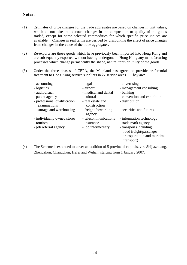# **Notes :**

- (1) Estimates of price changes for the trade aggregates are based on changes in unit values, which do not take into account changes in the composition or quality of the goods traded, except for some selected commodities for which specific price indices are available. Changes in real terms are derived by discounting the effect of price changes from changes in the value of the trade aggregates.
- (2) Re-exports are those goods which have previously been imported into Hong Kong and are subsequently exported without having undergone in Hong Kong any manufacturing processes which change permanently the shape, nature, form or utility of the goods.
- (3) Under the three phases of CEPA, the Mainland has agreed to provide preferential treatment to Hong Kong service suppliers in 27 service areas. They are:

| - accounting                                 | - legal                           | - advertising               |
|----------------------------------------------|-----------------------------------|-----------------------------|
| - logistics                                  | - airport                         | - management consulting     |
| - audiovisual                                | - medical and dental              | - banking                   |
| - patent agency                              | - cultural                        | - convention and exhibition |
| - professional qualification<br>examinations | - real estate and<br>construction | - distribution              |
| - storage and warehousing                    | - freight forwarding<br>agency    | - securities and futures    |
| - individually owned stores                  | - telecommunications              | - information technology    |
| - tourism                                    | - insurance                       | - trade mark agency         |
| - job referral agency                        | - job intermediary                | - transport (including)     |
|                                              |                                   | road freight/passenger      |
|                                              |                                   | transportation and maritime |
|                                              |                                   | transport)                  |

(4) The Scheme is extended to cover an addition of 5 provincial capitals, viz. Shijiazhuang, Zhengzhou, Changchun, Hefei and Wuhan, starting from 1 January 2007.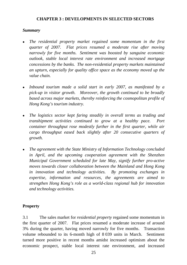### **CHAPTER 3 : DEVELOPMENTS IN SELECTED SECTORS**

#### *Summary*

- <sup>z</sup>*The residential property market regained some momentum in the first quarter of 2007. Flat prices resumed a moderate rise after moving narrowly for five months. Sentiment was boosted by sanguine economic outlook, stable local interest rate environment and increased mortgage concessions by the banks. The non-residential property markets maintained an upturn, especially for quality office space as the economy moved up the value chain.*
- Inbound tourism made a solid start in early 2007, as manifested by a *pick-up in visitor growth. Moreover, the growth continued to be broadly based across major markets, thereby reinforcing the cosmopolitan profile of Hong Kong's tourism industry.*
- <sup>z</sup>*The logistics sector kept faring steadily in overall terms as trading and transhipment activities continued to grow at a healthy pace. Port container throughput rose modestly further in the first quarter, while air cargo throughput eased back slightly after 20 consecutive quarters of growth.*
- The agreement with the State Ministry of Information Technology concluded in April, and the upcoming cooperation agreement with the Shenzhen *Municipal Government scheduled for late May, signify further pro-active moves towards closer collaboration between the Mainland and Hong Kong in innovation and technology activities. By promoting exchanges in expertise, information and resources, the agreements are aimed to strengthen Hong Kong's role as a world-class regional hub for innovation and technology activities.*

# **Property**

3.1 The sales market for *residential property* regained some momentum in the first quarter of 2007. Flat prices resumed a moderate increase of around 3% during the quarter, having moved narrowly for five months. Transaction volume rebounded to its 6-month high of 8 039 units in March. Sentiment turned more positive in recent months amidst increased optimism about the economic prospect, stable local interest rate environment, and increased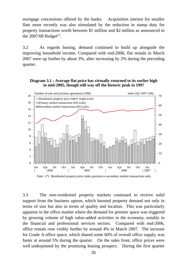mortgage concessions offered by the banks. Acquisition interest for smaller flats more recently was also stimulated by the reduction in stamp duty for property transactions worth between \$1 million and \$2 million as announced in the  $2007/08$  Budget<sup>(1)</sup>.

3.2 As regards leasing, demand continued to build up alongside the improving household income. Compared with end-2006, flat rentals in March 2007 were up further by about 3%, after increasing by 2% during the preceding quarter.

#### **Diagram 3.1 : Average flat price has virtually returned to its earlier high in mid-2005, though still way off the historic peak in 1997**



3.3 The *non-residential* property markets continued to receive solid support from the business upturn, which boosted property demand not only in terms of size but also in terms of quality and location. This was particularly apparent in the office market where the demand for premier space was triggered by growing volume of high value-added activities in the economy, notably in the financial and professional services sectors. Compared with end-2006, office rentals rose visibly further by around 4% in March 2007. The increase for Grade A office space, which shared some 60% of overall office supply, was faster at around 5% during the quarter. On the sales front, office prices were well underpinned by the promising leasing prospect. During the first quarter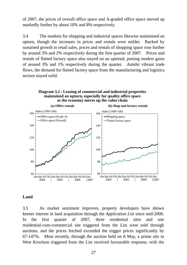of 2007, the prices of overall office space and A-graded office space moved up markedly further by about 10% and 8% respectively.

3.4 The markets for shopping and industrial spaces likewise maintained an upturn, though the increases in prices and rentals were milder. Backed by sustained growth in retail sales, prices and rentals of shopping space rose further by around 3% and 2% respectively during the first quarter of 2007. Prices and rentals of flatted factory space also stayed on an uptrend, posting modest gains of around 3% and 1% respectively during the quarter. Amidst vibrant trade flows, the demand for flatted factory space from the manufacturing and logistics sectors stayed solid.





#### **Land**

3.5 As market sentiment improves, property developers have shown keener interest in land acquisition through the *Application List* since mid-2006. In the first quarter of 2007, three residential sites and one residential-cum-commercial site triggered from the List were sold through auctions, and the prices fetched exceeded the trigger prices significantly by 67-147%. Most recently, through the auction held on 8 May, a prime site in West Kowloon triggered from the List received favourable response, with the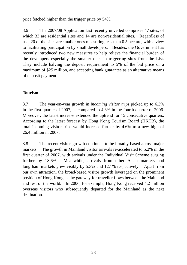price fetched higher than the trigger price by 54%.

3.6 The 2007/08 Application List recently unveiled comprises 47 sites, of which 33 are residential sites and 14 are non-residential sites. Regardless of use, 20 of the sites are smaller ones measuring less than 0.5 hectare, with a view to facilitating participation by small developers. Besides, the Government has recently introduced two new measures to help relieve the financial burden of the developers especially the smaller ones in triggering sites from the List. They include halving the deposit requirement to 5% of the bid price or a maximum of \$25 million, and accepting bank guarantee as an alternative means of deposit payment.

# **Tourism**

3.7 The year-on-year growth in *incoming visitor trips* picked up to 6.3% in the first quarter of 2007, as compared to 4.3% in the fourth quarter of 2006. Moreover, the latest increase extended the uptrend for 15 consecutive quarters. According to the latest forecast by Hong Kong Tourism Board (HKTB), the total incoming visitor trips would increase further by 4.6% to a new high of 26.4 million in 2007.

3.8 The recent visitor growth continued to be broadly based across major markets. The growth in Mainland visitor arrivals re-accelerated to 5.2% in the first quarter of 2007, with arrivals under the Individual Visit Scheme surging further by 18.6%. Meanwhile, arrivals from other Asian markets and long-haul markets grew visibly by 5.3% and 12.1% respectively. Apart from our own attraction, the broad-based visitor growth leveraged on the prominent position of Hong Kong as the gateway for traveller flows between the Mainland and rest of the world. In 2006, for example, Hong Kong received 4.2 million overseas visitors who subsequently departed for the Mainland as the next destination.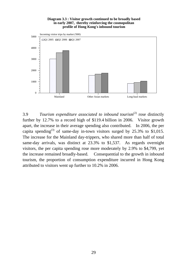#### **Diagram 3.3 : Visitor growth continued to be broadly based in early 2007, thereby reinforcing the cosmopolitan profile of Hong Kong's inbound tourism**



3.9 *Tourism expenditure associated to inbound tourism*(2) rose distinctly further by 12.7% to a record high of \$119.4 billion in 2006. Visitor growth apart, the increase in their average spending also contributed. In 2006, the per capita spending<sup>(3)</sup> of same-day in-town visitors surged by  $25.3\%$  to \$1,015. The increase for the Mainland day-trippers, who shared more than half of total same-day arrivals, was distinct at 23.3% to \$1,537. As regards overnight visitors, the per capita spending rose more moderately by 2.9% to \$4,799, yet the increase remained broadly-based. Consequential to the growth in inbound tourism, the proportion of consumption expenditure incurred in Hong Kong attributed to visitors went up further to 10.2% in 2006.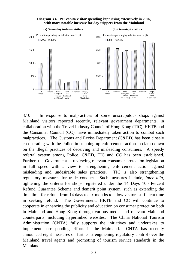



3.10 In response to malpractices of some unscrupulous shops against Mainland visitors reported recently, relevant government departments, in collaboration with the Travel Industry Council of Hong Kong (TIC), HKTB and the Consumer Council (CC), have immediately taken action to combat such malpractices. The Customs and Excise Department (C&ED) has been closely co-operating with the Police in stepping up enforcement action to clamp down on the illegal practices of deceiving and misleading consumers. A speedy referral system among Police, C&ED, TIC and CC has been established. Further, the Government is reviewing relevant consumer protection legislation in full speed with a view to strengthening enforcement action against misleading and undesirable sales practices. TIC is also strengthening regulatory measures for trade conduct. Such measures include, *inter alia*, tightening the criteria for shops registered under the 14 Days 100 Percent Refund Guarantee Scheme and demerit point system, such as extending the time limit for refund from 14 days to six months to allow visitors sufficient time in seeking refund. The Government, HKTB and CC will continue to cooperate in enhancing the publicity and education on consumer protection both in Mainland and Hong Kong through various media and relevant Mainland counterparts, including hyperlinked websites. The China National Tourism Administration (CNTA) fully supports the initiatives and undertakes to implement corresponding efforts in the Mainland. CNTA has recently announced eight measures on further strengthening regulatory control over the Mainland travel agents and promoting of tourism service standards in the Mainland.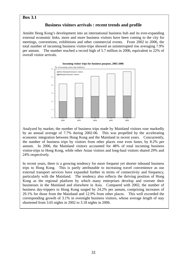#### **Box 3.1**

### **Business visitors arrivals : recent trends and profile**

Amidst Hong Kong's development into an international business hub and its ever-expanding external economic links, more and more business visitors have been coming to the city for meetings, conventions, exhibitions and other commercial events. From 2002 to 2006, the total number of incoming business visitor-trips showed an uninterrupted rise averaging 7.9% per annum. The number reached a record high of 5.7 million in 2006, equivalent to 22% of overall visitor arrivals.



Analyzed by market, the number of business trips made by Mainland visitors rose markedly by an annual average of 7.7% during 2002-06. This was propelled by the accelerating economic integration between Hong Kong and the Mainland in recent years. Concurrently, the number of business trips by visitors from other places rose even faster, by 8.2% per annum. In 2006, the Mainland visitors accounted for 48% of total incoming business visitor-trips to Hong Kong, while other Asian visitors and long-haul visitors shared 29% and 24% respectively.

In recent years, there is a growing tendency for more frequent yet shorter inbound business trips to Hong Kong. This is partly attributable to increasing travel convenience as our external transport services have expanded further in terms of connectivity and frequency, particularly with the Mainland. The tendency also reflects the thriving position of Hong Kong as the regional platform by which many enterprises develop and oversee their businesses in the Mainland and elsewhere in Asia. Compared with 2002, the number of business day-trippers to Hong Kong surged by 24.2% per annum, comprising increases of 29.1% for those from the Mainland and 12.9% from other places. This well exceeded the corresponding growth of 3.1% in overnight business visitors, whose average length of stay shortened from 3.65 nights in 2002 to 3.18 nights in 2006.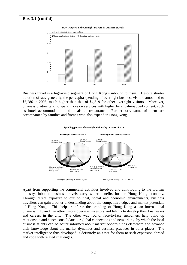# **Box 3.1 (cont'd)**  2002 2004 2006  $\overline{0}$ 1 2 3 4 <sup>5</sup> Number of incoming visitor trips (million) Same-day business visitors  $Z$ Overnight business visitors **Day-trippers and overnight-stayers in business travels**

Business travel is a high-yield segment of Hong Kong's inbound tourism. Despite shorter duration of stay generally, the per capita spending of overnight business visitors amounted to \$6,286 in 2006, much higher than that of \$4,319 for other overnight visitors. Moreover, business visitors tend to spend more on services with higher local value-added content, such as hotel accommodation and meals at restaurants. Furthermore, some of them are accompanied by families and friends who also expend in Hong Kong.

#### **Spending pattern of overnight visitors by purpose of visit**



Apart from supporting the commercial activities involved and contributing to the tourism industry, inbound business travels carry wider benefits for the Hong Kong economy. Through direct exposure to our political, social and economic environments, business travellers can gain a better understanding about the competitive edges and market potentials of Hong Kong. This helps reinforce the branding of Hong Kong as an international business hub, and can attract more overseas investors and talents to develop their businesses and careers in the city. The other way round, face-to-face encounters help build up relationship and hence consolidate our global connections and networking, by which the local business talents can be better informed about market opportunities elsewhere and advance their knowledge about the market dynamics and business practices in other places. The market intelligence thus developed is definitely an asset for them to seek expansion abroad and cope with related challenges.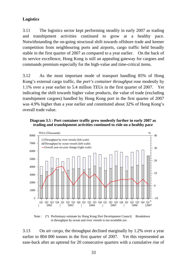### **Logistics**

3.11 The logistics sector kept performing steadily in early 2007 as trading and transhipment activities continued to grow at a healthy pace. Notwithstanding the on-going structural shift towards offshore trade and keener competition from neighbouring ports and airports, cargo traffic held broadly stable in the first quarter of 2007 as compared to a year earlier. On the back of its service excellence, Hong Kong is still an appealing gateway for cargoes and commands premium especially for the high-value and time-critical items.

3.12 As the most important mode of transport handling 85% of Hong Kong's external cargo traffic, the *port's container throughput* rose modestly by 1.1% over a year earlier to 5.4 million TEUs in the first quarter of 2007. Yet indicating the shift towards higher value products, the value of trade (excluding transhipment cargoes) handled by Hong Kong port in the first quarter of 2007 was 4.9% higher than a year earlier and constituted about 32% of Hong Kong's overall trade value.

#### **Diagram 3.5 : Port container traffic grew modestly further in early 2007 as trading and transhipment activities continued to ride on a healthy pace**



Note : (\*) Preliminary estimate by Hong Kong Port Development Council. Breakdown in throughput by ocean and river vessels is not available yet.

3.13 On *air cargo*, the throughput declined marginally by 1.2% over a year earlier to 804 000 tonnes in the first quarter of 2007. Yet this represented an ease-back after an uptrend for 20 consecutive quarters with a cumulative rise of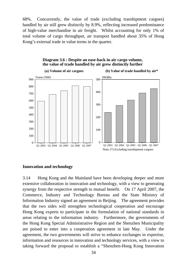68%. Concurrently, the value of trade (excluding transhipment cargoes) handled by air still grew distinctly by 8.9%, reflecting increased predominance of high-value merchandise in air freight. Whilst accounting for only 1% of total volume of cargo throughput, air transport handled about 35% of Hong Kong's external trade in value terms in the quarter.





### **Innovation and technology**

3.14 Hong Kong and the Mainland have been developing deeper and more extensive collaboration in innovation and technology, with a view to generating synergy from the respective strength to mutual benefit. On 17 April 2007, the Commerce, Industry and Technology Bureau and the State Ministry of Information Industry signed an agreement in Beijing. The agreement provides that the two sides will strengthen technological cooperation and encourage Hong Kong experts to participate in the formulation of national standards in areas relating to the information industry. Furthermore, the governments of the Hong Kong Special Administrative Region and the Shenzhen Municipality are poised to enter into a cooperation agreement in late May. Under the agreement, the two governments will strive to enhance exchanges in expertise, information and resources in innovation and technology services, with a view to taking forward the proposal to establish a "Shenzhen-Hong Kong Innovation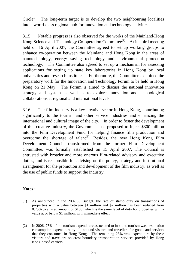Circle". The long-term target is to develop the two neighbouring localities into a world-class regional hub for innovation and technology activities.

3.15 Notable progress is also observed for the works of the Mainland/Hong Kong Science and Technology Co-operation Committee<sup>(4)</sup>. At its third meeting held on 16 April 2007, the Committee agreed to set up working groups to enhance co-operation between the Mainland and Hong Kong in the areas of nanotechnology, energy saving technology and environmental protection technology. The Committee also agreed to set up a mechanism for assessing applications for setting up state key laboratories in Hong Kong by local universities and research institutes. Furthermore, the Committee examined the preparatory work for the Innovation and Technology Forum to be held in Hong Kong on 21 May. The Forum is aimed to discuss the national innovation strategy and system as well as to explore innovation and technological collaborations at regional and international levels.

3.16 The film industry is a key creative sector in Hong Kong, contributing significantly to the tourism and other service industries and enhancing the international and cultural image of the city. In order to foster the development of this creative industry, the Government has proposed to inject \$300 million into the Film Development Fund for helping finance film production and overcome the shortage of talent<sup> $(5)$ </sup>. Besides, the new Hong Kong Film Development Council, transformed from the former Film Development Committee, was formally established on 15 April 2007. The Council is entrusted with broader and more onerous film-related advisory and executive duties, and is responsible for advising on the policy, strategy and institutional arrangement for the promotion and development of the film industry, as well as the use of public funds to support the industry.

#### **Notes :**

- (1) As announced in the 2007/08 Budget, the rate of stamp duty on transactions of properties with a value between \$1 million and \$2 million has been reduced from 0.75% to a fixed amount of \$100, which is the same level of duty for properties with a value at or below \$1 million, with immediate effect.
- (2) In 2006, 75% of the tourism expenditure associated to inbound tourism was destination consumption expenditure by all inbound visitors and travellers for goods and services that they consumed in Hong Kong. The remaining 25% was expenditure by these visitors and travellers on cross-boundary transportation services provided by Hong Kong-based carriers.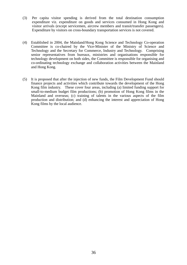- (3) Per capita visitor spending is derived from the total destination consumption expenditure viz. expenditure on goods and services consumed in Hong Kong and visitor arrivals (except servicemen, aircrew members and transit/transfer passengers). Expenditure by visitors on cross-boundary transportation services is not covered.
- (4) Established in 2004, the Mainland/Hong Kong Science and Technology Co-operation Committee is co-chaired by the Vice-Minister of the Ministry of Science and Technology and the Secretary for Commerce, Industry and Technology. Comprising senior representatives from bureaux, ministries and organisations responsible for technology development on both sides, the Committee is responsible for organising and co-ordinating technology exchange and collaboration activities between the Mainland and Hong Kong.
- (5) It is proposed that after the injection of new funds, the Film Development Fund should finance projects and activities which contribute towards the development of the Hong Kong film industry. These cover four areas, including (a) limited funding support for small-to-medium budget film productions; (b) promotion of Hong Kong films in the Mainland and overseas; (c) training of talents in the various aspects of the film production and distribution; and (d) enhancing the interest and appreciation of Hong Kong films by the local audience.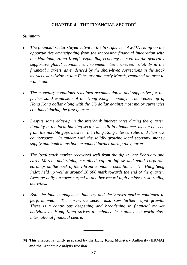### **CHAPTER 4 : THE FINANCIAL SECTOR#**

#### *Summary*

- <sup>z</sup>*The financial sector stayed active in the first quarter of 2007, riding on the opportunities emancipating from the increasing financial integration with the Mainland, Hong Kong's expanding economy as well as the generally supportive global economic environment. Yet increased volatility in the financial markets, as evidenced by the short-lived corrections in the stock markets worldwide in late February and early March, remained an area to watch out.*
- <sup>z</sup>*The monetary conditions remained accommodative and supportive for the further solid expansion of the Hong Kong economy. The weakening of Hong Kong dollar along with the US dollar against most major currencies continued during the first quarter.*
- *Despite some edge-up in the interbank interest rates during the quarter, liquidity in the local banking sector was still in abundance, as can be seen from the notable gaps between the Hong Kong interest rates and their US counterparts. In tandem with the solidly growing local economy, money supply and bank loans both expanded further during the quarter.*
- <sup>z</sup>*The local stock market recovered well from the dip in late February and early March, underlining sustained capital inflow and solid corporate earnings on the back of the vibrant economic conditions. The Hang Seng Index held up well at around 20 000 mark towards the end of the quarter. Average daily turnover surged to another record high amidst brisk trading activities.*
- <sup>z</sup>*Both the fund management industry and derivatives market continued to perform well. The insurance sector also saw further rapid growth. There is a continuous deepening and broadening in financial market activities as Hong Kong strives to enhance its status as a world-class international financial centre.*

**\_\_\_\_\_\_\_\_\_** 

**<sup>(#)</sup> This chapter is jointly prepared by the Hong Kong Monetary Authority (HKMA) and the Economic Analysis Division.**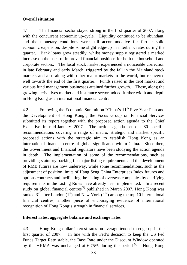### **Overall situation**

4.1 The financial sector stayed strong in the first quarter of 2007, along with the concurrent economic up-cycle. Liquidity continued to be abundant, and the monetary conditions were still accommodative for further solid economic expansion, despite some slight edge-up in interbank rates during the quarter. Bank loans grew steadily, whilst money supply registered a marked increase on the back of improved financial positions for both the household and corporate sectors. The local stock market experienced a noticeable correction in late February and early March, triggered by the fall in the Mainland stock markets and also along with other major markets in the world, but recovered well towards the end of the first quarter. Funds raised in the debt market and various fund management businesses attained further growth. These, along the growing derivatives market and insurance sector, added further width and depth in Hong Kong as an international financial centre.

4.2 Following the Economic Summit on "China's 11<sup>th</sup> Five-Year Plan and the Development of Hong Kong", the Focus Group on Financial Services submitted its report together with the proposed action agenda to the Chief Executive in mid-January 2007. The action agenda set out 80 specific recommendations covering a range of macro, strategic and market specific proposed actions with the strategic aim to establish Hong Kong as an international financial centre of global significance within China. Since then, the Government and financial regulators have been studying the action agenda in depth. The implementation of some of the recommendations, such as providing statutory backing for major listing requirements and the development of RMB futures are now underway, while some recommendations, such as the adjustment of position limits of Hang Seng China Enterprises Index futures and options contracts and facilitating the listing of overseas companies by clarifying requirements in the Listing Rules have already been implemented. In a recent study on global financial centres<sup> $(1)$ </sup> published in March 2007, Hong Kong was ranked  $3<sup>rd</sup>$  after London (1<sup>st</sup>) and New York (2<sup>nd</sup>) among the top 10 international financial centres, another piece of encouraging evidence of international recognition of Hong Kong's strength in financial services.

#### **Interest rates, aggregate balance and exchange rates**

4.3 Hong Kong dollar interest rates on average tended to edge up in the first quarter of 2007. In line with the Fed's decision to keep the US Fed Funds Target Rate stable, the Base Rate under the Discount Window operated by the HKMA was unchanged at  $6.75\%$  during the period <sup>(2)</sup>. Hong Kong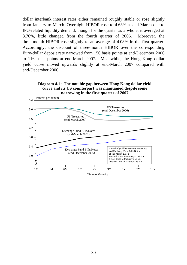dollar interbank interest rates either remained roughly stable or rose slightly from January to March. Overnight HIBOR rose to 4.63% at end-March due to IPO-related liquidity demand, though for the quarter as a whole, it averaged at 3.76%, little changed from the fourth quarter of 2006. Moreover, the three-month HIBOR rose slightly to an average of 4.08% in the first quarter. Accordingly, the discount of three-month HIBOR over the corresponding Euro-dollar deposit rate narrowed from 150 basis points at end-December 2006 to 116 basis points at end-March 2007. Meanwhile, the Hong Kong dollar yield curve moved upwards slightly at end-March 2007 compared with end-December 2006.



Exchange Fund Bills/Notes (end-March 2007)

Exchange Fund Bills/Notes (end-December 2006)



Time to Maturity

Spread of yield between US Treasuries and Exchange Fund Bills/Notes

6-month Time to Maturity : 143 b.p. 5-year Time to Maturity : 51 b.p. 10-year Time to Maturity : 45 b.p.┱

at end-March 2007 :

1M 3M 6M 1Y 2Y 3Y 5Y 7Y 10Y

 $\overline{\phantom{0}}$ 

3.0

3.4

3.8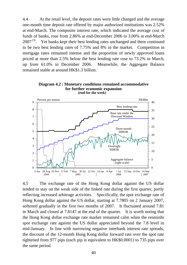4.4 At the retail level, the deposit rates were little changed and the average one-month time deposit rate offered by major authorized institutions was 2.52% at end-March. The composite interest rate, which indicated the average cost of funds of banks, rose from 2.86% at end-December 2006 to 3.00% at end-March  $2007<sup>(3)</sup>$ . Yet banks kept their best lending rates unchanged and there continued to be two best lending rates of 7.75% and 8% in the market. Competition in mortgage rates remained intense and the proportion of newly approved loans priced at more than 2.5% below the best lending rate rose to 73.2% in March, up from 61.0% in December 2006. Meanwhile, the Aggregate Balance remained stable at around HK\$1.3 billion.



**Diagram 4.2 : Monetary conditions remained accommodative for further economic expansion**

4.5 The exchange rate of the Hong Kong dollar against the US dollar tended to stay on the weak side of the linked rate during the first quarter, partly reflecting increased arbitrage activities. Specifically, the spot exchange rate of Hong Kong dollar against the US dollar, starting at 7.7805 on 2 January 2007, softened gradually in the first two months of 2007. It fluctuated around 7.81 in March and closed at 7.8147 at the end of the quarter. It is worth noting that the Hong Kong dollar exchange rate market remained calm when the renminbi spot exchange rate against the US dollar appreciated beyond the 7.8 level in mid-January. In line with narrowing negative interbank interest rate spreads, the discount of the 12-month Hong Kong dollar forward rate over the spot rate tightened from 977 pips (each pip is equivalent to HK\$0.0001) to 735 pips over the same period.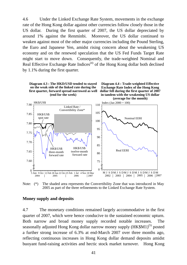4.6 Under the Linked Exchange Rate System, movements in the exchange rate of the Hong Kong dollar against other currencies follow closely those in the US dollar. During the first quarter of 2007, the US dollar depreciated by around 1% against the Renminbi. Moreover, the US dollar continued to weaken against most of the other major currencies including the Pound Sterling, the Euro and Japanese Yen, amidst rising concern about the weakening US economy and on the renewed speculation that the US Fed Funds Target Rate might start to move down. Consequently, the trade-weighted Nominal and Real Effective Exchange Rate Indices<sup> $(4)$ </sup> of the Hong Kong dollar both declined by 1.1% during the first quarter.







Note: (\*) The shaded area represents the Convertibility Zone that was introduced in May 2005 as part of the three refinements to the Linked Exchange Rate System.

#### **Money supply and deposits**

4.7 The monetary conditions remained largely accommodative in the first quarter of 2007, which were hence conducive to the sustained economic upturn. Both narrow and broad money supply recorded notable increases. The seasonally adjusted Hong Kong dollar narrow money supply  $(HK$M1)^{(5)}$  posted a further strong increase of 6.3% at end-March 2007 over three months ago, reflecting continuous increases in Hong Kong dollar demand deposits amidst buoyant fund-raising activities and hectic stock market turnover. Hong Kong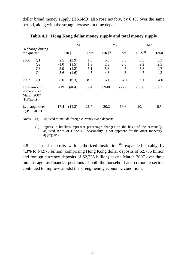dollar broad money supply (HK\$M3) also rose notably, by 6.1% over the same period, along with the strong increases in time deposits.

|                                                         |                                                          |                             | M1                               |                          |                          | M <sub>2</sub>           | M <sub>3</sub>           |                          |  |
|---------------------------------------------------------|----------------------------------------------------------|-----------------------------|----------------------------------|--------------------------|--------------------------|--------------------------|--------------------------|--------------------------|--|
| the quarter                                             | % change during                                          | HK\$                        |                                  | Total                    | $HKS^{(a)}$              | Total                    | $HKS^{(a)}$              | <b>Total</b>             |  |
| 2006                                                    | Q <sub>1</sub><br>Q <sub>2</sub><br>Q <sub>3</sub><br>Q4 | 2.5<br>$-1.0$<br>3.9<br>5.6 | (3.9)<br>(1.5)<br>(4.2)<br>(1.6) | 1.0<br>1.9<br>5.1<br>4.5 | 5.3<br>2.2<br>5.8<br>4.8 | 3.3<br>2.5<br>4.7<br>4.3 | 5.3<br>2.2<br>5.8<br>4.7 | 3.3<br>2.5<br>4.7<br>4.3 |  |
| 2007                                                    | Q1                                                       | 8.0                         | (6.3)                            | 8.7                      | 6.1                      | 4.1                      | 6.1                      | 4.0                      |  |
| Total amount<br>at the end of<br>March 2007<br>(HK\$Bn) |                                                          | 419                         | (404)                            | 534                      | 2,948                    | 5,272                    | 2,966                    | 5,302                    |  |
| % change over<br>a year earlier                         |                                                          | 17.4                        | (14.2)                           | 21.7                     | 20.2                     | 16.6                     | 20.1                     | 16.5                     |  |

#### **Table 4.1 : Hong Kong dollar money supply and total money supply**

Notes : (a) Adjusted to include foreign currency swap deposits.

 ( ) Figures in brackets represent percentage changes on the basis of the seasonally adjusted series of HK\$M1. Seasonality is not apparent for the other monetary aggregates.

4.8 Total deposits with authorized institutions<sup>(6)</sup> expanded notably by 4.3% to \$4,973 billion (comprising Hong Kong dollar deposits of \$2,736 billion and foreign currency deposits of \$2,236 billion) at end-March 2007 over three months ago, as financial positions of both the household and corporate sectors continued to improve amidst the strengthening economic conditions.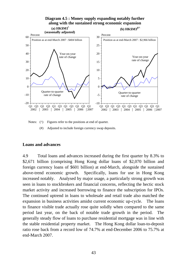

Notes: ( $\wedge$ ) Figures refer to the positions at end of quarter.

(#) Adjusted to include foreign currency swap deposits.

#### **Loans and advances**

4.9 Total loans and advances increased during the first quarter by 8.3% to \$2,671 billion (comprising Hong Kong dollar loans of \$2,070 billion and foreign currency loans of \$601 billion) at end-March, alongside the sustained above-trend economic growth. Specifically, loans for use in Hong Kong increased notably. Analysed by major usage, a particularly strong growth was seen in loans to stockbrokers and financial concerns, reflecting the hectic stock market activity and increased borrowing to finance the subscription for IPOs. The continued uptrend in loans to wholesale and retail trade also matched the expansion in business activities amidst current economic up-cycle. The loans to finance visible trade actually rose quite solidly when compared to the same period last year, on the back of notable trade growth in the period. The generally steady flow of loans to purchase residential mortgage was in line with the stable residential property market. The Hong Kong dollar loan-to-deposit ratio rose back from a record low of 74.7% at end-December 2006 to 75.7% at end-March 2007.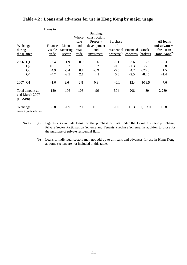#### **Table 4.2 : Loans and advances for use in Hong Kong by major usage**

|                                                      | Loans to:                       |                                   |                          |                                        |                                   |                                |                                   |                                |
|------------------------------------------------------|---------------------------------|-----------------------------------|--------------------------|----------------------------------------|-----------------------------------|--------------------------------|-----------------------------------|--------------------------------|
|                                                      |                                 |                                   | Whole-<br>sale           | Building,<br>construction,<br>Property | Purchase                          |                                |                                   | <b>All loans</b>               |
| % change                                             | Finance                         | Manu-                             | and                      | development                            | of                                |                                |                                   | and advances                   |
| during                                               | visible                         | facturing                         | retail                   | and                                    | residential Financial             |                                | Stock-                            | for use in                     |
| the quarter                                          | trade                           | sector                            | trade                    | investment                             | property <sup>(a)</sup>           | concerns                       | brokers                           | Hong Kong <sup>(b)</sup>       |
| 2006<br>Q1<br>Q <sub>2</sub><br>Q <sub>3</sub><br>Q4 | $-2.4$<br>10.1<br>4.9<br>$-4.7$ | $-1.9$<br>3.7<br>$-5.4$<br>$-2.5$ | 0.9<br>1.9<br>0.1<br>2.1 | 0.6<br>5.7<br>$-0.9$<br>4.1            | $-1.1$<br>$-0.6$<br>$-0.5$<br>0.3 | 3.6<br>$-1.3$<br>4.7<br>$-2.5$ | 5.3<br>$-6.0$<br>620.6<br>$-82.5$ | $-0.3$<br>2.8<br>1.5<br>$-1.4$ |
| 2007 Q1                                              | $-1.0$                          | 2.6                               | 2.8                      | 0.9                                    | $-0.1$                            | 12.4                           | 959.5                             | 7.6                            |
| Total amount at<br>end-March 2007<br>(HK\$Bn)        | 150                             | 106                               | 108                      | 496                                    | 594                               | 208                            | 89                                | 2,289                          |
| % change<br>over a year earlier                      | 8.8                             | $-1.9$                            | 7.1                      | 10.1                                   | $-1.0$                            | 13.3                           | 1,153.0                           | 10.8                           |

Notes : (a) Figures also include loans for the purchase of flats under the Home Ownership Scheme, Private Sector Participation Scheme and Tenants Purchase Scheme, in addition to those for the purchase of private residential flats.

 (b) Loans to individual sectors may not add up to all loans and advances for use in Hong Kong, as some sectors are not included in this table.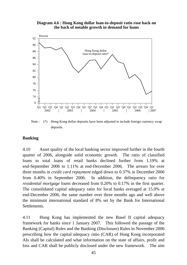**Diagram 4.6 : Hong Kong dollar loan-to-deposit ratio rose back on the back of notable growth in demand for loans**



Note : (\*) Hong Kong dollar deposits have been adjusted to include foreign currency swap deposits.

#### **Banking**

4.10 Asset quality of the local banking sector improved further in the fourth quarter of 2006, alongside solid economic growth. The ratio of classified loans to total loans of retail banks declined further from 1.19% at end-September 2006 to 1.11% at end-December 2006. The arrears for over three months in *credit card repayment* edged down to 0.37% in December 2006 from 0.40% in September 2006. In addition, the delinquency ratio for *residential mortgage loans* decreased from 0.20% to 0.17% in the first quarter. The consolidated capital adequacy ratio for local banks averaged at 15.0% at end-December 2006, the same number over three months ago and well above the minimum international standard of 8% set by the Bank for International Settlements.

4.11 Hong Kong has implemented the new Basel II capital adequacy framework for banks since 1 January 2007. This followed the passage of the Banking (Capital) Rules and the Banking (Disclosure) Rules in November 2006 prescribing how the capital adequacy ratio (CAR) of Hong Kong incorporated AIs shall be calculated and what information on the state of affairs, profit and loss and CAR shall be publicly disclosed under the new framework. The aim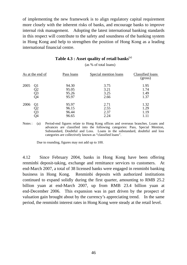of implementing the new framework is to align regulatory capital requirement more closely with the inherent risks of banks, and encourage banks to improve internal risk management. Adopting the latest international banking standards in this respect will contribute to the safety and soundness of the banking system in Hong Kong and help to strengthen the position of Hong Kong as a leading international financial centre.

|      | As at the end of     | Pass loans                       | Special mention loans        | Classified loans<br>(gross)  |
|------|----------------------|----------------------------------|------------------------------|------------------------------|
| 2005 | Q1<br>Q2<br>Q3<br>Q4 | 94.30<br>95.05<br>95.26<br>95.97 | 3.75<br>3.21<br>3.25<br>2.66 | 1.95<br>1.74<br>1.49<br>1.37 |
| 2006 | Q1<br>Q3<br>Q4       | 95.97<br>96.15<br>96.44<br>96.65 | 2.71<br>2.55<br>2.37<br>2.24 | 1.32<br>1.29<br>1.19         |

#### **Table 4.3 : Asset quality of retail banks**(a)

(as % of total loans)

Notes : (a) Period-end figures relate to Hong Kong offices and overseas branches. Loans and advances are classified into the following categories: Pass, Special Mention, Substandard, Doubtful and Loss. Loans in the substandard, doubtful and loss categories are collectively known as "classified loans".

Due to rounding, figures may not add up to 100.

4.12 Since February 2004, banks in Hong Kong have been offering renminbi deposit-taking, exchange and remittance services to customers. At end-March 2007, a total of 38 licensed banks were engaged in renminbi banking business in Hong Kong. Renminbi deposits with authorized institutions continued to expand solidly during the first quarter, amounting to RMB 25.2 billion yuan at end-March 2007, up from RMB 23.4 billion yuan at end-December 2006. This expansion was in part driven by the prospect of valuation gain brought about by the currency's appreciating trend. In the same period, the renminbi interest rates in Hong Kong were steady at the retail level.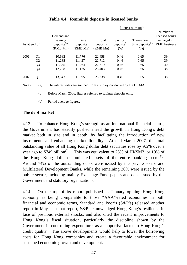| As at end of |                                                          | Demand and<br>savings<br>$deposits^{(b)}$<br>(RMB Mn) | Time<br>deposits<br>(RMB Mn)         | Total<br>deposits<br>(RMB Mn)        | Saving<br>$\text{deposits}^{(c)}$<br>$(\%)$ | Three-month<br>time deposits <sup>(c)</sup><br>$(\%)$ | Number of<br>licensed banks<br>engaged in<br><b>RMB</b> business |
|--------------|----------------------------------------------------------|-------------------------------------------------------|--------------------------------------|--------------------------------------|---------------------------------------------|-------------------------------------------------------|------------------------------------------------------------------|
| 2006         | Q <sub>1</sub><br>Q <sub>2</sub><br>Q <sub>3</sub><br>Q4 | 10,682<br>11,285<br>11,355<br>12,228                  | 11,776<br>11,427<br>11,264<br>11,175 | 22,458<br>22,712<br>22,619<br>23,403 | 0.46<br>0.46<br>0.46<br>0.46                | 0.65<br>0.65<br>0.65<br>0.65                          | 39<br>39<br>40<br>38                                             |
| 2007         | Q1                                                       | 13,643                                                | 11,595                               | 25,238                               | 0.46                                        | 0.65                                                  | 38                                                               |

 $\overline{1}$   $\overline{1}$   $\overline{1}$   $\overline{1}$   $\overline{1}$   $\overline{1}$   $\overline{1}$   $\overline{1}$   $\overline{1}$   $\overline{1}$   $\overline{1}$   $\overline{1}$   $\overline{1}$   $\overline{1}$   $\overline{1}$   $\overline{1}$   $\overline{1}$   $\overline{1}$   $\overline{1}$   $\overline{1}$   $\overline{1}$   $\overline{1}$   $\overline{1}$   $\overline{1}$   $\overline{$ 

### **Table 4.4 : Renminbi deposits in licensed banks**

Notes : (a) The interest rates are sourced from a survey conducted by the HKMA.

(b) Before March 2006, figures referred to savings deposits only.

(c) Period average figures.

### **The debt market**

4.13 To enhance Hong Kong's strength as an international financial centre, the Government has steadily pushed ahead the growth in Hong Kong's debt market both in size and in depth, by facilitating the introduction of new instruments and enhancing market liquidity. At end-March 2007, the total outstanding value of all Hong Kong dollar debt securities rose by 9.5% over a year ago to \$749 billion<sup>(7)</sup>. This was equivalent to 25% of HK\$M3, or 19% of the Hong Kong dollar-denominated assets of the entire banking sector<sup>(8)</sup>. Around 74% of the outstanding debts were issued by the private sector and Multilateral Development Banks, while the remaining 26% were issued by the public sector, including mainly Exchange Fund papers and debt issued by the Government and statutory organizations.

4.14 On the top of its report published in January opining Hong Kong economy as being comparable to those "AAA"-rated economies in both financial and economic terms, Standard and Poor's (S&P's) released another report in May. In that report, S&P acknowledged Hong Kong's resilience in face of previous external shocks, and also cited the recent improvements to Hong Kong's fiscal situation, particularly the discipline shown by the Government in controlling expenditure, as a supportive factor to Hong Kong's credit quality. The above developments would help to lower the borrowing costs for Hong Kong companies and create a favourable environment for sustained economic growth and development.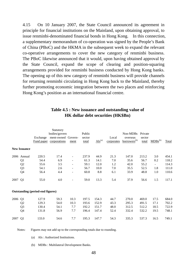4.15 On 10 January 2007, the State Council announced its agreement in principle for financial institutions on the Mainland, upon obtaining approval, to issue renminbi-denominated financial bonds in Hong Kong. In this connection, a supplementary memorandum of co-operation was signed by the People's Bank of China (PBoC) and the HKMA in the subsequent week to expand the relevant co-operative arrangements to cover the new category of renminbi business. The PBoC likewise announced that it would, upon having obtained approval by the State Council, expand the scope of clearing and position-squaring arrangements provided for renminbi business conducted by Hong Kong banks. The opening up of this new category of renminbi business will provide channels for returning renminbi circulating in Hong Kong back to the Mainland, thereby further promoting economic integration between the two places and reinforcing Hong Kong's position as an international financial centre.

|         |                     |                                         | Statutory<br>bodies/govern |                          | Public |                        |            | Non-MDBs                 | Private |                          |              |
|---------|---------------------|-----------------------------------------|----------------------------|--------------------------|--------|------------------------|------------|--------------------------|---------|--------------------------|--------------|
|         |                     | Exchange                                | ment-owned Govern-         |                          | sector |                        | Local      | overseas                 | sector  |                          |              |
|         |                     | Fund paper                              | corporations               | ment                     | total  | $\overline{AIs}^{(a)}$ | corporates | borrowers <sup>(b)</sup> | total   | $MDBs^{(b)}$             | <b>Total</b> |
|         | <b>New Issuance</b> |                                         |                            |                          |        |                        |            |                          |         |                          |              |
|         | 2006 Annual         | 220.5                                   | 17.4                       | $\overline{\phantom{a}}$ | 237.9  | 44.9                   | 21.3       | 147.0                    | 213.2   | 3.0                      | 454.1        |
|         | Q1                  | 54.4                                    | 6.9                        | $\overline{\phantom{a}}$ | 61.3   | 14.1                   | 7.0        | 35.6                     | 56.7    | 0.2                      | 118.2        |
|         | Q2                  | 55.6                                    | 3.5                        | $\overline{\phantom{a}}$ | 59.1   | 12.0                   | 1.2        | 42.0                     | 55.2    | $\overline{\phantom{a}}$ | 114.3        |
|         | Q <sub>3</sub>      | 54.1                                    | 2.6                        | $\overline{a}$           | 56.7   | 10.0                   | 7.0        | 35.5                     | 52.5    | 1.8                      | 111.0        |
|         | Q <sub>4</sub>      | 56.4                                    | 4.4                        |                          | 60.8   | 8.8                    | 6.1        | 33.9                     | 48.8    | 1.0                      | 110.6        |
| 2007 Q1 |                     | 55.0                                    | 4.0                        |                          | 59.0   | 13.3                   | 5.4        | 37.9                     | 56.6    | 1.5                      | 117.1        |
|         |                     | <b>Outstanding (period-end figures)</b> |                            |                          |        |                        |            |                          |         |                          |              |
| 2006    | Q <sub>1</sub>      | 127.9                                   | 59.3                       | 10.3                     | 197.5  | 154.3                  | 44.7       | 270.0                    | 469.0   | 17.5                     | 684.0        |
|         | Q <sub>2</sub>      | 129.3                                   | 54.0                       | 10.3                     | 193.6  | 152.9                  | 43.3       | 295.3                    | 491.5   | 17.1                     | 702.2        |
|         | Q <sub>3</sub>      | 130.4                                   | 54.1                       | 7.7                      | 192.2  | 151.7                  | 48.0       | 312.5                    | 512.2   | 18.5                     | 722.9        |
|         | Q4                  | 131.8                                   | 56.9                       | 7.7                      | 196.4  | 147.4                  | 52.4       | 332.4                    | 532.2   | 19.5                     | 748.1        |
| 2007 Q1 |                     | 133.0                                   | 54.6                       | 7.7                      | 195.3  | 147.7                  | 54.3       | 335.3                    | 537.3   | 16.5                     | 749.1        |

#### **Table 4.5 : New issuance and outstanding value of HK dollar debt securities (HK\$Bn)**

Notes: Figures may not add up to the corresponding totals due to rounding.

(a) AIs : Authorized Institutions.

(b) MDBs : Multilateral Development Banks.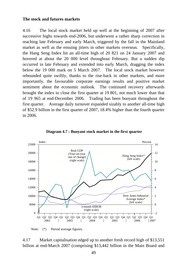#### **The stock and futures markets**

4.16 The local stock market held up well at the beginning of 2007 after successive highs towards end-2006, but underwent a rather sharp correction in reaching late February and early March, triggered by the fall in the Mainland market as well as the ensuing jitters in other markets overseas. Specifically, the Hang Seng Index hit an all-time high of 20 821 on 24 January 2007 and hovered at about the 20 000 level throughout February. But a sudden dip occurred in late February and extended into early March, dragging the index below the 19 000 mark on 5 March 2007. The local stock market however rebounded quite swiftly, thanks to the rise-back in other markets, and more importantly, the favourable corporate earnings results and positive market sentiment about the economic outlook. The continued recovery afterwards brought the index to close the first quarter at 19 801, not much lower than that of 19 965 at end-December 2006. Trading has been buoyant throughout the first quarter. Average daily turnover expanded sizably to another all-time high of \$52.9 billion in the first quarter of 2007, 18.4% higher than the fourth quarter in 2006.



**Diagram 4.7 : Buoyant stock market in the first quarter**

Note: (\*) Period average figures.

4.17 Market capitalisation edged up to another fresh record high of \$13,551 billion at end-March 2007 (comprising \$13,442 billion in the Main Board and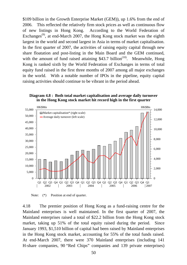\$109 billion in the Growth Enterprise Market (GEM)), up 1.6% from the end of 2006. This reflected the relatively firm stock prices as well as continuous flow of new listings in Hong Kong. According to the World Federation of Exchanges<sup> $(9)$ </sup>, at end-March 2007, the Hong Kong stock market was the eighth largest in the world and second largest in Asia in terms of market capitalisation. In the first quarter of 2007, the activities of raising equity capital through new share floatation and post-listing in the Main Board and the GEM continued, with the amount of fund raised attaining \$43.7 billion<sup> $(10)$ </sup>. Meanwhile, Hong Kong is ranked sixth by the World Federation of Exchanges in terms of total equity fund raised in the first three months of 2007 among all major exchanges in the world. With a notable number of IPOs in the pipeline, equity capital raising activities should continue to be vibrant in the period ahead.

**Diagram 4.8 : Both total market capitalisation and average daily turnover in the Hong Kong stock market hit record high in the first quarter**



Note:  $(*)$  Position at end of quarter.

4.18 The premier position of Hong Kong as a fund-raising centre for the Mainland enterprises is well maintained. In the first quarter of 2007, the Mainland enterprises raised a total of \$22.2 billion from the Hong Kong stock market, taking up 51% of the total equity raised during the period. Since January 1993, \$1,510 billion of capital had been raised by Mainland enterprises in the Hong Kong stock market, accounting for 55% of the total funds raised. At end-March 2007, there were 370 Mainland enterprises (including 141 H-share companies, 90 "Red Chips" companies and 139 private enterprises)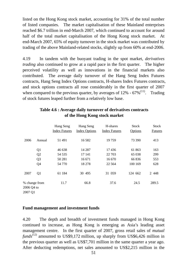listed on the Hong Kong stock market, accounting for 31% of the total number of listed companies. The market capitalisation of these Mainland enterprises reached \$6.7 trillion in end-March 2007, which continued to account for around half of the total market capitalisation of the Hong Kong stock market. At end-March 2007, 65% of equity turnover in the stock market was contributed by trading of the above Mainland-related stocks, slightly up from 60% at end-2006.

4.19 In tandem with the buoyant trading in the spot market, *derivatives trading* also continued to grow at a rapid pace in the first quarter. The higher perceived volatility as well as innovations in the financial markets also contributed. The average daily turnover of the Hang Seng Index Futures contracts, Hang Seng Index Options contracts, H-shares Index Futures contracts, and stock options contracts all rose considerably in the first quarter of 2007 when compared to the previous quarter, by averages of  $12\%$  -  $67\%$ <sup>(11)</sup>. Trading of stock futures leaped further from a relatively low base.

|                       |                | Hang Seng<br><b>Index Futures</b> | Hang Seng<br><b>Index Options</b> | H-shares<br><b>Index Futures</b> | <b>Stock</b><br>Options | <b>Stock</b><br><b>Futures</b> |
|-----------------------|----------------|-----------------------------------|-----------------------------------|----------------------------------|-------------------------|--------------------------------|
| 2006                  | Annual         | 51 491                            | 16 5 8 2                          | 19759                            | 73 390                  | 413                            |
|                       | Q <sub>1</sub> | 46 638                            | 14 287                            | 17436                            | 61 863                  | 163                            |
|                       | Q2             | 54 5 35                           | 17 141                            | 22 703                           | 65 038                  | 299                            |
|                       | Q <sub>3</sub> | 50 281                            | 16 671                            | 16 670                           | 66 836                  | 553                            |
|                       | Q4             | 54 770                            | 18 27 8                           | 22 5 6 4                         | 100 169                 | 628                            |
| 2007                  | Q <sub>1</sub> | 61 184                            | 30 495                            | 31 059                           | 124 662                 | 2 4 4 8                        |
| 2006 Q4 to<br>2007 Q1 | % change from  | 11.7                              | 66.8                              | 37.6                             | 24.5                    | 289.5                          |

### **Table 4.6 : Average daily turnover of derivatives contracts of the Hong Kong stock market**

### **Fund management and investment funds**

4.20 The depth and breadth of investment funds managed in Hong Kong continued to increase, as Hong Kong is emerging as Asia's leading asset management centre. In the first quarter of 2007, gross retail sales of *mutual funds*<sup> $(12)$ </sup> amounted to US\$9,172 million, up sharply from US\$6,426 million in the previous quarter as well as US\$7,701 million in the same quarter a year ago. After deducting redemptions, net sales amounted to US\$2,215 million in the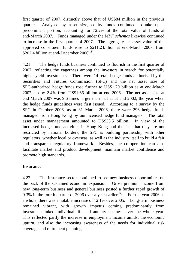first quarter of 2007, distinctly above that of US\$84 million in the previous quarter. Analysed by asset size, equity funds continued to take up a predominant portion, accounting for 72.2% of the total value of funds at end-March 2007. Funds managed under the *MPF schemes* likewise continued to increase in the first quarter of 2007. The aggregate net asset value of the approved constituent funds rose to \$211.2 billion at end-March 2007, from \$202.4 billion at end-December  $2006^{(13)}$ .

4.21 The hedge funds business continued to flourish in the first quarter of 2007, reflecting the eagerness among the investors in search for potentially higher yield investments. There were 14 retail hedge funds authorised by the Securities and Futures Commission (SFC) and the net asset size of SFC-authorized hedge funds rose further to US\$1.70 billion as at end-March 2007, up by 2.4% from US\$1.66 billion at end-2006. The net asset size at end-March 2007 was 9.6 times larger than that as at end-2002, the year when the hedge funds guidelines were first issued. According to a survey by the SFC in October 2006, as at 31 March 2006, there were 296 hedge funds managed from Hong Kong by our licensed hedge fund managers. The total asset under management amounted to US\$33.5 billion. In view of the increased hedge fund activities in Hong Kong and the fact that they are not restricted by national borders, the SFC is building partnership with other regulators, whether local or overseas, as well as the industry itself to build a fair and transparent regulatory framework. Besides, the co-operation can also facilitate market and product development, maintain market confidence and promote high standards.

#### **Insurance**

4.22 The insurance sector continued to see new business opportunities on the back of the sustained economic expansion. Gross premium income from new long-term business and general business posted a further rapid growth of 9.3% in the fourth quarter of 2006 over a year earlier<sup> $(14)$ </sup>. For the year 2006 as a whole, there was a notable increase of 12.1% over 2005. Long-term business remained vibrant, with growth impetus coming predominantly from investment-linked individual life and annuity business over the whole year. This reflected partly the increase in employment income amidst the economic upturn, and also the increasing awareness of the needs for individual risk coverage and retirement planning.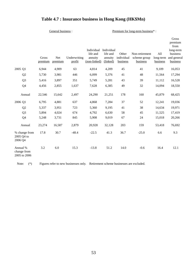## **Table 4.7 : Insurance business in Hong Kong (HK\$Mn)**

General business : <br> Premium for long-term business\* :

|                                         |                  |                |                        |                                                   |                                               |                                 |                                            |                              | Gross<br>premium<br>from                         |
|-----------------------------------------|------------------|----------------|------------------------|---------------------------------------------------|-----------------------------------------------|---------------------------------|--------------------------------------------|------------------------------|--------------------------------------------------|
|                                         | Gross<br>premium | Net<br>premium | Underwriting<br>profit | Individual<br>life and<br>annuity<br>(non-linked) | Individual<br>life and<br>annuity<br>(linked) | Other<br>individual<br>business | Non-retirement<br>scheme group<br>business | All<br>long-term<br>business | long-term<br>business<br>and general<br>business |
| 2005 Q1                                 | 6,944            | 4,909          | 63                     | 4,814                                             | 4,209                                         | 45                              | 41                                         | 9,109                        | 16,053                                           |
| Q2                                      | 5,730            | 3,981          | 446                    | 6,099                                             | 5,376                                         | 41                              | 48                                         | 11,564                       | 17,294                                           |
| Q <sub>3</sub>                          | 5,416            | 3,897          | 351                    | 5,749                                             | 5,281                                         | 43                              | 39                                         | 11,112                       | 16,528                                           |
| Q4                                      | 4,456            | 2,855          | 1,637                  | 7,628                                             | 6,385                                         | 49                              | 32                                         | 14,094                       | 18,550                                           |
| Annual                                  | 22,546           | 15,642         | 2,497                  | 24,290                                            | 21,251                                        | 178                             | 160                                        | 45,879                       | 68,425                                           |
| 2006 Q1                                 | 6,795            | 4,881          | 637                    | 4,868                                             | 7,284                                         | 37                              | 52                                         | 12,241                       | 19,036                                           |
| Q2                                      | 5,337            | 3,951          | 723                    | 5,360                                             | 9,195                                         | 41                              | 38                                         | 14,634                       | 19,971                                           |
| Q <sub>3</sub>                          | 5,894            | 4,024          | 674                    | 4,792                                             | 6,630                                         | 58                              | 45                                         | 11,525                       | 17,419                                           |
| Q <sub>4</sub>                          | 5,248            | 3,731          | 845                    | 5,908                                             | 9,019                                         | 67                              | 24                                         | 15,018                       | 20,266                                           |
| Annual                                  | 23,274           | 16,587         | 2,879                  | 20,928                                            | 32,128                                        | 203                             | 159                                        | 53,418                       | 76,692                                           |
| % change from<br>2005 Q4 to<br>2006 Q4  | 17.8             | 30.7           | $-48.4$                | $-22.5$                                           | 41.3                                          | 36.7                            | $-25.0$                                    | 6.6                          | 9.3                                              |
| Annual %<br>change from<br>2005 to 2006 | 3.2              | 6.0            | 15.3                   | $-13.8$                                           | 51.2                                          | 14.0                            | $-0.6$                                     | 16.4                         | 12.1                                             |

Note: (\*) Figures refer to new businesses only. Retirement scheme businesses are excluded.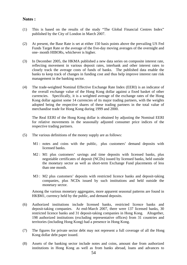#### **Notes :**

- (1) This is based on the results of the study "The Global Financial Centres Index" published by the City of London in March 2007.
- (2) At present, the Base Rate is set at either 150 basis points above the prevailing US Fed Funds Target Rate or the average of the five-day moving averages of the overnight and one- month HIBORs, whichever is higher.
- (3) In December 2005, the HKMA published a new data series on composite interest rate, reflecting movement in various deposit rates, interbank and other interest rates to closely track the average costs of funds of banks. The published data enable the banks to keep track of changes in funding cost and thus help improve interest rate risk management in the banking sector.
- (4) The trade-weighted Nominal Effective Exchange Rate Index (EERI) is an indicator of the overall exchange value of the Hong Kong dollar against a fixed basket of other currencies. Specifically, it is a weighted average of the exchange rates of the Hong Kong dollar against some 14 currencies of its major trading partners, with the weights adopted being the respective shares of these trading partners in the total value of merchandise trade for Hong Kong during 1999 and 2000.

 The Real EERI of the Hong Kong dollar is obtained by adjusting the Nominal EERI for relative movements in the seasonally adjusted consumer price indices of the respective trading partners.

- (5) The various definitions of the money supply are as follows:
	- M1 : notes and coins with the public, plus customers' demand deposits with licensed banks.
	- M2 : M1 plus customers' savings and time deposits with licensed banks, plus negotiable certificates of deposit (NCDs) issued by licensed banks, held outside the monetary sector as well as short-term Exchange Fund placements of less than one month.
	- M3 : M2 plus customers' deposits with restricted licence banks and deposit-taking companies, plus NCDs issued by such institutions and held outside the monetary sector.

 Among the various monetary aggregates, more apparent seasonal patterns are found in HK\$M1, currency held by the public, and demand deposits.

- (6) Authorized institutions include licensed banks, restricted licence banks and deposit-taking companies. At end-March 2007, there were 137 licensed banks, 30 restricted licence banks and 31 deposit-taking companies in Hong Kong. Altogether, 198 authorized institutions (excluding representative offices) from 31 countries and territories (including Hong Kong) had a presence in Hong Kong.
- (7) The figures for private sector debt may not represent a full coverage of all the Hong Kong dollar debt paper issued.
- (8) Assets of the banking sector include notes and coins, amount due from authorized institutions in Hong Kong as well as from banks abroad, loans and advances to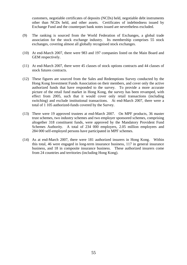customers, negotiable certificates of deposits (NCDs) held, negotiable debt instruments other than NCDs held, and other assets. Certificates of indebtedness issued by Exchange Fund and the counterpart bank notes issued are nevertheless excluded.

- (9) The ranking is sourced from the World Federation of Exchanges, a global trade association for the stock exchange industry. Its membership comprises 55 stock exchanges, covering almost all globally recognised stock exchanges.
- (10) At end-March 2007, there were 983 and 197 companies listed on the Main Board and GEM respectively.
- (11) At end-March 2007, there were 45 classes of stock options contracts and 44 classes of stock futures contracts.
- (12) These figures are sourced from the Sales and Redemptions Survey conducted by the Hong Kong Investment Funds Association on their members, and cover only the active authorized funds that have responded to the survey. To provide a more accurate picture of the retail fund market in Hong Kong, the survey has been revamped, with effect from 2005, such that it would cover only retail transactions (including switching) and exclude institutional transactions. At end-March 2007, there were a total of 1 105 authorized-funds covered by the Survey.
- (13) There were 19 approved trustees at end-March 2007. On MPF products, 36 master trust schemes, two industry schemes and two employer sponsored schemes, comprising altogether 318 constituent funds, were approved by the Mandatory Provident Fund Schemes Authority. A total of 234 000 employers, 2.05 million employees and 284 000 self-employed persons have participated in MPF schemes.
- (14) As at end-March 2007, there were 181 authorized insurers in Hong Kong. Within this total, 46 were engaged in long-term insurance business, 117 in general insurance business, and 18 in composite insurance business. These authorized insurers come from 24 countries and territories (including Hong Kong).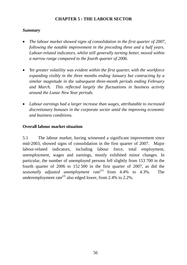### **CHAPTER 5 : THE LABOUR SECTOR**

#### *Summary*

- *The labour market showed signs of consolidation in the first quarter of 2007, following the notable improvement in the preceding three and a half years. Labour-related indicators, whilst still generally turning better, moved within a narrow range compared to the fourth quarter of 2006.*
- *Yet greater volatility was evident within the first quarter, with the workforce expanding visibly in the three months ending January but contracting by a similar magnitude in the subsequent three-month periods ending February and March. This reflected largely the fluctuations in business activity around the Lunar New Year periods.*
- *Labour earnings had a larger increase than wages, attributable to increased discretionary bonuses in the corporate sector amid the improving economic and business conditions.*

### **Overall labour market situation**

5.1 The labour market, having witnessed a significant improvement since mid-2003, showed signs of consolidation in the first quarter of 2007. Major labour-related indicators, including labour force, total employment, unemployment, wages and earnings, mostly exhibited minor changes. In particular, the number of unemployed persons fell slightly from 153 700 in the fourth quarter of 2006 to 152 500 in the first quarter of 2007, as did the *seasonally adjusted unemployment rate*<sup>(1)</sup> from 4.4% to 4.3%. The underemployment rate<sup>(2)</sup> also edged lower, from 2.4% to 2.2%.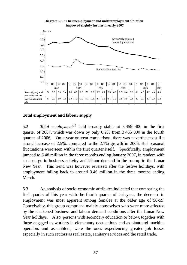

**Diagram 5.1 : The unemployment and underemployment situation improved slightly further in early 2007**

### **Total employment and labour supply**

5.2 *Total employment*<sup>(3)</sup> held broadly stable at 3 459 400 in the first quarter of 2007, which was down by only 0.2% from 3 466 000 in the fourth quarter of 2006. On a year-on-year comparison, there was nevertheless still a strong increase of 2.5%, compared to the 2.1% growth in 2006. But seasonal fluctuations were seen within the first quarter itself. Specifically, employment jumped to 3.48 million in the three months ending January 2007, in tandem with an upsurge in business activity and labour demand in the run-up to the Lunar New Year. This trend was however reversed after the festive holidays, with employment falling back to around 3.46 million in the three months ending March.

5.3 An analysis of socio-economic attributes indicated that comparing the first quarter of this year with the fourth quarter of last year, the decrease in employment was most apparent among females at the older age of 50-59. Conceivably, this group comprised mainly housewives who were more affected by the slackened business and labour demand conditions after the Lunar New Year holidays. Also, persons with secondary education or below, together with those engaged as workers in elementary occupations and as plant and machine operators and assemblers, were the ones experiencing greater job losses especially in such sectors as real estate, sanitary services and the retail trade.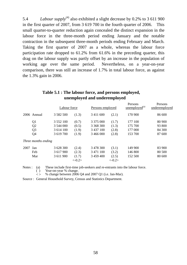5.4 *Labour supply*<sup>(4)</sup> also exhibited a slight decrease by 0.2% to 3 611 900 in the first quarter of 2007, from 3 619 700 in the fourth quarter of 2006. This small quarter-to-quarter reduction again concealed the distinct expansion in the labour force in the three-month period ending January and the notable contraction in the subsequent three-month periods ending February and March. Taking the first quarter of 2007 as a whole, whereas the labour force participation rate dropped to 61.2% from 61.6% in the preceding quarter, this drag on the labour supply was partly offset by an increase in the population of working age over the same period. Nevertheless, on a year-on-year comparison, there was still an increase of 1.7% in total labour force, as against the 1.3% gain in 2006.

|      |                     | Labour force  |          | Persons employed |          | Persons<br>unemployed <sup>(a)</sup> | Persons<br>underemployed |  |
|------|---------------------|---------------|----------|------------------|----------|--------------------------------------|--------------------------|--|
|      | 2006 Annual         | 3 5 8 2 5 0 0 | (1.3)    | 3 4 11 6 0 0     | (2.1)    | 170 900                              | 86 600                   |  |
|      | Q1                  | 3 5 5 2 10 0  | (0.7)    | 3 3 7 5 0 0 0    | (1.7)    | 177 100                              | 80 900                   |  |
|      | Q <sub>2</sub>      | 3 544 000     | (0.5)    | 3 368 300        | (1.3)    | 175 700                              | 93 800                   |  |
|      | Q <sub>3</sub>      | 3 614 100     | (1.9)    | 3 437 100        | (2.8)    | 177 000                              | 84 300                   |  |
|      | Q <sub>4</sub>      | 3 619 700     | (1.9)    | 3 466 000        | (2.8)    | 153 700                              | 87 600                   |  |
|      | Three months ending |               |          |                  |          |                                      |                          |  |
| 2007 | Jan                 | 3 628 300     | (2.4)    | 3 478 300        | (3.1)    | 149 900                              | 83 900                   |  |
|      | Feb                 | 3 617 900     | (2.3)    | 3 471 100        | (3.2)    | 146 800                              | 80 500                   |  |
|      | Mar                 | 3 611 900     | (1.7)    | 3 459 400        | (2.5)    | 152 500                              | 80 600                   |  |
|      |                     |               | $<-0.2>$ |                  | $<-0.2>$ |                                      |                          |  |

### **Table 5.1 : The labour force, and persons employed, unemployed and underemployed**

Notes : (a) These include first-time job-seekers and re-entrants into the labour force.

( ) Year-on-year % change.

 $\leq$  % change between 2006 Q4 and 2007 Q1 (i.e. Jan-Mar).

Source : General Household Survey, Census and Statistics Department.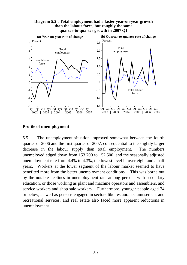



#### **Profile of unemployment**

5.5 The unemployment situation improved somewhat between the fourth quarter of 2006 and the first quarter of 2007, consequential to the slightly larger decrease in the labour supply than total employment. The numbers unemployed edged down from 153 700 to 152 500, and the seasonally adjusted unemployment rate from 4.4% to 4.3%, the lowest level in over eight and a half years. Workers at the lower segment of the labour market seemed to have benefited more from the better unemployment conditions. This was borne out by the notable declines in unemployment rate among persons with secondary education, or those working as plant and machine operators and assemblers, and service workers and shop sale workers. Furthermore, younger people aged 24 or below, as well as persons engaged in sectors like restaurants, amusement and recreational services, and real estate also faced more apparent reductions in unemployment.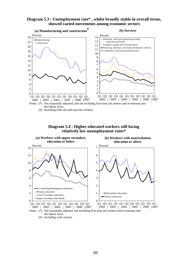#### **Diagram 5.3 : Unemployment rate\* , whilst broadly stable in overall terms, showed varied movements among economic sectors**



(#) Including both site and non-site workers.





the labour force.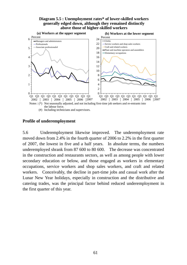#### **Diagram 5.5 : Unemployment rates\* of lower-skilled workers generally edged down, although they remained distinctly above those of higher-skilled workers**



### **Profile of underemployment**

5.6 Underemployment likewise improved. The underemployment rate moved down from 2.4% in the fourth quarter of 2006 to 2.2% in the first quarter of 2007, the lowest in five and a half years. In absolute terms, the numbers underemployed shrank from 87 600 to 80 600. The decrease was concentrated in the construction and restaurants sectors, as well as among people with lower secondary education or below, and those engaged as workers in elementary occupations, service workers and shop sales workers, and craft and related workers. Conceivably, the decline in part-time jobs and casual work after the Lunar New Year holidays, especially in construction and the distributive and catering trades, was the principal factor behind reduced underemployment in the first quarter of this year.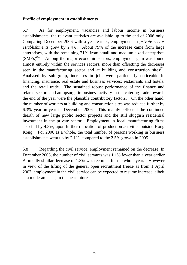### **Profile of employment in establishments**

5.7 As for employment, vacancies and labour income in business establishments, the relevant statistics are available up to the end of 2006 only. Comparing December 2006 with a year earlier, employment in *private sector establishments* grew by 2.4%. About 79% of the increase came from large enterprises, with the remaining 21% from small and medium-sized enterprises  $(SMEs)^{(5)}$ . Among the major economic sectors, employment gain was found almost entirely within the services sectors, more than offsetting the decreases seen in the manufacturing sector and at building and construction sites<sup> $(6)$ </sup>. Analysed by sub-group, increases in jobs were particularly noticeable in financing, insurance, real estate and business services; restaurants and hotels; and the retail trade. The sustained robust performance of the finance and related sectors and an upsurge in business activity in the catering trade towards the end of the year were the plausible contributory factors. On the other hand, the number of workers at building and construction sites was reduced further by 6.3% year-on-year in December 2006. This mainly reflected the continued dearth of new large public sector projects and the still sluggish residential investment in the private sector. Employment in local manufacturing firms also fell by 4.8%, upon further relocation of production activities outside Hong Kong. For 2006 as a whole, the total number of persons working in business establishments went up by 2.1%, compared to the 2.5% growth in 2005.

5.8 Regarding the civil service, employment remained on the decrease. In December 2006, the number of civil servants was 1.1% fewer than a year earlier. A broadly similar decrease of 1.3% was recorded for the whole year. However, in view of the lifting of the general open recruitment freeze as from 1 April 2007, employment in the civil service can be expected to resume increase, albeit at a moderate pace, in the near future.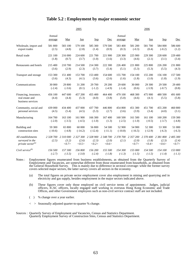#### **Table 5.2 : Employment by major economic sector**

|                                                                        |                    |                             | 2005                        |                             |                             |                    | 2006                        |                             |                                       |                  |  |
|------------------------------------------------------------------------|--------------------|-----------------------------|-----------------------------|-----------------------------|-----------------------------|--------------------|-----------------------------|-----------------------------|---------------------------------------|------------------|--|
|                                                                        | Annual<br>average  | Mar                         | Jun                         | <b>Sep</b>                  | Dec                         | Annual<br>average  | Mar                         | Jun                         | <b>Sep</b>                            | Dec              |  |
| Wholesale, import and                                                  | 581 800            | 583 100                     | 579 100                     | 585 300                     | 579 500                     | 583 400            | 581 200                     | 581 700                     | 584 000                               | 586 600          |  |
| export trades                                                          | (2.5)              | (4.8)                       | (2.8)                       | (1.4)                       | (0.9)                       | (0.3)              | $(-0.3)$                    | (0.4)                       | $(-0.2)$                              | (1.2)            |  |
| Retail trade                                                           | 221 100            | 216 000                     | 224 600                     | 221 700                     | 221 900                     | 228 300            | 225 900                     | 229 300                     | 228 600                               | 229 400          |  |
|                                                                        | (1.8)              | (0.7)                       | (3.7)                       | (1.0)                       | (1.6)                       | (3.3)              | (4.6)                       | (2.1)                       | (3.1)                                 | (3.4)            |  |
| Restaurants and hotels                                                 | 215 400            | 210 700                     | 214 500                     | 214 300                     | 222 300                     | 226 400            | 221 800                     | 225 800                     | 226 200                               | 231 800          |  |
|                                                                        | (3.6)              | (2.9)                       | (2.3)                       | (3.7)                       | (5.4)                       | (5.1)              | (5.3)                       | (5.3)                       | (5.5)                                 | (4.3)            |  |
| Transport and storage                                                  | 153 300            | 151 400                     | 153 700                     | 153 400                     | 154 600                     | 155 700            | 154 100                     | 155 200                     | 156 100                               | 157 500          |  |
|                                                                        | (3.6)              | (4.3)                       | (4.1)                       | (3.6)                       | (2.6)                       | (1.6)              | (1.8)                       | (1.0)                       | (1.8)                                 | (1.9)            |  |
| Communications                                                         | 30 000             | 29 800                      | 31 200                      | 29 700                      | 29 200                      | 29 600             | 30 000                      | 29 300                      | 29 500                                | 29 400           |  |
|                                                                        | $(-2.4)$           | $(-3.6)$                    | (0.1)                       | $(-1.2)$                    | $(-4.9)$                    | $(-1.4)$           | (0.6)                       | $(-5.9)$                    | $(-0.7)$                              | (0.8)            |  |
| Financing, insurance,<br>real estate and<br>business services          | 456 100<br>(4.4)   | 447 600<br>(4.4)            | 457 200<br>(5.3)            | 455 400<br>(4.0)            | 464 400<br>(3.8)            | 479 100<br>(5.0)   | 468 300<br>(4.6)            | 475 900<br>(4.1)            | 480 500<br>(5.5)                      | 491 600<br>(5.8) |  |
| Community, social and                                                  | 439 000            | 434 400                     | 437 000                     | 437 700                     | 446 800                     | 454 800            | 451 300                     | 451 700                     | 455 200                               | 460 800          |  |
| personal services                                                      | (4.5)              | (5.4)                       | (4.5)                       | (5.3)                       | (2.7)                       | (3.6)              | (3.9)                       | (3.4)                       | (4.0)                                 | (3.1)            |  |
| Manufacturing                                                          | 164 700            | 163 100                     | 161 900                     | 166 300                     | 167 400                     | 160 500            | 161 500                     | 161 100                     | 160 200                               | 159 300          |  |
|                                                                        | $(-2.0)$           | $(-3.5)$                    | $(-4.5)$                    | $(-1.0)$                    | (1.3)                       | $(-2.5)$           | $(-1.0)$                    | $(-0.5)$                    | $(-3.7)$                              | $(-4.8)$         |  |
| Building and                                                           | 59 300             | 65 800                      | 60 000                      | 56 800                      | 54 500                      | 52 900             | 54 900                      | 52 300                      | 53 300                                | 51 000           |  |
| construction sites                                                     | $(-10.6)$          | $(-4.8)$                    | $(-14.2)$                   | $(-12.4)$                   | $(-11.1)$                   | $(-10.8)$          | $(-16.5)$                   | $(-12.9)$                   | $(-6.3)$                              | $(-6.3)$         |  |
| All establishments<br>surveyed in the<br>private sector <sup>(a)</sup> | 2 328 700<br>(2.5) | 2 310 000<br>(3.2)<br><0.7> | 2 327 300<br>(2.6)<br><0.5> | 2 328 900<br>(2.3)<br><0.2> | 2 348 700<br>(2.0)<br><0.6> | 2 378 700<br>(2.1) | 2 357 200<br>(2.0)<br><0.7> | 2 370 400<br>(1.8)<br><0.4> | 2 381 800 2 405 300<br>(2.3)<br><0.6> | (2.4)<br><0.7>   |  |
| Civil service <sup>(b)</sup>                                           | 156 500            | 157 300                     | 156 800                     | 156 200                     | 155 500                     | 154 300            | 155 000                     | 154 500                     | 154 100                               | 153 800          |  |
|                                                                        | $(-2.7)$           | $(-3.5)$                    | $(-3.0)$                    | $(-2.4)$                    | $(-1.8)$                    | $(-1.3)$           | $(-1.5)$                    | $(-1.5)$                    | $(-1.4)$                              | $(-1.1)$         |  |

- Notes : Employment figures enumerated from business establishments, as obtained from the Quarterly Survey of Employment and Vacancies, are somewhat different from those enumerated from households, as obtained from the General Household Survey. This is mainly due to difference in sectoral coverage: while the former survey covers selected major sectors, the latter survey covers all sectors in the economy.
	- (a) The total figures on private sector employment cover also employment in mining and quarrying and in electricity and gas supply, besides employment in the major sectors indicated above.
	- (b) These figures cover only those employed on civil service terms of appointment. Judges, judicial officers, ICAC officers, locally engaged staff working in overseas Hong Kong Economic and Trade Offices, and other Government employees such as non-civil service contract staff are not included.
	- ( ) % change over a year earlier.
	- < > Seasonally adjusted quarter-to-quarter % change.
- Sources : Quarterly Survey of Employment and Vacancies, Census and Statistics Department. Quarterly Employment Survey of Construction Sites, Census and Statistics Department.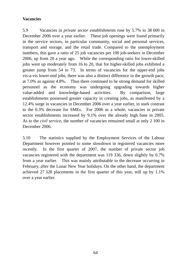### **Vacancies**

5.9 Vacancies in *private sector establishments* rose by 5.7% to 38 600 in December 2006 over a year earlier. These job openings were found primarily in the service sectors, in particular community, social and personal services, transport and storage, and the retail trade. Compared to the unemployment numbers, this gave a ratio of 25 job vacancies per 100 job-seekers in December 2006, up from 20 a year ago. While the corresponding ratio for lower-skilled jobs went up moderately from 16 to 20, that for higher-skilled jobs exhibited a greater jump from 54 to 73. In terms of vacancies for the upper-end jobs vis-a-vis lower-end jobs, there was also a distinct difference in the growth pace, at 7.0% as against 4.8%. Thus there continued to be strong demand for skilled personnel as the economy was undergoing upgrading towards higher value-added and knowledge-based activities. By comparison, large establishments possessed greater capacity in creating jobs, as manifested by a 12.4% surge in vacancies in December 2006 over a year earlier, in stark contrast to the 0.3% decrease for SMEs. For 2006 as a whole, vacancies in private sector establishments increased by 9.1% over the already high base in 2005. As to the *civil service,* the number of vacancies remained small at only 2 100 in December 2006.

5.10 The statistics supplied by the Employment Services of the Labour Department however pointed to some slowdown in registered vacancies more recently. In the first quarter of 2007, the number of private sector job vacancies registered with the department was 119 336, down slightly by 0.7% from a year earlier. This was mainly attributable to the decrease occurring in February, after the Lunar New Year holidays. On the other hand, the department achieved 27 328 placements in the first quarter of this year, still up by 1.1% over a year earlier.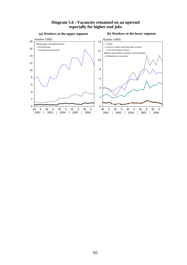#### **Diagram 5.6 : Vacancies remained on an uptrend especially for higher-end jobs**

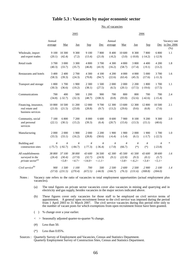#### **Table 5.3 : Vacancies by major economic sector**

No. of vacancies

|                                                                        | 2005              |                            |                           |                            |                                             | 2006                |                           |                              |                                 |                            |                                            |
|------------------------------------------------------------------------|-------------------|----------------------------|---------------------------|----------------------------|---------------------------------------------|---------------------|---------------------------|------------------------------|---------------------------------|----------------------------|--------------------------------------------|
|                                                                        | Annual<br>average | Mar                        | Jun                       | <b>Sep</b>                 | Dec                                         | Annual<br>average   | Mar                       | Jun                          | <b>Sep</b>                      |                            | Vacancy rate<br>Dec in Dec 2006<br>$(\% )$ |
| Wholesale, import<br>and export trades                                 | 9 100<br>(20.1)   | 10 300<br>(42.4)           | 9 3 0 0<br>(7.2)          | $9\;100$<br>(13.4)         | 7800<br>(21.0)                              | 8 4 0 0<br>$(-8.2)$ | 10 600<br>(3.0)           | 8 3 0 0<br>$(-10.8)$         | 7800<br>$(-14.2)$               | 6 800<br>$(-12.9)$         | $1.1\,$                                    |
| Retail trade                                                           | 3 700<br>(40.3)   | 3 000<br>(33.7)            | 3 3 0 0<br>(35.7)         | 4 800<br>(46.8)            | 3700<br>(41.9)                              | 4 3 0 0<br>(16.2)   | 4 800<br>(58.7)           | 3 800<br>(17.4)              | 4 4 0 0<br>$(-9.1)$             | 4 200<br>(13.2)            | 1.8                                        |
| Restaurants and hotels                                                 | 3 400<br>(58.3)   | 2 4 0 0<br>(39.3)          | 2 700<br>(24.3)           | 4 300<br>(70.8)            | 4 100<br>(94.7)                             | 4 200<br>(22.6)     | 4 0 0 0<br>(63.4)         | 4 000<br>(45.3)              | 5 000<br>(17.6)                 | 3 700<br>$(-11.3)$         | 1.6                                        |
| Transport and storage                                                  | 1 800<br>(30.3)   | 1700<br>(36.6)             | 1 900<br>(19.2)           | 2 3 0 0<br>(38.1)          | 1500<br>(27.5)                              | 2 000<br>(6.5)      | 2 000<br>(20.1)           | 2 2 0 0<br>(17.5)            | 1 800<br>$(-19.6)$              | 1700<br>(17.5)             | 1.1                                        |
| Communications                                                         | 700<br>(34.8)     | 400<br>$(-32.7)$           | 500<br>(32.3)             | 1 200<br>(48.7)            | 900<br>(108.3)                              | 700<br>(0.8)        | 800<br>(93.0)             | 800<br>(52.6)                | 700<br>$(-42.6)$                | 700<br>$(-15.4)$           | 2.4                                        |
| Financing, insurance,<br>real estate and<br>business services          | 10 800<br>(21.0)  | 10 500<br>(21.5)           | 11 200<br>(23.8)          | 12 000<br>(28.8)           | 9700<br>(9.7)                               | 12 300<br>(13.2)    | 13 600<br>(29.6)          | 12 300<br>(9.6)              | 12 800<br>(6.8)                 | 10 500<br>(7.6)            | 2.1                                        |
| Community, social<br>and personal<br>services                          | 7 100<br>(22.1)   | 6 800<br>(30.1)            | 7 200<br>(15.2)           | 8 0 0 0<br>(39.3)          | 6 600<br>(6.4)                              | 8 600<br>(20.7)     | 7 900<br>(15.6)           | 8 100<br>(13.3)              | 9 200<br>(15.1)                 | 9 300<br>(40.6)            | 2.0                                        |
| Manufacturing                                                          | 2 000<br>(33.3)   | 2 000<br>(33.1)            | 1 900<br>(16.2)           | 2 000<br>(28.8)            | 2 2 0 0<br>(58.6)                           | 1 900<br>$(-6.4)$   | 1 900<br>$(-3.4)$         | 2 000<br>(6.1)               | 1 900<br>$(-3.7)$               | 1700<br>$(-22.5)$          | 1.0                                        |
| Building and<br>construction sites                                     | #<br>$(-75.7)$    | $\#$<br>$(-92.7)$          | $\#$<br>$(-84.7)$         | $\#$<br>$(-77.3)$          | #<br>$(-36.4)$                              | $\#$<br>$(-7.0)$    | #<br>(66.7)               | #<br>$(*)$                   | $\#$<br>$(*)$                   | #<br>$(-23.8)$             | $\ast$                                     |
| All establishments<br>surveyed in the<br>private sector <sup>(a)</sup> | 38 800<br>(26.4)  | 37 100<br>(30.4)<br>< 5.8> | 38 000<br>(17.9)<br><4.7> | 43 600<br>(32.7)<br><14.0> | 36 500<br>(24.9)<br>$\langle -l, l \rangle$ | 42 300<br>(9.1)     | 45 500<br>(22.8)<br><3.8> | 41 500<br>(9.3)<br>$< -6.2>$ | <i>43 600</i><br>(0.1)<br><3.4> | 38 600<br>(5.7)<br>< 5.1 > | 1.6                                        |
| Civil service <sup>(b)</sup>                                           | 900<br>(57.0)     | 1500<br>(231.5)            | 1 100<br>(270.4)          | 700<br>(672.5)             | 500<br>$(-66.9)$                            | 2 500<br>(166.7)    | 2 600<br>(76.3)           | 2 500<br>(131.6)             | 2 900<br>(308.8)                | 2 100<br>(304.0)           | 1.4                                        |

Notes : Vacancy rate refers to the ratio of vacancies to total employment opportunities (actual employment plus vacancies).

(a) The total figures on private sector vacancies cover also vacancies in mining and quarrying and in electricity and gas supply, besides vacancies in the major sectors indicated above.

(b) These figures cover only vacancies for those staff to be employed on civil service terms of appointment. A general open recruitment freeze to the civil service was imposed during the period from 1 April 2003 to 31 March 2007. The civil service vacancies during this period refer only to the number of vacant posts for which exemptions from open recruitment freeze have been granted.

- ( ) % change over a year earlier.
- < > Seasonally adjusted quarter-to-quarter % change.
- (#) Less than 50.
- $(*)$  Less than  $0.05\%$ .
- Sources : Quarterly Survey of Employment and Vacancies, Census and Statistics Department. Quarterly Employment Survey of Construction Sites, Census and Statistics Department.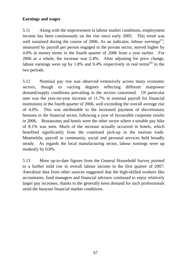## **Earnings and wages**

5.11 Along with the improvement in labour market conditions, employment income has been continuously on the rise since early 2005. This trend was well sustained during the course of 2006. As an indicator, *labour earnings*<sup>(7)</sup>, measured by payroll per person engaged in the private sector, moved higher by 4.0% in money terms in the fourth quarter of 2006 from a year earlier. For 2006 as a whole, the increase was 2.4%. After adjusting for price change, labour earnings were up by  $1.8\%$  and  $0.4\%$  respectively in real terms<sup>(8)</sup> in the two periods.

5.12 Nominal pay rise was observed extensively across many economic sectors, though to varying degrees reflecting different manpower demand/supply conditions prevailing in the sectors concerned. Of particular note was the year-on-year increase of 11.7% in nominal payroll for financial institutions in the fourth quarter of 2006, well exceeding the overall average rise of 4.0%. This was attributable to the increased payment of discretionary bonuses in the financial sector, following a year of favourable corporate results in 2006. Restaurants and hotels were the other sector where a notable pay hike of 8.1% was seen. Much of the increase actually occurred in hotels, which benefited significantly from the continued pick-up in the tourism trade. Meanwhile, payroll in community, social and personal services held broadly steady. As regards the local manufacturing sector, labour earnings were up modestly by 0.8%.

5.13 More up-to-date figures from the General Household Survey pointed to a further mild rise in overall labour income in the first quarter of 2007. Anecdotal data from other sources suggested that the high-skilled workers like accountants, fund managers and financial advisers continued to enjoy relatively larger pay increases, thanks to the generally keen demand for such professionals amid the buoyant financial market conditions.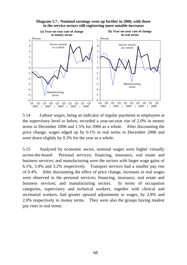

**Diagram 5.7 : Nominal earnings went up further in 2006, with those in the service sectors still registering more notable increases**

5.14 *Labour wages*, being an indicator of regular payments to employees at the supervisory level or below, recorded a year-on-year rise of 2.0% in money terms in December 2006 and 1.5% for 2006 as a whole. After discounting the price change, wages edged up by 0.1% in real terms in December 2006 and were down slightly by 0.3% for the year as a whole.

5.15 Analysed by economic sector, nominal wages were higher virtually across-the-board. Personal services; financing, insurance, real estate and business services; and manufacturing were the sectors with larger wage gains of 6.1%, 3.4% and 3.2% respectively. Transport services had a smaller pay rise of 0.4%. After discounting the effect of price change, increases in real wages were observed in the personal services; financing, insurance, real estate and business services; and manufacturing sectors. In terms of occupation categories, supervisory and technical workers, together with clerical and secretarial workers, had greater upward adjustments in wages, by 2.8% and 2.0% respectively in money terms. They were also the groups having modest pay rises in real terms.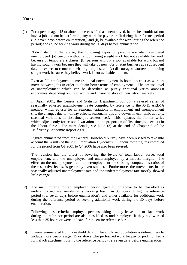### **Notes :**

(1) For a person aged 15 or above to be classified as unemployed, he or she should: (a) not have a job and not be performing any work for pay or profit during the reference period (i.e. seven days before enumeration); and (b) be available for work during the reference period; and (c) be seeking work during the 30 days before enumeration.

 Notwithstanding the above, the following types of persons are also considered unemployed: (a) persons without a job, having sought work but not available for work because of temporary sickness; (b) persons without a job, available for work but not having sought work because they will take up new jobs or start business at a subsequent date, or expect to return to their original jobs; and (c) discouraged workers not having sought work because they believe work is not available to them.

 Even at full employment, some frictional unemployment is bound to exist as workers move between jobs in order to obtain better terms of employment. The precise level of unemployment which can be described as purely frictional varies amongst economies, depending on the structure and characteristics of their labour markets.

 In April 2001, the Census and Statistics Department put out a revised series of seasonally adjusted unemployment rate compiled by reference to the X-11 ARIMA method, which adjusts for all seasonal variations in employment and unemployment (i.e. the changes due to holiday effects, seasonally ups and downs in economic activity, seasonal variations in first-time job-seekers, etc). This replaces the former series which adjusts only for seasonal variations in the proportion of first-time job-seekers in the labour force. For more details, see Note (3) at the end of Chapter 5 of the Half-yearly Economic Report 2001.

 Figures enumerated from the General Household Survey have been revised to take into account the results of the 2006 Population By-census. Labour force figures compiled for the period from Q1 2001 to Q4 2006 have also been revised.

 The revision has the effect of lowering the levels of total labour force, total employment, and the unemployed and underemployed by a modest margin. The effect on the unemployment and underemployment rates, being computed as ratios of the respective levels, is generally even smaller. Furthermore, the movements in the seasonally adjusted unemployment rate and the underemployment rate mostly showed little change.

(2) The main criteria for an employed person aged 15 or above to be classified as underemployed are: involuntarily working less than 35 hours during the reference period (i.e. seven days before enumeration), and either available for additional work during the reference period or seeking additional work during the 30 days before enumeration.

 Following these criteria, employed persons taking no-pay leave due to slack work during the reference period are also classified as underemployed if they had worked less than 35 hours or were on leave for the entire reference period.

(3) Figures enumerated from household data. The employed population is defined here to include those persons aged 15 or above who performed work for pay or profit or had a formal job attachment during the reference period (i.e. seven days before enumeration).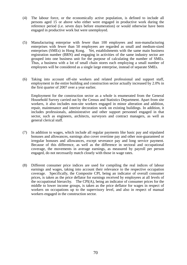- (4) The labour force, or the economically active population, is defined to include all persons aged 15 or above who either were engaged in productive work during the reference period (i.e. seven days before enumeration) or would otherwise have been engaged in productive work but were unemployed.
- (5) Manufacturing enterprise with fewer than 100 employees and non-manufacturing enterprises with fewer than 50 employees are regarded as small and medium-sized enterprises (SMEs) in Hong Kong. Yet, establishments with the same main business registration number (BRN) and engaging in activities of the same industry sector are grouped into one business unit for the purpose of calculating the number of SMEs. Thus, a business with a lot of small chain stores each employing a small number of employees will be considered as a single large enterprise, instead of separate SMEs.
- (6) Taking into account off-site workers and related professional and support staff, employment in the entire building and construction sector actually increased by 2.0% in the first quarter of 2007 over a year earlier.

 Employment for the construction sector as a whole is enumerated from the General Household Survey carried out by the Census and Statistics Department. Apart from site workers, it also includes non-site workers engaged in minor alteration and addition, repair, maintenance and interior decoration work on existing buildings. In addition, it includes professionals, administrative and other support personnel engaged in that sector, such as engineers, architects, surveyors and contract managers, as well as general clerical staff.

- (7) In addition to wages, which include all regular payments like basic pay and stipulated bonuses and allowances, earnings also cover overtime pay and other non-guaranteed or irregular bonuses and allowances, except severance pay and long service payment. Because of this difference, as well as the difference in sectoral and occupational coverage, the movements in average earnings, as measured by payroll per person engaged, do not necessarily match closely with those in wage rates.
- (8) Different consumer price indices are used for compiling the real indices of labour earnings and wages, taking into account their relevance to the respective occupation coverage. Specifically, the Composite CPI, being an indicator of overall consumer prices, is taken as the price deflator for earnings received by employees at all levels of the occupational hierarchy. The CPI(A), being an indicator of consumer prices for the middle to lower income groups, is taken as the price deflator for wages in respect of workers on occupations up to the supervisory level, and also in respect of manual workers engaged in the construction sector.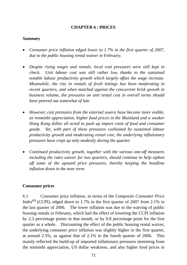## **CHAPTER 6 : PRICES**

### *Summary*

- *Consumer price inflation edged lower to 1.7% in the first quarter of 2007, due to the public housing rental waiver in February.*
- *Despite rising wages and rentals, local cost pressures were still kept in check. Unit labour cost was still rather low, thanks to the sustained notable labour productivity growth which largely offset the wage increase. Meanwhile, the rise in rentals of fresh lettings has been moderating in recent quarters, and when matched against the concurrent brisk growth in business volume, the pressures on unit rental cost in overall terms should have petered out somewhat of late.*
- *However, cost pressures from the external source have become more visible, as renminbi appreciation, higher food prices in the Mainland and a weaker Hong Kong dollar all acted to push up import costs of food and consumer goods. Yet, with part of these pressures cushioned by sustained labour productivity growth and moderating rental cost, the underlying inflationary pressures have crept up only modestly during the quarter.*
- *Continued productivity growth, together with the various one-off measures including the rates waiver for two quarters, should continue to help siphon off some of the upward price pressures, thereby keeping the headline inflation down in the near term.*

### **Consumer prices**

6.1 Consumer price inflation, in terms of the *Composite Consumer Price Index*<sup>(1)</sup> (CCPI), edged down to 1.7% in the first quarter of 2007 from 2.1% in the last quarter of 2006. The lower inflation was due to the waiving of public housing rentals in February, which had the effect of lowering the CCPI inflation by 2.3 percentage points in that month, or by 0.8 percentage point for the first quarter as a whole. Discounting the effect of the public housing rental waiver, the underlying consumer price inflation was slightly higher in the first quarter, at around 2.5%, as against that of 2.1% in the fourth quarter of 2006. This mainly reflected the build-up of imported inflationary pressures stemming from the renminbi appreciation, US dollar weakness, and also higher food prices in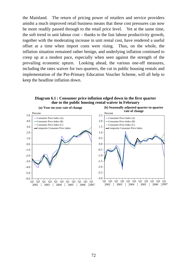the Mainland. The return of pricing power of retailers and service providers amidst a much improved retail business means that these cost pressures can now be more readily passed through to the retail price level. Yet at the same time, the soft trend in unit labour cost – thanks to the fast labour productivity growth, together with the moderating increase in unit rental cost, have rendered a useful offset at a time when import costs were rising. Thus, on the whole, the inflation situation remained rather benign, and underlying inflation continued to creep up at a modest pace, especially when seen against the strength of the prevailing economic upturn. Looking ahead, the various one-off measures, including the rates waiver for two quarters, the cut in public housing rentals and implementation of the Pre-Primary Education Voucher Scheme, will all help to keep the headline inflation down.

**Diagram 6.1 : Consumer price inflation edged down in the first quarter due to the public housing rental waiver in February**

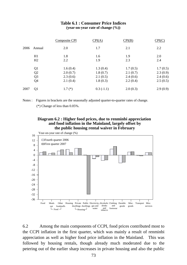#### **Table 6.1 : Consumer Price Indices (year-on-year rate of change (%))**

|      |                | Composite CPI | CPI(A)      | CPI(B)   | CPI(C)   |
|------|----------------|---------------|-------------|----------|----------|
| 2006 | Annual         | 2.0           | 1.7         | 2.1      | 2.2      |
|      | H1             | 1.8           | 1.6         | 1.9      | 2.0      |
|      | H2             | 2.2           | 1.9         | 2.3      | 2.4      |
|      | Q <sub>1</sub> | 1.6(0.4)      | 1.3(0.4)    | 1.7(0.5) | 1.7(0.5) |
|      | Q2             | 2.0(0.7)      | 1.8(0.7)    | 2.1(0.7) | 2.3(0.9) |
|      | Q <sub>3</sub> | 2.3(0.6)      | 2.1(0.5)    | 2.4(0.6) | 2.4(0.6) |
|      | Q4             | 2.1(0.4)      | 1.8(0.3)    | 2.2(0.4) | 2.5(0.5) |
| 2007 | Q <sub>1</sub> | $1.7(*)$      | $0.3(-1.1)$ | 2.0(0.3) | 2.9(0.9) |

Notes : Figures in brackets are the seasonally adjusted quarter-to-quarter rates of change. (\*) Change of less than 0.05%.

#### **Diagram 6.2 : Higher food prices, due to renminbi appreciation and food inflation in the Mainland, largely offset by the public housing rental waiver in February**



6.2 Among the main components of CCPI, food prices contributed most to the CCPI inflation in the first quarter, which was mainly a result of renminbi appreciation as well as higher food price inflation in the Mainland. This was followed by housing rentals, though already much moderated due to the petering out of the earlier sharp increases in private housing and also the public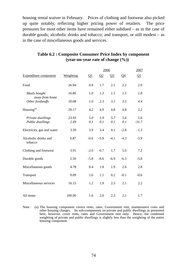housing rental waiver in February. Prices of clothing and footwear also picked up quite notably, reflecting higher pricing power of retailers. The price pressures for most other items have remained either subdued – as in the case of durable goods; alcoholic drinks and tobacco; and transport, or still modest – as in the case of miscellaneous goods and services.

|                                       |               |            | 2006       |            |            | 2007                  |
|---------------------------------------|---------------|------------|------------|------------|------------|-----------------------|
| <b>Expenditure component</b>          | Weighting     | $\Omega$   | $\Omega$   | $Q_3$      | $Q_4$      | $\Omega$ <sup>1</sup> |
| Food                                  | 26.94         | 0.9        | 1.7        | 2.1        | 2.2        | 2.9                   |
| Meals bought<br>away from home        | 16.86         | 1.0        | 1.3        | 1.5        | 1.5        | 1.8                   |
| Other foodstuffs                      | 10.08         | 1.0        | 2.3        | 3.1        | 3.5        | 4.4                   |
| Housing $(a)$                         | 29.17         | 4.2        | 4.9        | 4.8        | 4.8        | 2.2                   |
| Private dwellings<br>Public dwellings | 23.93<br>2.49 | 5.0<br>0.1 | 5.9<br>0.1 | 5.7<br>0.1 | 5.6<br>0.1 | 5.6<br>$-31.7$        |
| Electricity, gas and water            | 3.59          | 3.9        | 3.4        | 4.1        | $-2.8$     | $-1.3$                |
| Alcoholic drinks and<br>tobacco       | 0.87          | $-0.6$     | $-5.9$     | $-4.1$     | $-4.3$     | $-3.9$                |
| Clothing and footwear                 | 3.91          | $-2.0$     | $-0.7$     | 1.7        | 5.0        | 7.2                   |
| Durable goods                         | 5.50          | $-5.8$     | $-6.6$     | $-6.9$     | $-6.3$     | $-5.8$                |
| Miscellaneous goods                   | 4.78          | 0.4        | 1.8        | 1.9        | 2.6        | 2.8                   |
| Transport                             | 9.09          | 1.6        | 1.1        | 0.2        | $-0.1$     | $-0.6$                |
| Miscellaneous services                | 16.15         | 1.2        | 1.9        | 2.5        | 2.1        | 2.2                   |
| All items                             | 100.00        | 1.6        | 2.0        | 2.3        | 2.1        | 1.7                   |

## **Table 6.2 : Composite Consumer Price Index by component (year-on-year rate of change (%))**

Note : (a) The housing component covers rents, rates, Government rent, maintenance costs and other housing charges. Its sub-components on private and public dwellings as presented here, however, cover rents, rates and Government rent only. Hence, the combined weighting of private and public dwellings is slightly less than the weighting of the entire housing component.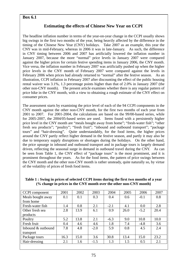### **Box 6.1**

### **Estimating the effects of Chinese New Year on CCPI**

The headline inflation number in terms of the year-on-year change in the CCPI usually shows big swings in the first two months of the year, being heavily affected by the difference in the timing of the Chinese New Year (CNY) holidays. Take 2007 as an example, this year the CNY was in mid-February, whereas in 2006 it was in late-January. As such, the difference in CNY timing between 2006 and 2007 has artificially lowered the inflation number in January 2007, because the more "normal" price levels in January 2007 were compared against the higher prices for certain festive spending items in January 2006, the CNY month. Vice versa, the inflation number in February 2007 was artificially pushed up when the higher price levels in the CNY month of February 2007 were compared against the levels in February 2006 when prices had already returned to "normal" after the festive season. As an illustration, CCPI inflation in February 2007 after discounting the effect of the public housing rental waiver was 3.1%, 1.3 percentage points higher than that of 2.0% in January 2007 (the other non-CNY month). The present article examines whether there is any regular pattern of price hike in the CNY month, with a view to obtaining a rough estimate of the CNY effect on consumer prices.

The assessment starts by examining the price level of each of the 94 CCPI components in the CNY month against the other non-CNY month, for the first two months of each year from 2001 to 2007. For 2001-2004, the calculations are based on the 99/00-based series, while for 2005-2007, the 2004/05-based series are used. Items found with a persistently higher price level in the CNY month are "meals bought away from home"; "fresh-water fish"; "other fresh sea products"; "poultry"; "fresh fruit"; "inbound and outbound transport"; "package tours" and "hair-dressing". Quite understandably, for the food items, the higher prices around the CNY partly reflect higher demand in the festive season, and partly it may also be due to temporary supply disruptions or shortages during the holidays. On the other hand, the price upsurge in inbound and outbound transport and in package tours is largely demand driven, reflecting the seasonal surge in demand in outbound travel during the CNY. As can be seen from Table 1, the CNY effect of "package tours" is the most prominent, and it is prominent throughout the years. As for the food items, the pattern of price swings between the CNY month and the other non-CNY month is rather unsteady, quite naturally so, by virtue of the volatility of prices of fresh food items.

| CCPI component     | 2001 | 2002 | 2003   | 2004   | 2005 | 2006   | 2007 |
|--------------------|------|------|--------|--------|------|--------|------|
| Meals bought away  | 0.1  | 0.1  | 0.3    | 0.4    | 0.6  | $-0.1$ | 0.8  |
| from home          |      |      |        |        |      |        |      |
| Fresh-water fish   | 1.4  | 0.8  | 2.1    | $-2.1$ | 4.1  | 0.0    | 2.8  |
| Other fresh sea    | 2.8  | 13.9 | 6.1    | 0.9    | 26.0 | $-5.2$ | 20.4 |
| products           |      |      |        |        |      |        |      |
| Poultry            | 5.2  | 13.8 | 2.1    | $-6.3$ | 9.0  | 10.8   | 10.0 |
| Fresh fruit        | 0.4  | 4.6  | 4.6    | 1.8    | 7.4  | $-4.8$ | 3.6  |
| Inbound & outbound | 7.8  | 4.8  | $-2.0$ | 5.9    | 0.8  | 4.5    | 2.4  |
| transport          |      |      |        |        |      |        |      |
| Package tours      | 16.3 | 15.0 | 3.6    | 30.8   | 13.4 | 15.0   | 23.2 |
| Hair-dressing      | 2.1  | 1.6  | $-1.5$ | 1.3    | 1.5  | 0.5    | 2.1  |

**Table 1 : Swing in prices of selected CCPI items during the first two months of a year (% change in prices in the CNY month over the other non-CNY month)**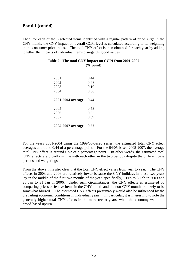### **Box 6.1 (cont'd)**

Then, for each of the 8 selected items identified with a regular pattern of price surge in the CNY month, the CNY impact on overall CCPI level is calculated according to its weighting in the consumer price index. The total CNY effect is then obtained for each year by adding together the impacts of individual items disregarding odd values.

| Table 2 : The total CNY impact on CCPI from 2001-2007 |  |
|-------------------------------------------------------|--|
| $\frac{6}{2}$ point)                                  |  |

| 2001<br>2002<br>2003<br>2004 | 0.44<br>0.48<br>0.19<br>0.66 |
|------------------------------|------------------------------|
| 2001-2004 average            | 0.44                         |
|                              |                              |

#### **2005-2007 average 0.52**

For the years 2001-2004 using the 1999/00-based series, the estimated total CNY effect averages at around 0.44 of a percentage point. For the 04/05-based 2005-2007, the average total CNY effect is around 0.52 of a percentage point. In other words, the estimated total CNY effects are broadly in line with each other in the two periods despite the different base periods and weightings.

From the above, it is also clear that the total CNY effect varies from year to year. The CNY effects in 2003 and 2006 are relatively lower because the CNY holidays in these two years lay in the middle of the first two months of the year, specifically, 1 Feb to 3 Feb in 2003 and 28 Jan to 31 Jan in 2006. Under such circumstances, the CNY effects as estimated by comparing prices of festive items in the CNY month and the non-CNY month are likely to be somewhat blurred. The estimated CNY effects presumably would also be influenced by the prevailing economic conditions in individual years. In particular, it is interesting to note the generally higher total CNY effects in the more recent years, when the economy was on a broad-based upturn.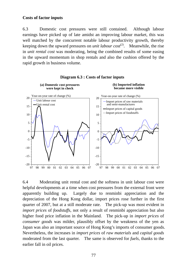### **Costs of factor inputs**

6.3 Domestic cost pressures were still contained. Although labour earnings have picked up of late amidst an improving labour market, this was well matched by the concurrent notable labour productivity growth, thereby keeping down the upward pressures on *unit labour cost*<sup>(2)</sup>. Meanwhile, the rise in *unit rental cost* was moderating, being the combined results of some easing in the upward momentum in shop rentals and also the cushion offered by the rapid growth in business volume.





6.4 Moderating unit rental cost and the softness in unit labour cost were helpful developments at a time when cost pressures from the external front were apparently building up. Largely due to renminbi appreciation and the depreciation of the Hong Kong dollar, import prices rose further in the first quarter of 2007, but at a still moderate rate. The pick-up was most evident in *import prices* of *foodstuffs*, not only a result of renminbi appreciation but also higher food price inflation in the Mainland. The pick-up in *import prices* of *consumer goods* was milder, plausibly offset by the weakness of the yen as Japan was also an important source of Hong Kong's imports of consumer goods. Nevertheless, the increases in *import prices* of *raw materials* and *capital goods* moderated from the last quarter. The same is observed for *fuels*, thanks to the earlier fall in oil prices.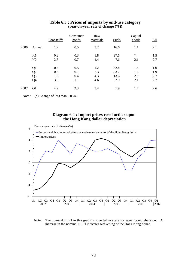|      |                                                          | Foodstuffs                  | Consumer<br>goods        | Raw<br>materials         | Fuels                       | Capital<br>goods            | <u>All</u>               |
|------|----------------------------------------------------------|-----------------------------|--------------------------|--------------------------|-----------------------------|-----------------------------|--------------------------|
| 2006 | Annual                                                   | 1.2                         | 0.5                      | 3.2                      | 16.6                        | 1.1                         | 2.1                      |
|      | H1<br>H2                                                 | 0.2<br>2.3                  | 0.3<br>0.7               | 1.8<br>4.4               | 27.5<br>7.6                 | $\ast$<br>2.1               | 1.5<br>2.7               |
|      | Q1<br>Q <sub>2</sub><br>Q <sub>3</sub><br>Q <sub>4</sub> | $-0.3$<br>0.6<br>1.5<br>3.0 | 0.5<br>0.1<br>0.4<br>1.1 | 1.2<br>2.3<br>4.3<br>4.6 | 32.4<br>23.7<br>13.6<br>2.0 | $-1.5$<br>1.3<br>2.0<br>2.1 | 1.0<br>1.9<br>2.7<br>2.7 |
| 2007 | Q1                                                       | 4.9                         | 2.3                      | 3.4                      | 1.9                         | 1.7                         | 2.6                      |

#### **Table 6.3 : Prices of imports by end-use category (year-on-year rate of change (%))**

Note : (\*) Change of less than  $0.05\%$ .

#### **Diagram 6.4 : Import prices rose further upon the Hong Kong dollar depreciation**



Note : The nominal EERI in this graph is inverted in scale for easier comprehension. An increase in the nominal EERI indicates weakening of the Hong Kong dollar.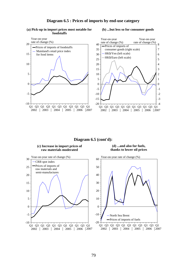#### **Diagram 6.5 : Prices of imports by end-use category**

#### **(a) Pick-up in import prices most notable for foodstuffs**

#### **(b) ...but less so for consumer goods**



**Diagram 6.5 (cont'd):** 

**(c) Increase in import prices of raw materials moderated**

**(d) ...and also for fuels, thanks to lower oil prices**

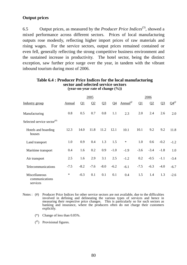# **Output prices**

6.5 Output prices, as measured by the *Producer Price Indices*(3), showed a mixed performance across different sectors. Prices of local manufacturing outputs rose modestly, reflecting higher import prices of raw materials and rising wages. For the service sectors, output prices remained contained or even fell, generally reflecting the strong competitive business environment and the sustained increase in productivity. The hotel sector, being the distinct exception, saw further price surge over the year, in tandem with the vibrant inbound tourism during most of 2006.

|                                                                     |               |          | 2005   |        |                |                         |        | 2006   |        |               |
|---------------------------------------------------------------------|---------------|----------|--------|--------|----------------|-------------------------|--------|--------|--------|---------------|
| Industry group                                                      | <b>Annual</b> | $\Omega$ | Q2     | $Q_3$  | Q <sub>4</sub> | ${\rm Annual}^{\omega}$ | Q1     | Q2     | $Q_3$  | $Q4^{\omega}$ |
| Manufacturing                                                       | 0.8           | 0.5      | 0.7    | 0.8    | 1.1            | 2.3                     | 2.0    | 2.4    | 2.6    | 2.0           |
| Selected service sector $($ <sup><math>#</math><math>)</math></sup> |               |          |        |        |                |                         |        |        |        |               |
| Hotels and boarding<br>houses                                       | 12.3          | 14.0     | 11.8   | 11.2   | 12.1           | 10.1                    | 10.1   | 9.2    | 9.2    | 11.8          |
| Land transport                                                      | 1.0           | 0.9      | 0.4    | 1.3    | 1.5            | $\ast$                  | 1.0    | 0.6    | $-0.2$ | $-1.2$        |
| Maritime transport                                                  | 0.4           | 1.6      | 0.2    | 0.9    | $-1.0$         | $-1.9$                  | $-3.6$ | $-3.4$ | $-1.8$ | 1.0           |
| Air transport                                                       | 2.5           | 1.6      | 2.9    | 3.1    | 2.5            | $-1.2$                  | 0.2    | $-0.5$ | $-1.1$ | $-3.4$        |
| Telecommunications                                                  | $-7.5$        | $-8.2$   | $-7.6$ | $-8.0$ | $-6.2$         | $-6.1$                  | $-7.5$ | $-6.3$ | $-4.0$ | $-6.7$        |
| Miscellaneous<br>communications<br>services                         | $\ast$        | $-0.3$   | 0.1    | 0.1    | 0.1            | 0.4                     | 1.5    | 1.4    | 1.3    | $-2.6$        |

#### **Table 6.4 : Producer Price Indices for the local manufacturing sector and selected service sectors (year-on-year rate of change (%))**

- Notes : (#) Producer Price Indices for other service sectors are not available, due to the difficulties involved in defining and delineating the various types of services and hence in measuring their respective price changes. This is particularly so for such sectors as banking and insurance, where the producers often do not charge their customers explicitly.
	- (\*) Change of less than 0.05%.
	- $\binom{a}{b}$  Provisional figures.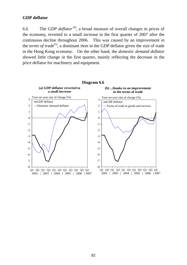## **GDP deflator**

6.6 The *GDP deflator* (4), a broad measure of overall changes in prices of the economy, reverted to a small increase in the first quarter of 2007 after the continuous decline throughout 2006. This was caused by an improvement in the *terms of trade*<sup>(5)</sup>, a dominant item in the GDP deflator given the size of trade in the Hong Kong economy. On the other hand, the *domestic demand deflator* showed little change in the first quarter, mainly reflecting the decrease in the price deflator for machinery and equipment.

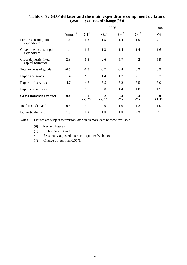|                                           |                     | 2006               |                    |               |               |                         |  |
|-------------------------------------------|---------------------|--------------------|--------------------|---------------|---------------|-------------------------|--|
|                                           | Annual <sup>#</sup> | $\Omega^{1^*}$     | $\Omega^*$         | $Q3^{\#}$     | $Q4^{\#}$     | $\overline{\Omega 1}^+$ |  |
| Private consumption<br>expenditure        | 1.6                 | 1.8                | 1.5                | 1.4           | 1.5           | 2.1                     |  |
| Government consumption<br>expenditure     | 1.4                 | 1.3                | 1.3                | 1.4           | 1.4           | 1.6                     |  |
| Gross domestic fixed<br>capital formation | 2.8                 | $-1.5$             | 2.6                | 5.7           | 4.2           | $-5.9$                  |  |
| Total exports of goods                    | $-0.5$              | $-1.8$             | $-0.7$             | $-0.4$        | 0.2           | 0.9                     |  |
| Imports of goods                          | 1.4                 | $\ast$             | 1.4                | 1.7           | 2.1           | 0.7                     |  |
| Exports of services                       | 4.7                 | 4.6                | 5.5                | 5.2           | 3.5           | 3.0                     |  |
| Imports of services                       | 1.0                 | $\ast$             | 0.8                | 1.4           | 1.8           | 1.7                     |  |
| <b>Gross Domestic Product</b>             | $-0.4$              | $-0.1$<br>$<-0.2>$ | $-0.2$<br>$<-0.1>$ | $-0.4$<br><*> | $-0.4$<br><*> | 0.9<br><1.1>            |  |
| Total final demand                        | 0.8                 | $\ast$             | 0.9                | 1.0           | 1.3           | 1.0                     |  |
| Domestic demand                           | 1.8                 | 1.2                | 1.8                | 1.8           | 2.2           | $\ast$                  |  |

### **Table 6.5 : GDP deflator and the main expenditure component deflators (year-on-year rate of change (%))**

Notes : Figures are subject to revision later on as more data become available.

- (#) Revised figures.
- (+) Preliminary figures.
- < > Seasonally adjusted quarter-to-quarter % change.
- (\*) Change of less than 0.05%.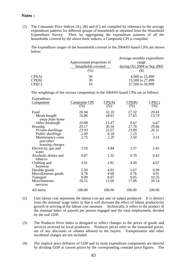#### **Notes :**

(1) The Consumer Price Indices (A), (B) and (C) are compiled by reference to the average expenditure patterns for different groups of households as obtained from the Household Expenditure Survey. Then, by aggregating the expenditure patterns of all the households covered by the above three indices, a Composite CPI is compiled.

 The expenditure ranges of the households covered in the 2004/05-based CPIs are shown below:

|        |                           | Average monthly expenditure |
|--------|---------------------------|-----------------------------|
|        | Approximate proportion of | range                       |
|        | households covered        | during Oct 2004 to Sep 2005 |
|        | (%)                       | (J)                         |
| CPI(A) | 50                        | 4,000 to 15,499             |
| CPI(B) | 30                        | 15,500 to 27,499            |
| CPI(C) |                           | 27,500 to 59,999            |

The weightings of the various components in the 2004/05-based CPIs are as follows:

| Expenditure          |                      |                        |        |        |
|----------------------|----------------------|------------------------|--------|--------|
| <b>Component</b>     | <b>Composite CPI</b> | $\text{CPI}(\text{A})$ | CPI(B) | CPI(C) |
|                      | $( \% )$             | (%)                    | (% )   | (%)    |
| Food                 | 26.94                | 32.10                  | 27.32  | 20.41  |
| Meals bought         | 16.86                | 18.63                  | 17.65  | 13.74  |
| away from home       |                      |                        |        |        |
| Other foodstuffs     | 10.08                | 13.47                  | 9.67   | 6.67   |
| Housing              | 29.17                | 30.54                  | 27.70  | 29.66  |
| Private dwellings    | 23.93                | 22.07                  | 23.89  | 26.11  |
| Public dwellings     | 2.49                 | 6.18                   | 1.25   |        |
| Maintenance costs    | 2.75                 | 2.29                   | 2.56   | 3.55   |
| and other            |                      |                        |        |        |
| housing charges      |                      |                        |        |        |
| Electricity, gas and | 3.59                 | 4.84                   | 3.37   | 2.45   |
| water                |                      |                        |        |        |
| Alcoholic drinks and | 0.87                 | 1.35                   | 0.79   | 0.42   |
| tobacco              |                      |                        |        |        |
| Clothing and         | 3.91                 | 2.81                   | 4.28   | 4.67   |
| footwear             |                      |                        |        |        |
| Durable goods        | 5.50                 | 4.01                   | 5.67   | 6.99   |
| Miscellaneous goods  | 4.78                 | 4.68                   | 4.76   | 4.91   |
| <b>Transport</b>     | 9.09                 | 8.07                   | 9.05   | 10.35  |
| Miscellaneous        | 16.15                | 11.60                  | 17.06  | 20.14  |
| services             |                      |                        |        |        |
| All items            | 100.00               | 100.00                 | 100.00 | 100.00 |
|                      |                      |                        |        |        |

- (2) Unit labour cost represents the labour cost per unit of output produced. It is distinct from the nominal wage index in that it will discount the effect of labour productivity growth in arriving at the labour cost measure. Technically, it refers to the product of the nominal index of payroll per person engaged and the total employment, divided by the real GDP.
- (3) The Producer Price Index is designed to reflect changes in the prices of goods and services received by local producers. Producer prices refer to the transacted prices, net of any discounts or rebates allowed to the buyers. Transportation and other incidental charges are not included.
- (4) The implicit price deflators of GDP and its main expenditure components are derived by dividing GDP at current prices by the corresponding constant price figures. The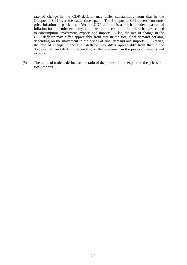rate of change in the GDP deflator may differ substantially from that in the Composite CPI over the same time span. The Composite CPI covers consumer price inflation in particular. Yet the GDP deflator is a much broader measure of inflation for the entire economy, and takes into account all the price changes related to consumption, investment, exports and imports. Also, the rate of change in the GDP deflator may differ appreciably from that in the total final demand deflator, depending on the movement in the prices of final demand and imports. Likewise, the rate of change in the GDP deflator may differ appreciably from that in the domestic demand deflator, depending on the movement in the prices of imports and exports.

(5) The terms of trade is defined as the ratio of the prices of total exports to the prices of total imports.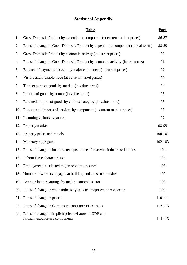# **Statistical Appendix**

|     | <b>Table</b>                                                                              | <b>Page</b> |
|-----|-------------------------------------------------------------------------------------------|-------------|
| 1.  | Gross Domestic Product by expenditure component (at current market prices)                | 86-87       |
| 2.  | Rates of change in Gross Domestic Product by expenditure component (in real terms)        | 88-89       |
| 3.  | Gross Domestic Product by economic activity (at current prices)                           | 90          |
| 4.  | Rates of change in Gross Domestic Product by economic activity (in real terms)            | 91          |
| 5.  | Balance of payments account by major component (at current prices)                        | 92          |
| 6.  | Visible and invisible trade (at current market prices)                                    | 93          |
| 7.  | Total exports of goods by market (in value terms)                                         | 94          |
| 8.  | Imports of goods by source (in value terms)                                               | 95          |
| 9.  | Retained imports of goods by end-use category (in value terms)                            | 95          |
| 10. | Exports and imports of services by component (at current market prices)                   | 96          |
| 11. | Incoming visitors by source                                                               | 97          |
| 12. | Property market                                                                           | 98-99       |
| 13. | Property prices and rentals                                                               | 100-101     |
| 14. | Monetary aggregates                                                                       | 102-103     |
| 15. | Rates of change in business receipts indices for service industries/domains               | 104         |
|     | 16. Labour force characteristics                                                          | 105         |
|     | 17. Employment in selected major economic sectors                                         | 106         |
|     | 18. Number of workers engaged at building and construction sites                          | 107         |
| 19. | Average labour earnings by major economic sector                                          | 108         |
| 20. | Rates of change in wage indices by selected major economic sector                         | 109         |
| 21. | Rates of change in prices                                                                 | 110-111     |
| 22. | Rates of change in Composite Consumer Price Index                                         | 112-113     |
| 23. | Rates of change in implicit price deflators of GDP and<br>its main expenditure components | 114-115     |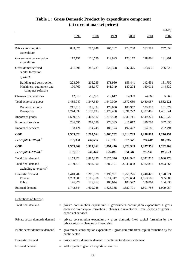|                                                                            |                                   |                                   |                                   |                                   |                                   | \$Mn)                           |
|----------------------------------------------------------------------------|-----------------------------------|-----------------------------------|-----------------------------------|-----------------------------------|-----------------------------------|---------------------------------|
|                                                                            | 1997                              | 1998                              | 1999                              | 2000                              | 2001                              | 2002                            |
| Private consumption<br>expenditure                                         | 833,825                           | 795,948                           | 765,282                           | 774,280                           | 782,587                           | 747,850                         |
| Government consumption<br>expenditure                                      | 112,751                           | 116,550                           | 119,993                           | 120,172                           | 128,866                           | 131,291                         |
| Gross domestic fixed<br>capital formation                                  | 451,891                           | 388,731                           | 325,328                           | 347,375                           | 333,036                           | 286,020                         |
| of which:                                                                  |                                   |                                   |                                   |                                   |                                   |                                 |
| Building and construction<br>Machinery, equipment and<br>computer software | 223,264<br>190,760                | 208,235<br>165,177                | 171,930<br>141,349                | 155,441<br>180,204                | 142,651<br>180,011                | 131,752<br>144,832              |
| Changes in inventories                                                     | 12,313                            | $-15,651$                         | $-10,612$                         | 14,399                            | $-4,060$                          | 5,660                           |
| Total exports of goods                                                     | 1,455,949                         | 1,347,649                         | 1,349,000                         | 1,572,689                         | 1,480,987                         | 1,562,121                       |
| Domestic exports<br>Re-exports                                             | 211,410<br>1,244,539              | 188,454<br>1,159,195              | 170,600<br>1,178,400              | 180,967<br>1,391,722              | 153,520<br>1,327,467              | 131,079<br>1,431,041            |
| Imports of goods                                                           | 1,589,876                         | 1,408,317                         | 1,373,500                         | 1,636,711                         | 1,549,222                         | 1,601,527                       |
| Exports of services                                                        | 286,595                           | 262,099                           | 276,385                           | 315,012                           | 320,799                           | 347,836                         |
| Imports of services                                                        | 198,424                           | 194,245                           | 185,174                           | 192,427                           | 194,180                           | 202,494                         |
| <b>GDP</b>                                                                 | 1,365,024                         | 1,292,764                         | 1,266,702                         | 1,314,789                         | 1,298,813                         | 1,276,757                       |
| Per capita GDP $(\$)$ <sup><i>®</i></sup>                                  | 210,350                           | 197,559                           | 191,736                           | 197,268                           | 193,440                           | 189,315                         |
| <b>GNP</b>                                                                 | 1,363,409                         | 1,317,362                         | 1,291,470                         | 1,323,543                         | 1,327,356                         | 1,282,409                       |
| Per capita GNP $(\$)$ <sup><i>®</i></sup>                                  | 210,101                           | 201,318                           | 195,485                           | 198,581                           | 197,691                           | 190,153                         |
| Total final demand                                                         | 3,153,324                         | 2,895,326                         | 2,825,376                         | 3,143,927                         | 3,042,215                         | 3,080,778                       |
| Total final demand<br>excluding re-exports <sup>(a)</sup>                  | 2,130,313                         | 1,952,900                         | 1,886,191                         | 2,045,858                         | 1,982,896                         | 1,923,066                       |
| Domestic demand<br>Private<br>Public                                       | 1,410,780<br>1,233,803<br>176,977 | 1,285,578<br>1,107,816<br>177,762 | 1,199,991<br>1,014,347<br>185,644 | 1,256,226<br>1,075,654<br>180,572 | 1,240,429<br>1,053,568<br>186,861 | 1,170,821<br>985,985<br>184,836 |
| External demand                                                            | 1,742,544                         | 1,609,748                         | 1,625,385                         | 1,887,701                         | 1,801,786                         | 1,909,957                       |

# **Table 1 : Gross Domestic Product by expenditure component (at current market prices)**

Definitions of Terms :

| Total final demand             | $=$ private consumption expenditure $+$ government consumption expenditure $+$ gross<br>domestic fixed capital formation + changes in inventories + total exports of goods +<br>exports of services |
|--------------------------------|-----------------------------------------------------------------------------------------------------------------------------------------------------------------------------------------------------|
| Private sector domestic demand | $=$ private consumption expenditure $+$ gross domestic fixed capital formation by the<br>private sector $+$ changes in inventories                                                                  |
| Public sector domestic demand  | $=$ government consumption expenditure $+$ gross domestic fixed capital formation by the<br>public sector                                                                                           |
| Domestic demand                | $=$ private sector domestic demand $+$ public sector domestic demand                                                                                                                                |
| External demand                | $=$ total exports of goods + exports of services                                                                                                                                                    |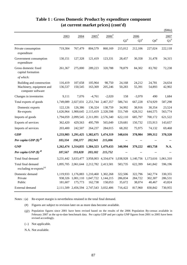|                                                                            |                      |                                                                                             |                                |                      |                              |                                   |                              | \$Mn)                        |
|----------------------------------------------------------------------------|----------------------|---------------------------------------------------------------------------------------------|--------------------------------|----------------------|------------------------------|-----------------------------------|------------------------------|------------------------------|
|                                                                            | 2003                 | 2004                                                                                        | $2005$ <sup>#</sup>            | $2006$ <sup>#</sup>  | $\mathrm{Q2}^{\text{\#}}$    | 2006<br>$\mathrm{Q3}^{\text{\#}}$ | ${\bf Q4}^{\#}$              | 2007<br>$Q1^{\text{\#}}$     |
| Private consumption<br>expenditure                                         | 719,304              | 767,479                                                                                     | 804,579                        | 860,169              | 215,012                      | 212,106                           | 227,024                      | 222,118                      |
| Government consumption<br>expenditure                                      | 130,151              | 127,328                                                                                     | 121,419                        | 123,331              | 28,457                       | 30,358                            | 31,478                       | 34,315                       |
| Gross domestic fixed<br>capital formation<br>of which:                     | 261,367              | 275,000                                                                                     | 289,223                        | 320,788              | 78,879                       | 84,302                            | 83,782                       | 72,238                       |
| Building and construction<br>Machinery, equipment and<br>computer software | 116,419<br>136,537   | 107,658<br>150,545                                                                          | 105,964<br>163,369             | 98,750<br>205,246    | 24,168<br>50,283             | 24,212<br>55,391                  | 24,781<br>54,893             | 24,634<br>42,902             |
| Changes in inventories                                                     | 9,111                | 7,076                                                                                       | $-4,761$                       | $-2,020$             | 158                          | $-3,970$                          | 490                          | 1,684                        |
| Total exports of goods                                                     |                      | 1,749,089 2,027,031 2,251,744                                                               |                                | 2,467,357            | 586,741                      | 667,228                           | 674,929                      | 587,298                      |
| Domestic exports<br>Re-exports                                             | 122,126<br>1,626,964 | 126,386                                                                                     | 136,324<br>1,900,645 2,115,419 | 138,759<br>2,328,598 | 34,992<br>551,749            | 38,916<br>628,312                 | 30,354<br>644,575            | 23,524<br>563,774            |
| Imports of goods                                                           |                      | 1,794,059 2,099,545 2,311,091 2,576,340                                                     |                                |                      | 622,110                      | 685,797                           | 700,172                      | 621,522                      |
| Exports of services                                                        | 362,420              | 429,563                                                                                     | 495,799                        | 565,049              | 129,681                      | 150,732                           | 155,913                      | 143,657                      |
| Imports of services                                                        | 203,400              | 242,507                                                                                     | 264,237                        | 284,015              | 68,202                       | 75,975                            | 74,132                       | 69,468                       |
| <b>GDP</b>                                                                 |                      | 1,233,983 1,291,425 1,382,675 1,474,319                                                     |                                |                      | 348,616                      | 378,984                           | 399,312                      | 370,320                      |
| Per capita GDP $(\$)$ <sup><i>®</i></sup>                                  | 183,334              | 190,377                                                                                     | 202,941                        | 215,006              | --                           |                                   |                              |                              |
| <b>GNP</b>                                                                 |                      | 1,262,474 1,314,835 1,384,323 1,479,433                                                     |                                |                      | 340,994                      | 379,222                           | 403,758                      | N.A.                         |
| Per capita GNP $(\$)$ <sup><i>®</i></sup>                                  | 187,567              | 193,828                                                                                     | 203,182                        | 215,752              | --                           |                                   |                              |                              |
| Total final demand                                                         |                      | 3,231,442 3,633,477 3,958,003 4,334,674 1,038,928                                           |                                |                      |                              | 1,140,756                         | 1,173,616 1,061,310          |                              |
| Total final demand<br>excluding re-exports <sup>(a)</sup>                  |                      | 1,895,705 2,061,644 2,212,782 2,413,581                                                     |                                |                      | 583,735                      | 622,399                           | 641,842                      | 596,196                      |
| Domestic demand<br>Private<br>Public                                       | 181,607              | 1,119,933 1,176,883 1,210,460 1,302,268<br>938,326 1,001,110 1,047,722 1,144,215<br>175,773 | 162,738                        | 158,053              | 322,506<br>286,834<br>35,672 | 322,796<br>284,722<br>38,074      | 342,774<br>302,307<br>40,467 | 330,355<br>286,531<br>43,824 |
| External demand                                                            |                      | 2,111,509 2,456,594 2,747,543 3,032,406                                                     |                                |                      | 716,422                      | 817,960                           | 830,842                      | 730,955                      |

# **Table 1 : Gross Domestic Product by expenditure component (at current market prices) (cont'd)**

Notes : (a) Re-export margin is nevertheless retained in the total final demand.

(#) Figures are subject to revision later on as more data become available.

(--) Not applicable.

N.A. Not available.

<sup>(@)</sup> Population figures since 2001 have been revised based on the results of the 2006 Population By-census available in February 2007 as the up-to-date benchmark data. Per capita GDP and per capita GNP figures from 2001 to 2005 have been revised accordingly.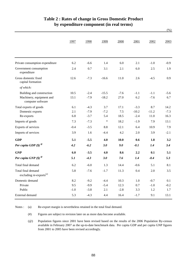|                                                           | 1997   | 1998   | 1999    | 2000   | 2001    | 2002    | 2003   |
|-----------------------------------------------------------|--------|--------|---------|--------|---------|---------|--------|
|                                                           |        |        |         |        |         |         |        |
|                                                           |        |        |         |        |         |         |        |
| Private consumption expenditure                           | 6.2    | $-6.6$ | 1.4     | 6.0    | 2.1     | $-1.0$  | $-0.9$ |
| Government consumption<br>expenditure                     | 2.4    | 0.7    | 3.1     | 2.1    | 6.0     | 2.5     | 1.9    |
| Gross domestic fixed<br>capital formation                 | 12.6   | $-7.3$ | $-16.6$ | 11.0   | 2.6     | $-4.5$  | 0.9    |
| of which:                                                 |        |        |         |        |         |         |        |
| Building and construction                                 | 10.5   | $-2.4$ | $-15.5$ | $-7.6$ | $-1.1$  | $-1.1$  | $-5.6$ |
| Machinery, equipment and<br>computer software             | 13.1   | $-7.9$ | $-18.2$ | 27.0   | 6.2     | $-7.6$  | 6.7    |
| Total exports of goods                                    | 6.1    | $-4.3$ | 3.7     | 17.1   | $-3.3$  | 8.7     | 14.2   |
| Domestic exports                                          | 2.1    | $-7.9$ | $-7.2$  | 7.5    | $-10.2$ | $-11.2$ | $-7.3$ |
| Re-exports                                                | 6.8    | $-3.7$ | 5.4     | 18.5   | $-2.4$  | 11.0    | 16.3   |
| Imports of goods                                          | 7.3    | $-7.3$ | $\ast$  | 18.2   | $-1.9$  | 7.9     | 13.1   |
| Exports of services                                       | $-0.4$ | $-3.5$ | $8.8\,$ | 12.1   | 6.4     | 10.9    | 7.9    |
| Imports of services                                       | 3.9    | 1.6    | $-4.4$  | 4.2    | 2.0     | 3.9     | $-2.1$ |
| <b>GDP</b>                                                | 5.1    | $-5.5$ | 4.0     | 10.0   | 0.6     | 1.8     | 3.2    |
| Per capita GDP $(\$)$ <sup><math>\degree</math></sup>     | 4.2    | $-6.2$ | 3.0     | 9.0    | $-0.1$  | 1.4     | 3.4    |
| <b>GNP</b>                                                | 6.0    | $-3.5$ | 4.0     | 8.6    | 2.2     | 0.1     | 5.1    |
| Per capita GNP $(\$)$ <sup><math>\degree</math></sup>     | 5.1    | $-4.3$ | 3.0     | 7.6    | 1.4     | $-0.4$  | 5.3    |
| Total final demand                                        | 6.2    | $-6.0$ | 1.3     | 14.4   | $-0.6$  | 5.1     | 8.1    |
| Total final demand<br>excluding re-exports <sup>(a)</sup> | 5.8    | $-7.6$ | $-1.7$  | 11.3   | 0.4     | 2.0     | 3.5    |
| Domestic demand                                           | 8.2    | $-9.2$ | $-4.4$  | 10.3   | 1.0     | $-0.7$  | 0.1    |
| Private                                                   | 9.5    | $-9.9$ | $-5.4$  | 12.3   | $0.7\,$ | $-1.0$  | $-0.2$ |
| Public                                                    | $-1.0$ | $-3.8$ | 2.1     | $-2.8$ | 3.3     | 1.2     | 1.7    |
| External demand                                           | 5.3    | $-4.3$ | 4.4     | 16.4   | $-1.7$  | 9.1     | 13.1   |

# **Table 2 : Rates of change in Gross Domestic Product by expenditure component (in real terms)**

(%)

(a) Notes : Re-export margin is nevertheless retained in the total final demand.

> (#) Figures are subject to revision later on as more data become available.

(@) Population figures since 2001 have been revised based on the results of the 2006 Population By-census available in February 2007 as the up-to-date benchmark data. Per capita GDP and per capita GNP figures from 2001 to 2005 have been revised accordingly.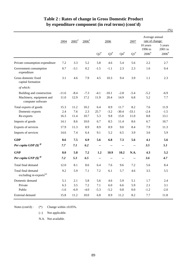|                                                           |         |                     |                     |                           |           |                 |                    |                                            | $(\%)$                                    |
|-----------------------------------------------------------|---------|---------------------|---------------------|---------------------------|-----------|-----------------|--------------------|--------------------------------------------|-------------------------------------------|
|                                                           | 2004    | $2005$ <sup>#</sup> | $2006$ <sup>#</sup> |                           | 2006      |                 | 2007               | Average annual<br>rate of change:          |                                           |
|                                                           |         |                     |                     | $\mathrm{Q2}^{\text{\#}}$ | $Q3^{\#}$ | ${\bf Q4}^{\#}$ | $\mathrm{Q1}^{\#}$ | 10 years<br>1996 to<br>$2006$ <sup>#</sup> | 5 years<br>$2001$ to<br>$2006^{\text{*}}$ |
|                                                           |         |                     |                     |                           |           |                 |                    |                                            |                                           |
| Private consumption expenditure                           | 7.2     | 3.3                 | 5.2                 | 5.8                       | 4.6       | 5.4             | 5.6                | 2.2                                        | 2.7                                       |
| Government consumption<br>expenditure                     | 0.7     | $-3.1$              | 0.2                 | $-1.5$                    | $-1.1$    | 2.3             | 2.3                | 1.6                                        | 0.4                                       |
| Gross domestic fixed<br>capital formation                 | 3.1     | 4.6                 | 7.9                 | 4.5                       | 10.3      | 9.4             | 3.9                | 1.1                                        | 2.3                                       |
| of which:                                                 |         |                     |                     |                           |           |                 |                    |                                            |                                           |
| Building and construction                                 | $-11.6$ | $-8.4$              | $-7.3$              | $-4.1$                    | $-10.1$   | $-2.8$          | $-5.4$             | $-5.2$                                     | $-6.9$                                    |
| Machinery, equipment and<br>computer software             | 11.0    | 12.9                | 17.2                | 11.9                      | 20.4      | 14.9            | 6.8                | 5.2                                        | 7.7                                       |
| Total exports of goods                                    | 15.3    | 11.2                | 10.2                | 6.4                       | 8.9       | 11.7            | 8.2                | 7.6                                        | 11.9                                      |
| Domestic exports                                          | 2.4     | 7.6                 | 2.3                 | 25.7                      | $-3.2$    | $-30.4$         | $-33.1$            | $-2.4$                                     | $-1.5$                                    |
| Re-exports                                                | 16.3    | 11.4                | 10.7                | 5.3                       | 9.8       | 15.0            | 11.0               | 8.8                                        | 13.1                                      |
| Imports of goods                                          | 14.1    | 8.6                 | 10.0                | 6.7                       | 8.5       | 11.4            | 8.6                | 6.7                                        | 10.7                                      |
| Exports of services                                       | 17.9    | 11.3                | 8.9                 | 8.9                       | 8.9       | 9.0             | 8.4                | 7.9                                        | 11.3                                      |
| Imports of services                                       | 14.6    | 7.4                 | 6.4                 | 9.1                       | 5.2       | 6.5             | 3.9                | 3.6                                        | 5.9                                       |
| <b>GDP</b>                                                | 8.6     | 7.5                 | 6.9                 | 5.6                       | 6.8       | 7.3             | 5.6                | 4.1                                        | 5.6                                       |
| Per capita GDP $(\$)$ <sup><i>®</i></sup>                 | 7.7     | 7.1                 | 6.2                 | --                        | --        | --              | --                 | 3.5                                        | 5.1                                       |
| <b>GNP</b>                                                | 8.0     | 5.8                 | 7.2                 | 1.2                       | 10.9      | 10.2            | N.A.               | 4.3                                        | 5.2                                       |
| Per capita GNP $(\$)$ <sup><i>®</i></sup>                 | 7.2     | 5.3                 | 6.5                 | --                        |           |                 |                    | 3.6                                        | 4.7                                       |
| Total final demand                                        | 12.0    | 8.1                 | 8.6                 | 6.4                       | 7.6       | 9.6             | 7.2                | 5.6                                        | 8.4                                       |
| Total final demand<br>excluding re-exports <sup>(a)</sup> | 9.2     | 5.9                 | $7.1\,$             | 7.2                       | 6.1       | 5.7             | 4.6                | 3.5                                        | 5.5                                       |
| Domestic demand                                           | 5.1     | 2.1                 | 5.8                 | 5.6                       | 4.6       | 5.9             | 5.1                | 1.7                                        | 2.4                                       |
| Private                                                   | 6.3     | 3.5                 | $7.2\,$             | $7.1\,$                   | $6.0\,$   | 6.6             | 5.9                | 2.1                                        | 3.1                                       |
| Public                                                    | $-1.6$  | $-6.9$              | $-4.0$              | $-5.3$                    | $-5.2$    | $0.8\,$         | $0.0\,$            | $-1.2$                                     | $-2.0$                                    |
| External demand                                           | 15.8    | 11.2                | 10.0                | 6.8                       | 8.9       | 11.2            | 8.2                | 7.7                                        | 11.8                                      |

# **Table 2 : Rates of change in Gross Domestic Product by expenditure component (in real terms) (cont'd)**

(\*) Change within  $\pm 0.05\%$ . Notes (cont'd) :

(--) Not applicable.

N.A. Not available.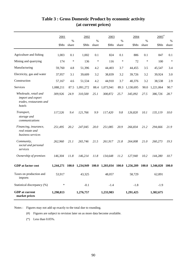|                                                                                 | 2001      | $\%$         | 2002      | %      | 2003            | $\frac{0}{0}$ | 2004      | %      | $2005$ <sup>#</sup><br>$\%$ |              |  |
|---------------------------------------------------------------------------------|-----------|--------------|-----------|--------|-----------------|---------------|-----------|--------|-----------------------------|--------------|--|
|                                                                                 | \$Mn      | share        | \$Mn      | share  | \$Mn            | share         | \$Mn      | share  | \$Mn                        | share        |  |
| Agriculture and fishing                                                         | 1,003     | 0.1          | 1,002     | 0.1    | 824             | 0.1           | 886       | 0.1    | 847                         | 0.1          |  |
| Mining and quarrying                                                            | 174       | $\ast$       | 136       | $\ast$ | 116             | $\ast$        | 72        | $\ast$ | 100                         | $\ast$       |  |
| Manufacturing                                                                   | 59,760    | 4.8          | 51,396    | 4.2    | 44,403          | 3.7           | 44,455    | 3.5    | 45,547                      | 3.4          |  |
| Electricity, gas and water                                                      | 37,957    | 3.1          | 39,609    | 3.2    | 38,839          | 3.2           | 39,726    | 3.2    | 39,924                      | 3.0          |  |
| Construction                                                                    | 57,167    | 4.6          | 51,534    | 4.2    | 44,910          | 3.7           | 40,376    | 3.2    | 38,538                      | 2.9          |  |
| Services                                                                        | 1,088,211 | 87.5         | 1,091,272 | 88.4   | 1,073,941       | 89.3          | 1,130,695 | 90.0   | 1,221,064                   | 90.7         |  |
| Wholesale, retail and<br>import and export<br>trades, restaurants and<br>hotels | 309,926   | 24.9         | 310,500   | 25.1   | 308,872         | 25.7          | 345,092   | 27.5   | 386,726                     | 28.7         |  |
| Transport,<br>storage and<br>communications                                     | 117,526   | 9.4          | 121,766   | 9.9    | 117,420         | 9.8           | 126,820   | 10.1   | 135,119                     | 10.0         |  |
| Financing, insurance,<br>real estate and<br>business services                   | 251,495   | 20.2         | 247,045   | 20.0   | 251,085         | 20.9          | 266,834   | 21.2   | 294,666                     | 21.9         |  |
| Community,<br>social and personal<br>services                                   | 262,960   | 21.1         | 265,746   | 21.5   | 261,917         | 21.8          | 264,008   | 21.0   | 260,273                     | 19.3         |  |
| Ownership of premises                                                           | 146,304   | 11.8         | 146,214   | 11.8   | 134,648         | 11.2          | 127,940   | 10.2   | 144,280                     | 10.7         |  |
| <b>GDP</b> at factor cost                                                       | 1,244,271 | <b>100.0</b> | 1,234,949 | 100.0  | 1,203,034 100.0 |               | 1,256,209 | 100.0  | 1,346,020                   | <b>100.0</b> |  |
| Taxes on production and<br>imports                                              | 53,917    |              | 43,325    |        | 48,057          |               | 58,729    |        | 62,891                      |              |  |
| Statistical discrepancy (%)                                                     | $\ast$    |              | $-0.1$    |        | $-1.4$          |               | $-1.8$    |        | $-1.9$                      |              |  |
| <b>GDP</b> at current<br>market prices                                          | 1,298,813 |              | 1,276,757 |        | 1,233,983       |               | 1,291,425 |        | 1,382,675                   |              |  |

# **Table 3 : Gross Domestic Product by economic activity (at current prices)**

Notes : Figures may not add up exactly to the total due to rounding.

(#) Figures are subject to revision later on as more data become available.

(\*) Less than 0.05%.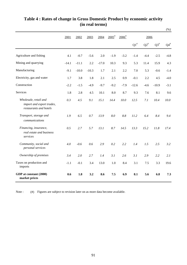|                                                                              |         |         |         |         |                     |                     |                           |                        |                           | (%)                    |
|------------------------------------------------------------------------------|---------|---------|---------|---------|---------------------|---------------------|---------------------------|------------------------|---------------------------|------------------------|
|                                                                              | 2001    | 2002    | 2003    | 2004    | $2005$ <sup>#</sup> | $2006$ <sup>#</sup> |                           | 2006                   |                           |                        |
|                                                                              |         |         |         |         |                     |                     | $\mathrm{Q1}^{\text{\#}}$ | ${\rm Q2}^{\text{\#}}$ | $\mathrm{Q3}^{\text{\#}}$ | ${\bf Q4}^{\text{\#}}$ |
| Agriculture and fishing                                                      | 4.1     | $-0.7$  | $-5.6$  | 2.0     | $-1.9$              | $-3.2$              | $-1.4$                    | $-4.4$                 | $-2.5$                    | $-4.8$                 |
| Mining and quarrying                                                         | $-14.1$ | $-11.1$ | 2.2     | $-17.0$ | 10.3                | 9.3                 | 5.3                       | 11.4                   | 15.9                      | 4.3                    |
| Manufacturing                                                                | $-9.1$  | $-10.0$ | $-10.3$ | 1.7     | 2.1                 | 2.2                 | 7.0                       | 5.3                    | $-0.6$                    | $-1.4$                 |
| Electricity, gas and water                                                   | 1.7     | 3.8     | 1.8     | 2.1     | 2.5                 | 0.9                 | $-0.1$                    | 2.2                    | 4.5                       | $-4.0$                 |
| Construction                                                                 | $-2.2$  | $-1.5$  | $-4.9$  | $-9.7$  | $-9.2$              | $-7.9$              | $-12.6$                   | $-4.6$                 | $-10.9$                   | $-3.1$                 |
| Services                                                                     | 1.8     | 2.8     | 4.5     | 10.1    | 8.0                 | 8.7                 | 9.3                       | 7.6                    | 8.1                       | 9.6                    |
| Wholesale, retail and<br>import and export trades,<br>restaurants and hotels | 0.3     | 4.5     | 9.1     | 15.1    | 14.4                | 10.0                | 12.5                      | 7.1                    | 10.4                      | 10.0                   |
| Transport, storage and<br>communications                                     | 1.9     | 6.5     | 0.7     | 13.9    | 8.0                 | 8.8                 | 11.2                      | 6.4                    | 8.4                       | 9.4                    |
| Financing, insurance,<br>real estate and business<br>services                | 0.5     | 2.7     | 5.7     | 13.1    | 8.7                 | 14.5                | 13.3                      | 15.2                   | 11.8                      | 17.4                   |
| Community, social and<br>personal services                                   | 4.0     | $-0.6$  | 0.6     | 2.9     | 0.2                 | 2.2                 | 1.4                       | 1.5                    | 2.5                       | 3.2                    |
| Ownership of premises                                                        | 3.4     | 2.0     | 2.7     | 1.4     | 3.1                 | 2.6                 | 3.1                       | 2.9                    | 2.2                       | 2.1                    |
| Taxes on production and<br>imports                                           | $-1.1$  | $-0.1$  | 3.4     | 13.0    | 1.0                 | 8.4                 | 3.1                       | 7.5                    | 3.3                       | 19.6                   |
| GDP at constant (2000)<br>market prices                                      | 0.6     | 1.8     | 3.2     | 8.6     | 7.5                 | 6.9                 | 8.1                       | 5.6                    | 6.8                       | 7.3                    |

# **Table 4 : Rates of change in Gross Domestic Product by economic activity (in real terms)**

(#) Figures are subject to revision later on as more data become available. Note :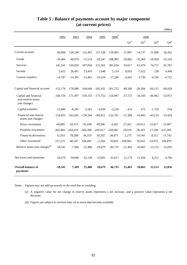| Table 5 : Balance of payments account by major component |  |
|----------------------------------------------------------|--|
| (at current prices)                                      |  |

|                                                             |            |            |             |            |                     |                    |                    |                    | \$Mn)           |
|-------------------------------------------------------------|------------|------------|-------------|------------|---------------------|--------------------|--------------------|--------------------|-----------------|
|                                                             | 2002       | 2003       | 2004        | 2005       | $2006$ <sup>#</sup> |                    | 2006               |                    |                 |
|                                                             |            |            |             |            |                     | $\mathrm{Q1}^{\#}$ | $\mathrm{Q2}^{\#}$ | $\mathrm{Q3}^{\#}$ | ${\bf Q4}^{\#}$ |
| Current account                                             | 96,800     | 128,240    | 122,491     | 157,338    | 159,905             | 37,007             | 14,737             | 51,900             | 56,261          |
| Goods                                                       | $-39,406$  | $-44,970$  | $-72,514$   | $-59,347$  | $-108,983$          | $-29,801$          | $-35,369$          | $-18,569$          | $-25,243$       |
| Services                                                    | 145,341    | 159,020    | 187,056     | 231,562    | 281,034             | 63,017             | 61,479             | 74,757             | 81,781          |
| Income                                                      | 5.652      | 28,491     | 23,410      | 1,648      | 5,114               | 8,053              | $-7,622$           | 238                | 4,446           |
| Current transfers                                           | $-14,787$  | $-14,301$  | $-15,461$   | $-16,524$  | $-17,260$           | $-4,262$           | $-3,750$           | $-4,526$           | $-4,722$        |
| Capital and financial account                               | $-151,179$ | $-179,086$ | $-184,640$  | $-182,431$ | $-201,722$          | $-49,186$          | $-26,394$          | $-60,115$          | $-66,028$       |
| Capital and financial<br>non-reserve assets<br>(net change) | $-169.720$ | $-171.497$ | $-159, 155$ | -171,752   | $-154.987$          | $-37,723$          | $-16,330$          | $-46,962$          | $-53,972$       |
| Capital transfers                                           | $-15.686$  | $-8,292$   | $-2.561$    | $-4.939$   | $-2.226$            | $-415$             | 472                | $-1,729$           | $-554$          |
| Financial non-reserve<br>assets (net change)                | -154,033   | $-163,205$ | $-156,594$  | $-166,812$ | $-152,761$          | $-37,308$          | $-16,803$          | $-45,233$          | $-53,418$       |
| Direct investment                                           | $-60,685$  | 63,372     | $-91,038$   | 49,996     | $-4,402$            | 27,362             | $-29,913$          | $-15,817$          | 13,967          |
| Portfolio investment                                        | $-302,484$ | $-264,619$ | $-306,368$  | $-245,017$ | $-258,082$          | 34,018             | $-78,343$          | 17,248             | $-231,005$      |
| Financial derivatives                                       | 51,563     | 78,288     | 44,319      | 30,502     | 38,873              | 2,275              | 14,544             | 8,312              | 13,742          |
| Other investment                                            | 157,573    | $-40,247$  | 196,492     | $-2,294$   | 70,850              | $-100,963$         | 76,910             | $-54,975$          | 149,879         |
| Reserve assets (net change) <sup>(a)</sup>                  | 18,541     | $-7,589$   | $-25,486$   | $-10,679$  | $-46,735$           | $-11,463$          | $-10,063$          | $-13,153$          | $-12,056$       |
| Net errors and omissions                                    | 54,379     | 50,846     | 62,149      | 25,093     | 41,817              | 12,179             | 11,656             | 8,215              | 9,766           |
| Overall balance of<br>payments                              | $-18,541$  | 7,589      | 25,486      | 10,679     | 46,735              | 11,463             | 10,063             | 13,153             | 12,056          |

Notes : Figures may not add up exactly to the total due to rounding.

- (a) A negative value for net change in reserve assets represents a net increase, and a positive value represents a net decrease.
- (#) Figures are subject to revision later on as more data become available.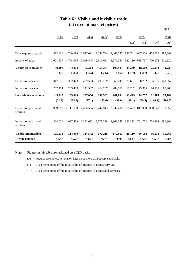| trade balance                    | < 5.9>    | < 5.7>    | <4.9>     | <6.7>               | <6.0>               | <3.8>     | <7.4>     | <7.3>     | < 5.8>    |
|----------------------------------|-----------|-----------|-----------|---------------------|---------------------|-----------|-----------|-----------|-----------|
| <b>Visible and invisible</b>     | 105,936   | 114,050   | 114,542   | 172,215             | 172,051             | 26,110    | 56,188    | 56,538    | 39,965    |
| Imports of goods and<br>services | 1.804.021 | 1,997,459 | 2,342,052 | 2,575,328           | 2,860,355           | 690,312   | 761,772   | 774.304   | 690.990   |
| Exports of goods and<br>services | 1,909,957 | 2,111,509 | 2,456,594 | 2,747,543           | 3,032,406           | 716,422   | 817,960   | 830,842   | 730,955   |
|                                  | (71.8)    | (78.2)    | (77.1)    | (87.6)              | (99.0)              | (90.1)    | (98.4)    | (110.3)   | (106.8)   |
| Invisible trade balance          | 145,342   | 159,020   | 187,056   | 231,562             | 281,034             | 61,479    | 74,757    | 81,781    | 74,189    |
| Imports of services              | 202,494   | 203,400   | 242,507   | 264,237             | 284,015             | 68,202    | 75,975    | 74,132    | 69,468    |
| Exports of services              | 347,836   | 362,420   | 429,563   | 495,799             | 565,049             | 129,681   | 150,732   | 155,913   | 143,657   |
|                                  | $(-2.5)$  | $(-2.5)$  | $(-3.5)$  | $(-2.6)$            | $(-4.2)$            | $(-5.7)$  | $(-2.7)$  | $(-3.6)$  | $(-5.5)$  |
| Visible trade balance            | $-39,406$ | $-44,970$ | $-72,514$ | $-59,347$           | $-108,983$          | $-35,369$ | $-18,569$ | $-25,243$ | $-34,224$ |
| Imports of goods                 | 1,601,527 | 1,794,059 | 2,099,545 | 2,311,091           | 2,576,340           | 622,110   | 685,797   | 700,172   | 621,522   |
| Total exports of goods           | 1,562,121 | 1,749,089 | 2,027,031 | 2,251,744           | 2,467,357           | 586,741   | 667,228   | 674,929   | 587,298   |
|                                  |           |           |           |                     |                     | $Q2^*$    | $Q3^{\#}$ | $Q4^{\#}$ | $Q1^*$    |
|                                  | 2002      | 2003      | 2004      | $2005$ <sup>#</sup> | $2006$ <sup>#</sup> |           | 2006      |           | 2007      |
|                                  |           |           |           |                     |                     |           |           |           | \$Mn)     |

# **Table 6 : Visible and invisible trade (at current market prices)**

Notes : Figures in this table are reckoned on a GDP basis.

(#) Figures are subject to revision later on as more data become available.

( ) As a percentage of the total value of imports of goods/services.

 $\langle \rangle$  As a percentage of the total value of imports of goods and services.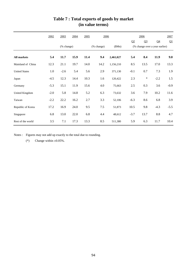|                      | 2002   | 2003   | 2004       | 2005 | 2006       |           |         | 2006           |                                | 2007   |  |
|----------------------|--------|--------|------------|------|------------|-----------|---------|----------------|--------------------------------|--------|--|
|                      |        |        |            |      |            |           | Q2      | Q <sub>3</sub> | Q <sub>4</sub>                 | Q1     |  |
|                      |        |        | (% change) |      | (% change) |           |         |                | (% change over a year earlier) |        |  |
| <b>All markets</b>   | 5.4    | 11.7   | 15.9       | 11.4 | 9.4        | 2,461,027 | 5.4     | 8.4            | 11.9                           | 9.0    |  |
| Mainland of China    | 12.3   | 21.1   | 19.7       | 14.0 | 14.2       | 1,156,210 | 8.5     | 13.5           | 17.0                           | 13.3   |  |
| <b>United States</b> | 1.0    | $-2.6$ | 5.4        | 5.6  | 2.9        | 371,130   | $-0.1$  | 0.7            | 7.3                            | 1.9    |  |
| Japan                | $-4.5$ | 12.3   | 14.4       | 10.3 | 1.6        | 120,422   | 2.3     | $\ast$         | $-2.2$                         | 1.5    |  |
| Germany              | $-5.3$ | 15.1   | 11.9       | 15.6 | 4.0        | 75,663    | $2.5\,$ | 0.3            | 3.6                            | $-0.9$ |  |
| United Kingdom       | $-2.0$ | 5.8    | 14.8       | 5.2  | 6.3        | 73,632    | 3.6     | 7.9            | 10.2                           | 11.6   |  |
| Taiwan               | $-2.2$ | 22.2   | 16.2       | 2.7  | 3.3        | 52,106    | $-6.3$  | 8.6            | 6.8                            | 3.9    |  |
| Republic of Korea    | 17.2   | 16.9   | 24.0       | 9.5  | $7.5$      | 51,873    | 10.5    | 9.8            | $-4.3$                         | $-5.5$ |  |
| Singapore            | 6.8    | 13.0   | 22.0       | 6.8  | 4.4        | 48,612    | $-3.7$  | 13.7           | 8.8                            | 4.7    |  |
| Rest of the world    | 3.5    | 7.1    | 17.3       | 13.3 | 8.5        | 511,380   | 5.9     | 6.3            | 11.7                           | 10.4   |  |

# **Table 7 : Total exports of goods by market (in value terms)**

Notes : Figures may not add up exactly to the total due to rounding.

(\*) Change within  $\pm 0.05\%$ .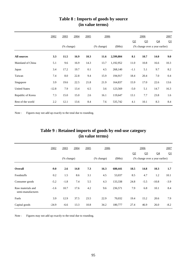|                      | 2002    | 2003                        | 2004 | 2005 |                             | 2006      |                | 2006                           |                | 2007 |  |
|----------------------|---------|-----------------------------|------|------|-----------------------------|-----------|----------------|--------------------------------|----------------|------|--|
|                      |         |                             |      |      |                             |           | Q <sub>2</sub> | Q <sub>3</sub>                 | Q <sub>4</sub> | Q1   |  |
|                      |         | $(% \mathbf{A})$ (% change) |      |      | $(% \mathbf{A})$ (% change) | (SMn)     |                | (% change over a year earlier) |                |      |  |
| <b>All sources</b>   | 3.3     | 11.5                        | 16.9 | 10.3 | 11.6                        | 2,599,804 | 8.1            | 10.7                           | 14.0           | 9.0  |  |
| Mainland of China    | 5.1     | 9.6                         | 16.9 | 14.3 | 13.7                        | 1,192,952 | 11.0           | 10.8                           | 16.6           | 10.3 |  |
| Japan                | 3.4     | 17.2                        | 19.7 | 0.1  | 4.5                         | 268,140   | $-1.1$         | 5.1                            | 9.7            | 8.2  |  |
| Taiwan               | 7.4     | 8.0                         | 22.8 | 9.4  | 15.9                        | 194,917   | 18.4           | 20.4                           | 7.0            | 0.4  |  |
| Singapore            | 3.9     | 19.6                        | 22.5 | 21.8 | 21.9                        | 164,837   | 15.9           | 17.0                           | 22.6           | 13.6 |  |
| <b>United States</b> | $-12.8$ | 7.9                         | 13.4 | 6.5  | 3.6                         | 123,569   | $-5.0$         | 5.1                            | 14.7           | 16.3 |  |
| Republic of Korea    | 7.3     | 15.0                        | 15.0 | 2.6  | 16.1                        | 119,647   | 13.1           | 7.7                            | 23.8           | 1.6  |  |
| Rest of the world    | 2.2     | 12.1                        | 13.6 | 8.4  | 7.6                         | 535,742   | 4.1            | 10.1                           | 8.3            | 8.4  |  |

# **Table 8 : Imports of goods by source (in value terms)**

Note : Figures may not add up exactly to the total due to rounding.

| Table 9 : Retained imports of goods by end-use category |  |
|---------------------------------------------------------|--|
| (in value terms)                                        |  |
|                                                         |  |

|                                        | 2002    | 2003<br>2004 |      | 2005<br>2006 |            |         |      | 2006           |                                |        |
|----------------------------------------|---------|--------------|------|--------------|------------|---------|------|----------------|--------------------------------|--------|
|                                        |         |              |      |              |            |         | Q2   | Q <sub>3</sub> | Q <sub>4</sub>                 | Q1     |
|                                        |         | (% change)   |      |              | (% change) | (SMn)   |      |                | (% change over a year earlier) |        |
| <b>Overall</b>                         | $-9.0$  | 2.6          | 14.8 | 7.3          | 16.3       | 680,441 | 18.5 | 14.8           | 10.3                           | 1.7    |
| Foodstuffs                             | 0.2     | 1.5          | 8.6  | 3.1          | 4.5        | 53,037  | 8.5  | 4.7            | 1.2                            | 10.1   |
| Consumer goods                         | $-5.2$  | $-1.8$       | 7.4  | 5.5          | 4.3        | 133,338 | 24.8 | $-5.5$         | $-10.8$                        | $-3.9$ |
| Raw materials and<br>semi-manufactures | $-1.6$  | 10.7         | 17.6 | 4.2          | 9.6        | 236,571 | 7.9  | 6.8            | 10.1                           | 8.4    |
| Fuels                                  | 3.9     | 12.9         | 37.5 | 23.5         | 22.9       | 70,032  | 19.4 | 15.2           | 20.6                           | 7.9    |
| Capital goods                          | $-24.9$ | $-6.6$       | 13.3 | 10.8         | 34.2       | 180,777 | 27.4 | 46.9           | 26.0                           | $-8.2$ |

Note : Figures may not add up exactly to the total due to rounding.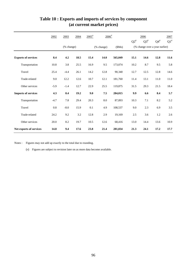|                            | 2002    | 2003       | 2004 | $2005$ <sup>#</sup> | $2006$ <sup>#</sup> |         |        | 2006      |                                | 2007   |
|----------------------------|---------|------------|------|---------------------|---------------------|---------|--------|-----------|--------------------------------|--------|
|                            |         |            |      |                     |                     |         | $Q2^*$ | $Q3^{\#}$ | $Q4^{\#}$                      | $Q1^*$ |
|                            |         | (% change) |      |                     | (% change)          | \$Mn)   |        |           | (% change over a year earlier) |        |
| <b>Exports of services</b> | 8.4     | 4.2        | 18.5 | 15.4                | 14.0                | 565,049 | 15.1   | 14.6      | 12.8                           | 11.6   |
| Transportation             | 10.8    | 3.8        | 25.5 | 16.9                | 9.5                 | 173,074 | 10.2   | 8.7       | 9.5                            | 5.8    |
| Travel                     | 25.4    | $-4.4$     | 26.1 | 14.2                | 12.8                | 90,340  | 12.7   | 12.5      | 12.8                           | 14.6   |
| Trade-related              | 9.0     | 12.2       | 12.6 | 10.7                | 12.1                | 181,760 | 11.4   | 13.1      | 11.0                           | 11.0   |
| Other services             | $-5.9$  | $-1.4$     | 12.7 | 22.9                | 25.5                | 119,875 | 31.5   | 29.3      | 21.5                           | 18.4   |
| <b>Imports of services</b> | 4.3     | 0.4        | 19.2 | 9.0                 | 7.5                 | 284,015 | 9.9    | 6.6       | 8.4                            | 5.7    |
| Transportation             | $-4.7$  | 7.8        | 29.4 | 20.3                | $8.0\,$             | 87,893  | 10.3   | 7.1       | $8.2\,$                        | 5.2    |
| Travel                     | $0.8\,$ | $-8.0$     | 15.9 | 0.1                 | 4.9                 | 108,537 | 9.0    | 2.3       | 6.9                            | 3.5    |
| Trade-related              | 24.2    | 9.2        | 3.2  | 12.8                | 2.9                 | 19,169  | 2.5    | 3.6       | 1.2                            | 2.6    |
| Other services             | 20.0    | 8.2        | 19.7 | 10.5                | 12.6                | 68,416  | 13.0   | 14.4      | 13.6                           | 10.9   |
| Net exports of services    | 14.8    | 9.4        | 17.6 | 23.8                | 21.4                | 281,034 | 21.3   | 24.1      | 17.2                           | 17.7   |

# **Table 10 : Exports and imports of services by component (at current market prices)**

Notes : Figures may not add up exactly to the total due to rounding.

(#) Figures are subject to revision later on as more data become available.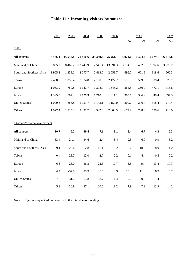|                                       | 2002       | 2003      | 2004       | 2005       | 2006        |            | 2006           |                | 2007       |
|---------------------------------------|------------|-----------|------------|------------|-------------|------------|----------------|----------------|------------|
|                                       |            |           |            |            |             | Q2         | Q <sub>3</sub> | Q <sub>4</sub> | Q1         |
| (000)                                 |            |           |            |            |             |            |                |                |            |
| <b>All sources</b>                    | 16 566.4   | 15 536.8  | 21 810.6   | 23 359.4   | 25 25 1.1   | 5971.0     | 6 374.7        | 6 679.1        | 6 6 1 5 .8 |
| Mainland of China                     | 6 825.2    | 8 4 6 7.2 | 12 245.9   | 12 541.4   | 13 591.3    | 3 1 1 4 .5 | 3 4 9 2.3      | 3 3 9 2.6      | 3778.2     |
| South and Southeast Asia              | 1 905.2    | 1 359.6   | 2077.7     | 2413.0     | 2659.7      | 695.7      | 601.8          | 818.6          | 566.3      |
| Taiwan                                | 2 4 2 8 .8 | 1852.4    | 2 0 7 4.8  | 2 130.6    | 2 177.2     | 513.0      | 599.0          | 538.4          | 525.7      |
| Europe                                | 1 0 8 3.9  | 780.8     | 1 1 4 2.7  | 1 3 9 8 .0 | 1548.2      | 364.5      | 360.0          | 472.1          | 413.8      |
| Japan                                 | 1 395.0    | 867.2     | 1 1 2 6 .3 | 1 210.8    | 1 3 1 1 .1  | 305.1      | 336.9          | 348.4          | 337.3      |
| <b>United States</b>                  | 1 000.8    | 683.8     | 1 0 5 1 .7 | 1 1 4 3 .1 | 1 1 5 9 . 0 | 300.2      | 276.4          | 318.4          | 277.4      |
| Others                                | 1927.4     | 1525.8    | 2 0 9 1.7  | 2 5 2 2.6  | 2 804.5     | 677.9      | 708.3          | 790.6          | 716.9      |
|                                       |            |           |            |            |             |            |                |                |            |
| <u>(% change over a year earlier)</u> |            |           |            |            |             |            |                |                |            |
| <b>All sources</b>                    | 20.7       | $-6.2$    | 40.4       | 7.1        | 8.1         | 8.4        | 6.7            | 4.3            | 6.3        |
| Mainland of China                     | 53.4       | 24.1      | 44.6       | 2.4        | 8.4         | 9.5        | 6.0            | 0.9            | 5.2        |
| South and Southeast Asia              | 9.1        | $-28.6$   | 52.8       | 16.1       | 10.2        | 12.7       | 10.5           | 8.9            | 4.2        |
| Taiwan                                | 0.4        | $-23.7$   | 12.0       | 2.7        | 2.2         | $-0.1$     | 4.4            | $-0.5$         | $-0.2$     |
| Europe                                | 6.3        | $-28.0$   | 46.3       | 22.3       | 10.7        | 5.5        | 9.4            | 13.8           | 17.7       |
| Japan                                 | 4.4        | $-37.8$   | 29.9       | $7.5$      | 8.3         | 15.3       | 11.0           | 6.9            | 5.2        |
| <b>United States</b>                  | 7.0        | $-31.7$   | 53.8       | 8.7        | 1.4         | 2.3        | 0.5            | 1.4            | 5.1        |
| Others                                | 5.9        | $-20.8$   | 37.1       | 20.6       | 11.2        | 7.9        | 7.9            | 13.9           | 14.2       |

# **Table 11 : Incoming visitors by source**

Note : Figures may not add up exactly to the total due to rounding.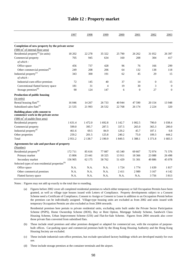|                                                                       | 1997    | 1998       | 1999           | 2000    | 2001           | 2002             | 2003             |
|-----------------------------------------------------------------------|---------|------------|----------------|---------|----------------|------------------|------------------|
|                                                                       |         |            |                |         |                |                  |                  |
| Completion of new property by the private sector                      |         |            |                |         |                |                  |                  |
| $(1000 \text{ m}^2 \text{ of internal floor area})$                   |         |            |                |         |                |                  |                  |
| Residential property <sup>(a)</sup> (in units)                        | 18 20 2 | 22 278     | 35 322         | 25 790  | 26 26 2        | 31 052           | 26 397           |
| Commercial property                                                   | 705     | 945        | 634            | 160     | 208            | 304              | 417              |
| of which:                                                             |         |            |                |         |                |                  |                  |
| Office space                                                          | 456     | 737        | 428            | 96      | 76             | 166              | 299              |
| Other commercial premises <sup>(b)</sup>                              | 249     | 208        | 206            | 64      | 132            | 138              | 118              |
| Industrial property <sup>(c)</sup>                                    | 343     | 300        | 191            | 62      | 45             | 29               | 15               |
| of which:                                                             |         |            |                |         |                |                  |                  |
| Industrial-cum-office premises                                        | 72      | 145        | 40             | 37      | 14             | $\boldsymbol{0}$ | 15               |
| Conventional flatted factory space                                    | 181     | 31         | $\overline{4}$ | 19      | 30             | 3                | $\boldsymbol{0}$ |
| Storage premises <sup>(d)</sup>                                       | 90      | 124        | 147            | 6       | $\overline{0}$ | 27               | $\mathbf{0}$     |
| Production of public housing                                          |         |            |                |         |                |                  |                  |
| (in units)                                                            |         |            |                |         |                |                  |                  |
| Rental housing flats <sup>(e)</sup>                                   | 16 04 6 | 14 267     | 26 733         | 40 944  | 47 590         | 20 154           | 13 948           |
| Subsidized sales flats <sup>(e)</sup>                                 | 21 5 35 | 21 9 93    | 26 5 32        | 22 768  | 26 174         | 2 2 2 4          | 320              |
| Building plans with consent to<br>commence work in the private sector |         |            |                |         |                |                  |                  |
| $(000 \text{ m}^2 \text{ of usable floor area})$                      |         |            |                |         |                |                  |                  |
| Residential property                                                  | 1 631.4 | 1472.0     | 1 692.8        | 1 142.7 | 1 002.5        | 790.0            | 1 0 38.4         |
| Commercial property                                                   | 599.0   | 395.7      | 287.5          | 337.5   | 265.0          | 365.3            | 200.0            |
| Industrial property <sup>(f)</sup>                                    | 461.6   | 69.5       | 84.9           | 129.2   | 45.7           | 107.1            | 0.8              |
| Other properties                                                      | 259.2   | 201.5      | 125.8          | 240.2   | 75.0           | 109.3            | 444.2            |
| Total                                                                 | 2951.2  | 2 1 3 8 .7 | 2 190.9        | 1 849.5 | 1 388.1        | 1 371.8          | 1 683.3          |
| Agreements for sale and purchase of property                          |         |            |                |         |                |                  |                  |
| (Number)                                                              |         |            |                |         |                |                  |                  |
| Residential property <sup>(g)</sup>                                   | 172 711 | 85 616     | 77 087         | 65 340  | 69 667         | 72974            | 71 576           |
| Primary market                                                        | 15 806  | 23 441     | 18 3 25        | 13911   | 18 3 6 6       | 23 088           | 26 4 98          |
| Secondary market                                                      | 156 905 | 62 175     | 58 762         | 51 429  | 51 301         | 49886            | 45 078           |
| Selected types of non-residential properties <sup>(h)</sup>           |         |            |                |         |                |                  |                  |
| Office space                                                          | N.A.    | N.A.       | N.A.           | 1 7 2 4 | 1 7 7 4        | 1639             | 1817             |
| Other commerical premises                                             | N.A.    | N.A.       | N.A.           | 2411    | 2989           | 3 1 6 7          | 4 1 4 2          |
| Flatted factory space                                                 | N.A.    | N.A.       | N.A.           | N.A.    | N.A.           | 3756             | 3813             |

### **Table 12 : Property market**

Notes : Figures may not add up exactly to the total due to rounding.

(a) Figures before 2002 cover all completed residential premises to which either temporary or full Occupation Permits have been granted, as well as village type houses issued with Letters of Compliance. Property developments subject to a Consent Scheme need a Certificate of Compliance, Consent to Assign or Consent to Lease in addition to an Occupation Permit before the premises can be individually assigned. Village-type housing units are excluded as from 2002 and units issued with temporary Occupation Permits are also excluded as from 2004 onwards.

Residential premises here pertain to private residential units, excluding units built under the Private Sector Participation Scheme (PSPS), Home Ownership Scheme (HOS), Buy or Rent Option, Mortgage Subsidy Scheme, Sandwich Class Housing Scheme, Urban Improvement Scheme (UIS) and Flat-for-Sale Scheme. Figures from 2004 onwards also cover those private flats converted from subsidised flats.

- $(h)$ These include retail premises and other premises designed or adapted for commercial use, with the exception of purposebuilt offices. Car-parking space and commercial premises built by the Hong Kong Housing Authority and the Hong Kong Housing Society are excluded.
- (c) These include industrial-cum-office premises, but exclude specialised factory buildings which are developed mainly for own use.

(d) These include storage premises at the container terminals and the airport.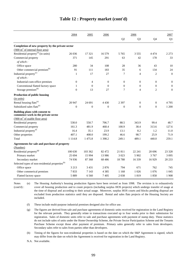|                                                                       | 2004             | 2005           | 2006             |          | 2006             |                  | 2007             |  |
|-----------------------------------------------------------------------|------------------|----------------|------------------|----------|------------------|------------------|------------------|--|
|                                                                       |                  |                |                  | Q2       | Q <sub>3</sub>   | Q4               | Q1               |  |
| Completion of new property by the private sector                      |                  |                |                  |          |                  |                  |                  |  |
| $(000 \text{ m}^2 \text{ of internal floor area})$                    |                  |                |                  |          |                  |                  |                  |  |
| Residential property <sup>(a)</sup> (in units)                        | 26 0 36          | 17 321         | 16 579           | 5 7 6 5  | 3 5 5 5          | 4474             | 2 2 7 3          |  |
| Commercial property                                                   | 371              | 145            | 291              | 63       | 42               | 178              | 33               |  |
| of which:                                                             |                  |                |                  |          |                  |                  |                  |  |
| Office space                                                          | 280              | 34             | 108              | 28       | 36               | 43               | 10               |  |
| Other commercial premises <sup>(b)</sup>                              | 91               | 111            | 183              | 35       | 6                | 134              | 24               |  |
| Industrial property <sup>(c)</sup>                                    | $\mathbf{1}$     | 17             | 27               | 7        | $\overline{4}$   | $\mathfrak{2}$   | $\boldsymbol{0}$ |  |
| of which:                                                             |                  |                |                  |          |                  |                  |                  |  |
| Industrial-cum-office premises                                        | $\boldsymbol{0}$ | $\overline{4}$ | $\boldsymbol{0}$ | $\theta$ | $\overline{0}$   | $\boldsymbol{0}$ | $\boldsymbol{0}$ |  |
| Conventional flatted factory space                                    | 1                | $\Omega$       | $\mathbf{0}$     | $\Omega$ | $\boldsymbol{0}$ | $\boldsymbol{0}$ | $\boldsymbol{0}$ |  |
| Storage premises <sup>(d)</sup>                                       | $\overline{0}$   | 13             | 27               | 7        | $\overline{4}$   | $\overline{2}$   | $\overline{0}$   |  |
| Production of public housing                                          |                  |                |                  |          |                  |                  |                  |  |
| (in units)                                                            |                  |                |                  |          |                  |                  |                  |  |
| Rental housing flats <sup>(e)</sup>                                   | 20 947           | 24 691         | 4 4 3 0          | 2 3 9 7  | $\boldsymbol{0}$ | $\mathbf{0}$     | 4795             |  |
| Subsidized sales flats <sup>(e)</sup>                                 | $\overline{0}$   | $\Omega$       | $\overline{0}$   | $\Omega$ | $\Omega$         | $\theta$         | 1 200            |  |
| Building plans with consent to<br>commence work in the private sector |                  |                |                  |          |                  |                  |                  |  |
| $(000 \text{ m}^2 \text{ of usable floor area})$                      |                  |                |                  |          |                  |                  |                  |  |
| Residential property                                                  | 530.0            | 550.7          | 706.7            | 88.5     | 343.9            | 99.4             | 48.7             |  |
| Commercial property                                                   | 161.3            | 481.9          | 468.4            | 100.9    | 38.4             | 313.6            | 127.6            |  |
| Industrial property <sup>(f)</sup>                                    | 16.4             | 35.1           | 23.9             | 13.1     | 8.2              | 1.2              | 11.0             |  |
| Other properties                                                      | 407.1            | 408.0          | 199.2            | 46.6     | 98.7             | 25.9             | 71.9             |  |
| Total                                                                 | 1 1 1 4 .8       | 1475.8         | 1 3 9 8.2        | 249.1    | 489.1            | 440.0            | 259.1            |  |
|                                                                       |                  |                |                  |          |                  |                  |                  |  |
| Agreements for sale and purchase of property<br>(Number)              |                  |                |                  |          |                  |                  |                  |  |
| Residential property <sup>(g)</sup>                                   | 100 630          | 103 362        | 82 472           | 21811    | 22 24 1          | 20 69 6          | 23 3 28          |  |
| Primary market                                                        | 25 694           | 15 9 94        | 13 986           | 3 0 2 3  | 5 9 0 2          | 3767             | 3 0 9 5          |  |
| Secondary market                                                      | 74 936           | 87 368         | 68 4 8 6         | 18788    | 16 3 39          | 16929            | 20 233           |  |
| Selected types of non-residential properties <sup>(h)</sup>           |                  |                |                  |          |                  |                  |                  |  |
|                                                                       |                  |                |                  |          |                  |                  |                  |  |
| Office space                                                          | 3 2 1 3          | 3 4 3 1        | 2876             | 794      | 671<br>1 0 2 6   | 762<br>1076      | 745<br>1 0 4 5   |  |
| Other commerical premises                                             | 7833             | 7 1 4 3        | 4 3 8 5          | 1 1 6 8  |                  |                  |                  |  |
| Flatted factory space                                                 | 5889             | 6 5 6 0        | 7405             | 2038     | 1819             | 1858             | 1908             |  |

### **Table 12 : Property market (cont'd)**

(e) The Housing Authority's housing production figures have been revised as from 1998. The revision is to exhaustively cover all housing production and to count projects (including surplus HOS projects) which undergo transfer of usage at the time of disposal and according to their actual usage. Moreover, surplus HOS courts and blocks pending disposal are excluded from production statistics until they are disposed. Rental and sales flats projects of the Housing Society are included. Notes (cont'd) :

(f) These include multi-purpose industrial premises designed also for office use.

N.A. Not available.

<sup>(</sup>g) The figures are derived from sale and purchase agreements of domestic units received for registration in the Land Registry for the relevant periods. They generally relate to transactions executed up to four weeks prior to their submission for registration. Sales of domestic units refer to sale and purchase agreements with payment of stamp duty. These statistics do not include sales of units under the Home Ownership Scheme, the Private Sector Participation Scheme and the Tenants Purchase Scheme except those after payment of premium. Primary sales generally refer to sales from developers. Secondary sales refer to sales from parties other than developers.

<sup>(</sup>h) Timing of the figures for non-residential properties is based on the date on which the S&P Agreement is signed, which may differ from the date on which the Agreement is received for registration in the Land Registry.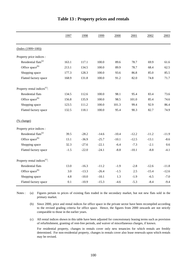|                                          | 1997   | 1998    | 1999    | 2000    | 2001    | 2002    | 2003    |
|------------------------------------------|--------|---------|---------|---------|---------|---------|---------|
| $(Index (1999=100))$                     |        |         |         |         |         |         |         |
| Property price indices :                 |        |         |         |         |         |         |         |
| Residential flats <sup>(a)</sup>         | 163.1  | 117.1   | 100.0   | 89.6    | 78.7    | 69.9    | 61.6    |
| Office space <sup>(b)</sup>              | 213.1  | 134.5   | 100.0   | 89.9    | 78.7    | 68.4    | 62.5    |
| Shopping space                           | 177.3  | 128.3   | 100.0   | 93.6    | 86.8    | 85.0    | 85.5    |
| Flatted factory space                    | 168.9  | 131.8   | 100.0   | 91.2    | 82.0    | 74.8    | 71.7    |
| Property rental indices <sup>(c)</sup> : |        |         |         |         |         |         |         |
| Residential flats                        | 134.5  | 112.6   | 100.0   | 98.1    | 95.4    | 83.4    | 73.6    |
| Office space <sup>(b)</sup>              | 156.8  | 135.9   | 100.0   | 98.5    | 101.0   | 85.4    | 74.6    |
| Shopping space                           | 123.5  | 111.2   | 100.0   | 101.3   | 99.4    | 92.9    | 86.4    |
| Flatted factory space                    | 132.5  | 118.1   | 100.0   | 95.4    | 90.3    | 82.7    | 74.9    |
| (% change)                               |        |         |         |         |         |         |         |
| Property price indices :                 |        |         |         |         |         |         |         |
| Residential flats <sup>(a)</sup>         | 39.5   | $-28.2$ | $-14.6$ | $-10.4$ | $-12.2$ | $-11.2$ | $-11.9$ |
| Office space <sup>(b)</sup>              | 13.1   | $-36.9$ | $-25.7$ | $-10.1$ | $-12.5$ | $-13.1$ | $-8.6$  |
| Shopping space                           | 32.3   | $-27.6$ | $-22.1$ | $-6.4$  | $-7.3$  | $-2.1$  | 0.6     |
| Flatted factory space                    | $-1.5$ | $-22.0$ | $-24.1$ | $-8.8$  | $-10.1$ | $-8.8$  | $-4.1$  |
| Property rental indices <sup>(c)</sup> : |        |         |         |         |         |         |         |
| Residential flats                        | 13.0   | $-16.3$ | $-11.2$ | $-1.9$  | $-2.8$  | $-12.6$ | $-11.8$ |
| Office space <sup>(b)</sup>              | 3.0    | $-13.3$ | $-26.4$ | $-1.5$  | 2.5     | $-15.4$ | $-12.6$ |
| Shopping space                           | 4.8    | $-10.0$ | $-10.1$ | 1.3     | $-1.9$  | $-6.5$  | $-7.0$  |
| Flatted factory space                    | 0.1    | $-10.9$ | $-15.3$ | $-4.6$  | $-5.3$  | $-8.4$  | $-9.4$  |

### **Table 13 : Property prices and rentals**

(a) Notes : (a) Figures pertain to prices of existing flats traded in the secondary market, but not new flats sold in the primary market.

(b) Since 2000, price and rental indices for office space in the private sector have been recompiled according to the revised grading criteria for office space. Hence, the figures from 2000 onwards are not strictly comparable to those in the earlier years.

(c) All rental indices shown in this table have been adjusted for concessionary leasing terms such as provision of refurbishment, granting of rent-free periods, and waiver of miscellaneous charges, if known.

For residential property, changes in rentals cover only new tenancies for which rentals are freshly determined. For non-residential property, changes in rentals cover also lease renewals upon which rentals may be revised.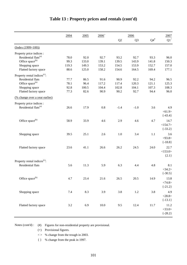|                                          | 2004    | 2005  | $2006^{+}$ |                | 2006           |                 | 2007            |
|------------------------------------------|---------|-------|------------|----------------|----------------|-----------------|-----------------|
|                                          |         |       |            | Q <sub>2</sub> | Q <sub>3</sub> | ${\bf Q4}^{\#}$ | $\mathrm{Q1}^+$ |
| $(Index (1999=100))$                     |         |       |            |                |                |                 |                 |
| Property price indices :                 |         |       |            |                |                |                 |                 |
| Residential flats <sup>(a)</sup>         | 78.0    | 92.0  | 92.7       | 93.2           | 92.7           | 93.3            | 96.0            |
| Office space <sup>(b)</sup>              | 99.3    | 133.0 | 139.1      | 139.5          | 143.9          | 141.8           | 150.3           |
| Shopping space                           | 119.3   | 149.3 | 153.2      | 154.5          | 153.9          | 152.7           | 157.0           |
| Flatted factory space                    | 88.6    | 125.0 | 158.2      | 154.6          | 164.5          | 169.4           | 177.1           |
| Property rental indices <sup>(c)</sup> : |         |       |            |                |                |                 |                 |
| Residential flats                        | 77.7    | 86.5  | 91.6       | 90.9           | 92.2           | 94.2            | 96.5            |
| Office space <sup>(b)</sup>              | 78.1    | 96.4  | 117.2      | 117.4          | 120.3          | 121.1           | 125.3           |
| Shopping space                           | 92.8    | 100.5 | 104.4      | 102.8          | 104.1          | 107.3           | 108.3           |
| Flatted factory space                    | 77.3    | 82.6  | 90.9       | 90.2           | 92.7           | 94.4            | 96.0            |
| (% change over a year earlier)           |         |       |            |                |                |                 |                 |
| Property price indices :                 |         |       |            |                |                |                 |                 |
| Residential flats <sup>(a)</sup>         | 26.6    | 17.9  | 0.8        | $-1.4$         | $-1.0$         | 3.6             | 4.9             |
|                                          |         |       |            |                |                |                 | < 61.9 >        |
|                                          |         |       |            |                |                |                 | $\{-43.4\}$     |
| Office space <sup>(b)</sup>              | 58.9    | 33.9  | 4.6        | 2.9            | 4.6            | 4.7             | 14.7            |
|                                          |         |       |            |                |                |                 | <154.7>         |
|                                          |         |       |            |                |                |                 | $\{-33.2\}$     |
|                                          |         |       |            |                |                |                 |                 |
| Shopping space                           | 39.5    | 25.1  | 2.6        | 1.0            | 3.4            | 1.1             | 3.6             |
|                                          |         |       |            |                |                |                 | $<$ 93.8>       |
|                                          |         |       |            |                |                |                 | ${-18.8}$       |
| Flatted factory space                    | 23.6    | 41.1  | 26.6       | 26.2           | 24.5           | 24.0            | 22.7            |
|                                          |         |       |            |                |                |                 | <153.0>         |
|                                          |         |       |            |                |                |                 | ${2.1}$         |
| Property rental indices <sup>(c)</sup> : |         |       |            |                |                |                 |                 |
| <b>Residential flats</b>                 | 5.6     | 11.3  | 5.9        | 6.3            | 4.4            | 4.8             | 8.1             |
|                                          |         |       |            |                |                |                 | <34.2>          |
|                                          |         |       |            |                |                |                 | $\{-30.5\}$     |
| Office space <sup>(b)</sup>              | 4.7     | 23.4  | 21.6       | 26.5           | 20.5           | 14.9            | 13.8            |
|                                          |         |       |            |                |                |                 | <74.8>          |
|                                          |         |       |            |                |                |                 | $\{-21.2\}$     |
| Shopping space                           | $7.4\,$ | 8.3   | 3.9        | 3.8            | $1.2\,$        | 3.8             | 4.9             |
|                                          |         |       |            |                |                |                 | $<$ 28.8>       |
|                                          |         |       |            |                |                |                 |                 |
|                                          |         |       |            |                |                |                 | ${-13.1}$       |
| Flatted factory space                    | $3.2\,$ | 6.9   | $10.0\,$   | 9.5            | 12.4           | 11.7            | 11.2            |
|                                          |         |       |            |                |                |                 | <33.0>          |
|                                          |         |       |            |                |                |                 | $\{-28.2\}$     |

# **Table 13 : Property prices and rentals (cont'd)**

Notes (cont'd) : (#) Figures for non-residential property are provisional.

(+) Provisional figures.

< > % change from the trough in 2003.

{ } % change from the peak in 1997.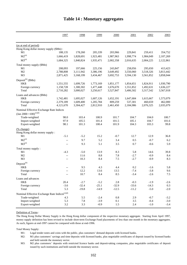|                                                              | 1997         | 1998           | 1999           | 2000           | 2001           | 2002           | 2003           |
|--------------------------------------------------------------|--------------|----------------|----------------|----------------|----------------|----------------|----------------|
| (as at end of period)                                        |              |                |                |                |                |                |                |
| Hong Kong dollar money supply (\$Mn):                        |              |                |                |                |                |                |                |
| M1                                                           | 188,135      | 178,260        | 205,339        | 203,966        | 229,841        | 259,411        | 354,752        |
| $M2^{(a)}$                                                   | 1,666,419    | 1,828,691      | 1,923,481      | 1,987,963      | 1,998,774      | 1,984,049      | 2,107,269      |
| $M3^{(a)}$                                                   | 1,684,325    | 1,840,824      | 1,935,471      | 2,002,358      | 2,016,635      | 2,004,225      | 2,122,861      |
| Total money supply (\$Mn)                                    |              |                |                |                |                |                |                |
| M1                                                           | 208,093      | 197,666        | 225,156        | 243,847        | 258,056        | 295,650        | 413,423        |
| M <sub>2</sub>                                               | 2,788,808    | 3,111,942      | 3,386,196      | 3,649,492      | 3,550,060      | 3,518,326      | 3,813,442      |
| M <sub>3</sub>                                               | 2,871,425    | 3,168,199      | 3,434,467      | 3,692,753      | 3,594,130      | 3,561,852      | 3,858,044      |
| Deposit <sup>(b)</sup> (\$Mn)                                |              |                |                |                |                |                |                |
| HK\$                                                         | 1,551,555    | 1,699,726      | 1,773,169      | 1,851,177      | 1,854,651      | 1,824,911      | 1,930,790      |
| Foreign currency                                             | 1,158,728    | 1,300,302      | 1,477,448      | 1,676,670      | 1,551,852      | 1,492,631      | 1,636,227      |
| Total                                                        | 2,710,282    | 3,000,027      | 3,250,617      | 3,527,847      | 3,406,502      | 3,317,542      | 3,567,018      |
| Loans and advances (\$Mn)                                    |              |                |                |                |                |                |                |
| HK\$                                                         | 1,742,481    | 1,695,027      | 1,607,126      | 1,652,191      | 1,647,684      | 1,615,667      | 1,573,079      |
| Foreign currency                                             | 2,379,189    | 1,609,400      | 1,205,784      | 809,259        | 537,301        | 460,659        | 462,000        |
| Total                                                        | 4,121,670    | 3,304,427      | 2,812,910      | 2,461,450      | 2,184,986      | 2,076,325      | 2,035,079      |
|                                                              |              |                |                |                |                |                |                |
| Nominal Effective Exchange Rate Indices                      |              |                |                |                |                |                |                |
| $\left(\text{Jan } 2000 = 100\right)^{(c)(d)}$               |              |                |                |                |                |                |                |
| Trade-weighted                                               | 98.0<br>97.9 | 103.4<br>105.5 | 100.9<br>101.4 | 101.7<br>101.5 | 104.7<br>105.1 | 104.0<br>104.7 | 100.7<br>101.6 |
| Import-weighted<br>Export-weighted                           | 98.1         | 101.3          | 100.4          | 101.9          | 104.3          | 103.3          | 99.8           |
|                                                              |              |                |                |                |                |                |                |
| (% change)                                                   |              |                |                |                |                |                |                |
| Hong Kong dollar money supply:                               |              |                |                |                |                |                |                |
| M1                                                           | $-5.1$       | $-5.2$         | 15.2           | $-0.7$         | 12.7           | 12.9           | 36.8           |
| $M2^{(a)}$                                                   | $-$          | 9.7            | 5.2            | 3.4            | 0.5            | $-0.7$         | 6.2            |
| $M3^{(a)}$                                                   | $-$          | 9.3            | 5.1            | 3.5            | 0.7            | $-0.6$         | 5.9            |
| Total money supply:                                          |              |                |                |                |                |                |                |
| M1                                                           | $-4.3$       | $-5.0$         | 13.9           | 8.3            | 5.8            | 14.6           | 39.8           |
| M2                                                           | $-$          | 11.6           | $8.8\,$        | 7.8            | $-2.7$         | $-0.9$         | 8.4            |
| M <sub>3</sub>                                               | $-$          | 10.3           | 8.4            | $7.5\,$        | $-2.7$         | $-0.9$         | 8.3            |
| $Deposit^{(b)}$                                              |              |                |                |                |                |                |                |
| HK\$                                                         | $-$          | 9.5            | 4.3            | 4.4            | 0.2            | $-1.6$         | 5.8            |
| Foreign currency                                             | $-$          | 12.2           | 13.6           | 13.5           | $-7.4$         | $-3.8$         | 9.6            |
| Total                                                        | --           | 10.7           | 8.4            | 8.5            | $-3.4$         | $-2.6$         | 7.5            |
| Loans and advances                                           |              |                |                |                |                |                |                |
| HK\$                                                         | 20.4         | $-2.7$         | $-5.2$         | $2.8\,$        | $-0.3$         | $-1.9$         | $-2.6$         |
| Foreign currency                                             | $-3.6$       | $-32.4$        | $-25.1$        | $-32.9$        | $-33.6$        | $-14.3$        | 0.3            |
| Total                                                        | 5.3          | $-19.8$        | $-14.9$        | $-12.5$        | $-11.2$        | $-5.0$         | $-2.0$         |
|                                                              |              |                |                |                |                |                |                |
| Nominal Effective Exchange Rate Indices ${}^{\text{(c)(d)}}$ |              |                |                |                |                |                |                |
| Trade-weighted                                               | 4.3          | 5.5            | $-2.4$         | $0.8\,$        | 2.9            | $-0.7$         | $-3.2$         |
| Import-weighted                                              | 5.3          | 7.8            | $-3.9$         | 0.1            | 3.5            | $-0.4$         | $-3.0$         |
| Export-weighted                                              | $3.2\,$      | 3.3            | $-0.9$         | 1.5            | 2.4            | $-1.0$         | $-3.4$         |

### **Table 14 : Monetary aggregates**

#### Definition of Terms :

The Hong Kong Dollar Money Supply is the Hong Kong dollar component of the respective monetary aggregate. Starting from April 1997, money supply definition has been revised to include short-term Exchange Fund placements of less than one month in the monetary aggregates. As such, figures at end-1997 cannot be compared with those at end-1996.

Total Money Supply:

M1: Legal tender notes and coins with the public, plus customers' demand deposits with licensed banks.

M2: M1 plus customers' savings and time deposits with licensed banks, plus negotiable certificates of deposit issued by licensed banks and held outside the monetary sector.

M3: M2 plus customers' deposits with restricted licence banks and deposit-taking companies, plus negotiable certificates of deposit issued by such institutions and held outside the monetary sector.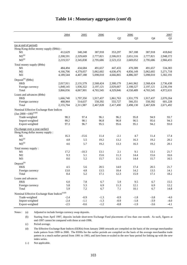|                                                           | 2004      | 2005      | 2006      |                | 2006           |           | 2007      |
|-----------------------------------------------------------|-----------|-----------|-----------|----------------|----------------|-----------|-----------|
|                                                           |           |           |           | Q <sub>2</sub> | Q <sub>3</sub> | Q4        | Q1        |
| (as at end of period)                                     |           |           |           |                |                |           |           |
| Hong Kong dollar money supply (\$Mn):                     |           |           |           |                |                |           |           |
| M1                                                        | 412,629   | 348,248   | 387,918   | 353,297        | 367,188        | 387,918   | 418,842   |
| $M2^{(a)}$                                                | 2,208,591 | 2,329,669 | 2,777,821 | 2,506,013      | 2,651,516      | 2,777,821 | 2,948,372 |
| $M3^{(a)}$                                                | 2,219,557 | 2,345,838 | 2,795,686 | 2,523,153      | 2,669,052      | 2,795,686 | 2,966,455 |
| Total money supply (\$Mn)                                 |           |           |           |                |                |           |           |
| M1                                                        | 484,494   | 434,684   | 491,657   | 447,433        | 470,389        | 491,657   | 534,383   |
| M <sub>2</sub>                                            | 4,166,706 | 4,379,057 | 5,062,602 | 4,636,476      | 4,856,149      | 5,062,602 | 5,271,718 |
| M <sub>3</sub>                                            | 4,189,544 | 4,407,188 | 5,098,010 | 4,666,865      | 4,886,507      | 5,098,010 | 5,302,191 |
| Deposit <sup>(b)</sup> (\$Mn)                             |           |           |           |                |                |           |           |
| <b>HKS</b>                                                | 2,017,911 | 2,131,579 | 2,568,424 | 2,300,179      | 2,441,962      | 2,568,424 | 2,736,438 |
| Foreign currency                                          | 1,848,145 | 1,936,322 | 2,197,121 | 2,029,667      | 2,108,527      | 2,197,121 | 2,236,194 |
| Total                                                     | 3,866,056 | 4,067,901 | 4,765,545 | 4,329,846      | 4,550,489      | 4,765,545 | 4,972,631 |
| Loans and advances (\$Mn)                                 |           |           |           |                |                |           |           |
| <b>HKS</b>                                                | 1,666,740 | 1,797,350 | 1,917,437 | 1,861,763      | 1,931,779      | 1,917,437 | 2,070,264 |
| Foreign currency                                          | 488,964   | 514,637   | 550,392   | 555,727        | 566,351        | 550,392   | 601,228   |
| Total                                                     | 2,155,704 | 2,311,987 | 2,467,828 | 2,417,490      | 2,498,130      | 2,467,828 | 2,671,492 |
| Nominal Effective Exchange Rate Indices                   |           |           |           |                |                |           |           |
| $\left(\text{Jan } 2000 = 100\right)^{(c)(d)}$            |           |           |           |                |                |           |           |
| Trade-weighted                                            | 98.3      | 97.4      | 96.1      | 96.2           | 95.8           | 94.9      | 93.7      |
| Import-weighted                                           | 99.2      | 98.1      | 96.8      | 96.8           | 96.5           | 95.6      | 94.3      |
| Export-weighted                                           | 97.3      | 96.7      | 95.5      | 95.6           | 95.1           | 94.2      | 93.0      |
| (% change over a year earlier)                            |           |           |           |                |                |           |           |
| Hong Kong dollar money supply:                            |           |           |           |                |                |           |           |
| M1                                                        | 16.3      | $-15.6$   | 11.4      | $-2.1$         | 4.7            | 11.4      | 17.4      |
| $M2^{(a)}$                                                | 4.8       | 5.5       | 19.2      | 13.2           | 16.3           | 19.2      | 20.2      |
| $M3^{(a)}$                                                | 4.6       | 5.7       | 19.2      | 13.3           | 16.3           | 19.2      | 20.1      |
| Total money supply:                                       |           |           |           |                |                |           |           |
| M1                                                        | 17.2      | $-10.3$   | 13.1      | 2.1            | 9.1            | 13.1      | 21.7      |
| M <sub>2</sub>                                            | 9.3       | 5.1       | 15.6      | 11.3           | 14.4           | 15.6      | 16.6      |
| M <sub>3</sub>                                            | 8.6       | 5.2       | 15.7      | 11.3           | 14.4           | 15.7      | 16.5      |
| Deposit <sup>(b)</sup>                                    |           |           |           |                |                |           |           |
| HK\$                                                      | 4.5       | 5.6       | 20.5      | 14.0           | 17.4           | 20.5      | 21.7      |
| Foreign currency                                          | 13.0      | 4.8       | 13.5      | 10.4           | 14.2           | 13.5      | 14.1      |
| Total                                                     | 8.4       | 5.2       | 17.1      | 12.3           | 15.9           | 17.1      | 18.2      |
| Loans and advances                                        |           |           |           |                |                |           |           |
| HK\$                                                      | $6.0\,$   | 7.8       | 6.7       | 5.9            | 9.5            | 6.7       | 15.5      |
| Foreign currency                                          | 5.8       | 5.3       | 6.9       | 11.3           | 12.1           | 6.9       | 12.2      |
| Total                                                     | 5.9       | 7.2       | 6.7       | 7.1            | 10.1           | 6.7       | 14.8      |
| Nominal Effective Exchange Rate Indices <sup>(c)(d)</sup> |           |           |           |                |                |           |           |
| Trade-weighted                                            | $-2.4$    | $-0.9$    | $-1.3$    | $-0.9$         | $-1.8$         | $-3.8$    | $-4.0$    |
| Import-weighted                                           | $-2.4$    | $-1.1$    | $-1.3$    | $-0.9$         | $-1.8$         | $-3.9$    | $-4.0$    |
| Export-weighted                                           | $-2.5$    | $-0.6$    | $-1.2$    | $-0.8$         | $-1.9$         | $-3.6$    | $-4.1$    |

#### **Table 14 : Monetary aggregates (cont'd)**

Notes : (a) Adjusted to include foreign currency swap deposits.

(b) Starting from April 1997, deposits include short-term Exchange Fund placements of less than one month. As such, figures at end-1997 cannot be compared with those at end-1996.

(c) Period average.

(d) The Effective Exchange Rate Indices (EERIs) from January 2000 onwards are compiled on the basis of the average merchandise trade pattern from 1999 to 2000. The EERIs for the earlier periods are compiled on the basis of the average merchandise trade pattern in a much earlier period from 1991 to 1993, and have been re-scaled to the new base period for linking up with the new index series.

(--) Not applicable.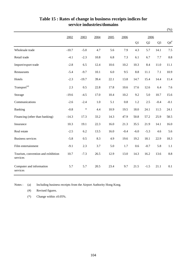|                                                |         |         |      |      |         |         |        |                | $(\% )$         |
|------------------------------------------------|---------|---------|------|------|---------|---------|--------|----------------|-----------------|
|                                                | 2002    | 2003    | 2004 | 2005 | 2006    |         | 2006   |                |                 |
|                                                |         |         |      |      |         | Q1      | Q2     | Q <sub>3</sub> | ${\bf Q4}^{\#}$ |
| Wholesale trade                                | $-10.7$ | $-5.0$  | 4.7  | 5.6  | 7.9     | 4.3     | 5.7    | 14.1           | 7.5             |
| Retail trade                                   | $-4.1$  | $-2.3$  | 10.8 | 6.8  | 7.3     | 6.1     | 6.7    | 7.7            | 8.8             |
| Import/export trade                            | $-2.8$  | 6.5     | 12.4 | 10.6 | 10.2    | 10.3    | 8.4    | 11.0           | 11.1            |
| Restaurants                                    | $-5.4$  | $-9.7$  | 10.1 | 6.0  | 9.5     | $8.8\,$ | 11.1   | 7.1            | 10.9            |
| Hotels                                         | $-2.3$  | $-19.7$ | 39.4 | 22.1 | 13.8    | 14.7    | 15.4   | 14.4           | 11.4            |
| Transport <sup>(a)</sup>                       | 2.3     | $0.5\,$ | 22.8 | 17.8 | 10.6    | 17.6    | 12.6   | 6.4            | 7.6             |
| Storage                                        | $-19.6$ | $-4.5$  | 17.0 | 10.4 | 10.2    | 9.2     | 5.0    | 10.7           | 15.6            |
| Communications                                 | $-2.6$  | $-2.4$  | 1.0  | 5.1  | $0.8\,$ | 1.2     | 2.5    | $-0.4$         | $-0.1$          |
| Banking                                        | $-0.8$  | $\ast$  | 4.4  | 10.9 | 19.5    | 18.0    | 24.1   | 11.5           | 24.1            |
| Financing (other than banking)                 | $-14.3$ | 17.3    | 33.2 | 14.3 | 47.9    | 50.8    | 57.2   | 25.9           | 58.5            |
| Insurance                                      | 10.3    | 19.1    | 22.3 | 16.0 | 21.3    | 35.5    | 21.9   | 14.1           | 16.0            |
| Real estate                                    | $-2.5$  | 6.2     | 13.5 | 16.0 | $-0.4$  | $-6.0$  | $-5.3$ | 4.6            | 5.6             |
| <b>Business services</b>                       | $-5.8$  | 0.5     | 8.3  | 4.9  | 19.6    | 19.2    | 18.1   | 22.9           | 18.3            |
| Film entertainment                             | $-9.1$  | 2.3     | 3.7  | 5.0  | 1.7     | 0.6     | $-0.7$ | 5.8            | 1.1             |
| Tourism, convention and exhibition<br>services | 10.7    | $-7.3$  | 26.5 | 12.9 | 13.0    | 14.3    | 16.2   | 13.6           | 8.8             |
| Computer and information<br>services           | 5.7     | 5.7     | 20.5 | 23.4 | 9.7     | 21.5    | $-1.5$ | 21.1           | 0.1             |

### **Table 15 : Rates of change in business receipts indices for service industries/domains**

Notes : (a) Including business receipts from the Airport Authority Hong Kong.

(#) Revised figures.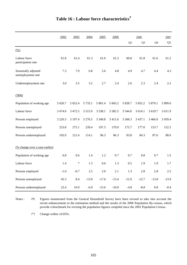|                                          | 2002        | 2003    | 2004       | 2005        | 2006      | 2006     |                |           | 2007      |  |
|------------------------------------------|-------------|---------|------------|-------------|-----------|----------|----------------|-----------|-----------|--|
|                                          |             |         |            |             |           | Q2       | Q <sub>3</sub> | Q4        | Q1        |  |
| $\frac{(0,0)}{2}$                        |             |         |            |             |           |          |                |           |           |  |
| Labour force<br>participation rate       | 61.8        | 61.4    | 61.3       | 61.0        | 61.3      | 60.8     | 61.8           | 61.6      | 61.2      |  |
| Seasonally adjusted<br>unemployment rate | 7.3         | 7.9     | 6.8        | 5.6         | 4.8       | 4.9      | 4.7            | 4.4       | 4.3       |  |
| Underemployment rate                     | 3.0         | 3.5     | 3.2        | 2.7         | 2.4       | 2.6      | 2.3            | 2.4       | 2.2       |  |
| (000)                                    |             |         |            |             |           |          |                |           |           |  |
| Population of working age                | 5 620.7     | 5 652.4 | 5 7 3 3.1  | 5 801.4     | 5 843.2   | 5 828.7  | 5 852.2        | 5 879.1   | 5 899.0   |  |
| Labour force                             | 3 4 7 4 .0  | 3 472.5 | 3515.9     | 3 5 3 8 .1  | 3 5 8 2.5 | 3 544.0  | 3 614.1        | 3 619.7   | 3 611.9   |  |
| Persons employed                         | 3 2 2 0 . 3 | 3 197.4 | 3 2 7 6 .5 | 3 3 4 0 . 8 | 3 4 1 1.6 | 3 3 68.3 | 3 4 3 7 . 1    | 3 4 6 6.0 | 3 4 5 9.4 |  |
| Persons unemployed                       | 253.8       | 275.1   | 239.4      | 197.3       | 170.9     | 175.7    | 177.0          | 153.7     | 152.5     |  |
| Persons underemployed                    | 103.9       | 121.4   | 114.1      | 96.3        | 86.3      | 93.8     | 84.3           | 87.6      | 80.6      |  |
| (% change over a year earlier)           |             |         |            |             |           |          |                |           |           |  |
| Population of working age                | 0.8         | 0.6     | 1.4        | 1.2         | 0.7       | 0.7      | 0.8            | 0.7       | 1.5       |  |
| Labour force                             | 1.4         | $\ast$  | 1.3        | 0.6         | 1.3       | 0.5      | 1.9            | 1.9       | 1.7       |  |
| Persons employed                         | $-1.0$      | $-0.7$  | 2.5        | 2.0         | 2.1       | 1.3      | 2.8            | 2.8       | 2.5       |  |
| Persons unemployed                       | 45.3        | 8.4     | $-13.0$    | $-17.6$     | $-13.4$   | $-12.9$  | $-12.7$        | $-13.8$   | $-13.9$   |  |
| Persons underemployed                    | 22.4        | 16.9    | $-6.0$     | $-15.6$     | $-10.0$   | $-4.8$   | $-8.8$         | $0.8\,$   | $-0.4$    |  |

Notes : (#) Figures enumerated from the General Household Survey have been revised to take into account the recent enhancements in the estimation method and the results of the 2006 Population By-census, which provide a benchmark for revising the population figures compiled since the 2001 Population Census.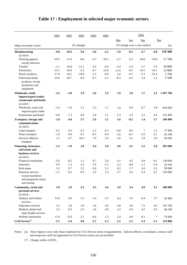|                                                                              | 2002    | 2003    | 2004       | 2005   | 2006    |         |        | 2006                           |         |           |
|------------------------------------------------------------------------------|---------|---------|------------|--------|---------|---------|--------|--------------------------------|---------|-----------|
|                                                                              |         |         |            |        |         | Mar     | Jun    | <b>Sep</b>                     |         | Dec       |
| Major economic sector                                                        |         |         | (% change) |        |         |         |        | (% change over a year earlier) |         | No.       |
| <b>Manufacturing</b>                                                         | $-9.0$  | $-10.3$ | $-3.0$     | $-2.0$ | $-2.5$  | $-1.0$  | $-0.5$ | $-3.7$                         | $-4.8$  | 159 300   |
| of which:                                                                    |         |         |            |        |         |         |        |                                |         |           |
| Wearing apparel,                                                             | $-19.3$ | $-11.6$ | $-0.8$     | $-4.7$ | $-10.5$ | $-3.7$  | 0.3    | $-18.6$                        | $-19.0$ | 17 700    |
| except footwear                                                              |         |         |            |        |         |         |        |                                |         |           |
| Textiles                                                                     | $-1.1$  | $-16.8$ | $-11.1$    | 0.5    | $-4.4$  | $-3.4$  | $-1.6$ | $-5.7$                         | $-7.0$  | 18 800    |
| Electronics                                                                  | $-13.1$ | $-18.9$ | $-2.3$     | $-4.7$ | $-12.9$ | $-11.9$ | $-9.5$ | $-14.1$                        | $-16.1$ | 12 000    |
| Plastic products                                                             | $-17.0$ | $-19.1$ | $-16.8$    | $-1.3$ | $-8.8$  | 2.6     | $-4.7$ | $-5.3$                         | $-25.4$ | 2700      |
| Fabricated metal                                                             | $-14.6$ | $-20.7$ | $-4.9$     | $-9.7$ | $-2.3$  | $-8.3$  | $-4.5$ | 3.4                            | 1.4     | 5 500     |
| products, except<br>machinery and<br>equipment                               |         |         |            |        |         |         |        |                                |         |           |
| Wholesale, retail,                                                           | $-2.3$  | $-3.0$  | 2.9        | 2.6    | 1.9     | 1.9     | 1.8    | 1.7                            | 2.3     | 1 047 700 |
| import/export trades,<br>restaurants and hotels<br>of which:                 |         |         |            |        |         |         |        |                                |         |           |
| Wholesale, retail and<br>import/export trades                                | $-1.6$  | $-1.9$  | 2.1        | 2.3    | 1.1     | 1.0     | 0.9    | 0.7                            | 1.8     | 816 000   |
| Restaurants and hotels                                                       | $-4.8$  | $-7.3$  | 6.0        | 3.6    | 5.1     | 5.3     | 5.3    | 5.5                            | 4.3     | 231 800   |
| <b>Transport, storage and</b>                                                | $-1.8$  | $-4.4$  | 3.7        | 2.6    | 1.1     | 1.6     | $-0.2$ | 1.4                            | 1.7     | 186 900   |
| communications<br>of which:                                                  |         |         |            |        |         |         |        |                                |         |           |
| Land transport                                                               | $-0.3$  | 0.5     | $-2.2$     | $-1.5$ | 0.3     | $-0.6$  | 0.6    | $\ast$                         | 1.2     | 37 900    |
| Water transport                                                              | 1.0     | $-3.6$  | 0.1        | $-0.3$ | $-4.4$  | $-3.6$  | $-8.1$ | $-3.5$                         | $-2.1$  | 26 100    |
| Services allied to                                                           | 1.1     | $-3.7$  | 10.3       | 7.9    | 3.4     | 3.6     | 3.2    | 3.9                            | 2.9     | 64 500    |
| transport                                                                    |         |         |            |        |         |         |        |                                |         |           |
| Financing, insurance,<br>real estate and<br>business services<br>of which:   | $-1.3$  | $-1.9$  | 3.6        | 4.4    | 5.0     | 4.6     | 4.1    | 5.5                            | 5.8     | 491 600   |
| Financial institutions                                                       | $-5.6$  | $-6.5$  | 1.1        | 4.7    | 5.9     | 4.1     | 4.5    | 6.8                            | 8.1     | 138 600   |
| Insurance                                                                    | 0.3     | 1.2     | 2.4        | 5.9    | $-1.2$  | 2.3     | $-4.8$ | $-1.1$                         | $-1.0$  | 29 100    |
| Real estate                                                                  | 5.2     | 0.7     | 2.2        | 6.8    | 5.3     | 8.2     | 5.7    | 4.0                            | 3.2     | 99 000    |
| Business services<br>except machinery<br>and equipment rental<br>and leasing | $-1.2$  | $-0.2$  | 6.0        | 2.9    | 5.3     | 3.7     | 4.5    | 6.4                            | 6.7     | 224 000   |
| Community, social and<br>personal services                                   | 5.9     | 2.9     | 3.2        | 4.5    | 3.6     | 3.9     | 3.4    | 4.0                            | 3.1     | 460 800   |
| of which:<br>Sanitary and similar<br>services                                | 13.8    | 6.0     | 1.5        | 2.4    | 2.5     | 4.4     | 1.6    | 0.4                            | 3.7     | 60 400    |
| <b>Education</b> services                                                    | 2.5     | 2.9     | 1.8        | 1.8    | 4.9     | 4.0     | 3.6    | 7.5                            | 4.5     | 141 700   |
| Medical, dental and<br>other health services                                 | 3.2     | $-0.3$  | $2.5\,$    | 1.6    | 4.0     | 2.5     | 4.4    | 4.5                            | 4.5     | $80\,700$ |
| Welfare institutions                                                         | 11.9    | 13.9    | 2.1        | $-0.4$ | 1.5     | 2.4     | 4.0    | $-0.1$                         | $\ast$  | 53 600    |
| Civil Service <sup>(a)</sup>                                                 | $-3.7$  | $-2.4$  | $-3.8$     | $-2.7$ | $-1.3$  | $-1.5$  | $-1.5$ | $-1.4$                         | $-1.1$  | 153 800   |

# **Table 17 : Employment in selected major economic sectors**

Notes : (a) These figures cover only those employed on Civil Service terms of appointment. Judicial officers, consultants, contract staff and temporary staff not appointed on Civil Service terms are not included.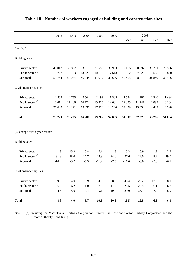|                                       | 2002    | 2003    | 2004    | 2005    | 2006    |         | 2006     |         |         |  |
|---------------------------------------|---------|---------|---------|---------|---------|---------|----------|---------|---------|--|
|                                       |         |         |         |         |         | Mar     | Jun      | Sep     | Dec     |  |
| (number)                              |         |         |         |         |         |         |          |         |         |  |
| <b>Building</b> sites                 |         |         |         |         |         |         |          |         |         |  |
| Private sector                        | 40 017  | 33 892  | 33 619  | 31 556  | 30 993  | 32 156  | 30 997   | 31 261  | 29 55 6 |  |
| Public sector <sup>(a)</sup>          | 11 727  | 16 183  | 13 3 25 | 10 135  | 7643    | 8 3 1 2 | 7822     | 7588    | 6850    |  |
| Sub-total                             | 51 744  | 50 074  | 46 944  | 41 690  | 38 636  | 40 4 68 | 38 819   | 38 849  | 36 40 6 |  |
| Civil engineering sites               |         |         |         |         |         |         |          |         |         |  |
| Private sector                        | 2869    | 2755    | 2564    | 2 1 9 8 | 1569    | 1594    | 1707     | 1 5 4 0 | 1 4 3 4 |  |
| Public sector <sup>(a)</sup>          | 18 611  | 17466   | 16772   | 15 378  | 12 661  | 12 8 35 | 11 747   | 12 897  | 13 164  |  |
| Sub-total                             | 21 480  | 20 221  | 19 3 36 | 17576   | 14 2 30 | 14 4 29 | 13 4 5 4 | 14 4 37 | 14 5 98 |  |
| <b>Total</b>                          | 73 223  | 70 295  | 66 280  | 59 266  | 52 865  | 54 897  | 52 273   | 53 286  | 51 004  |  |
| <u>(% change over a year earlier)</u> |         |         |         |         |         |         |          |         |         |  |
| <b>Building</b> sites                 |         |         |         |         |         |         |          |         |         |  |
| Private sector                        | $-1.3$  | $-15.3$ | $-0.8$  | $-6.1$  | $-1.8$  | $-5.3$  | $-0.9$   | 1.9     | $-2.5$  |  |
| Public sector <sup>(a)</sup>          | $-31.8$ | 38.0    | $-17.7$ | $-23.9$ | $-24.6$ | $-27.6$ | $-22.0$  | $-28.2$ | $-19.0$ |  |
| Sub-total                             | $-10.4$ | $-3.2$  | $-6.3$  | $-11.2$ | $-7.3$  | $-11.0$ | $-6.0$   | $-5.8$  | $-6.1$  |  |
| Civil engineering sites               |         |         |         |         |         |         |          |         |         |  |
| Private sector                        | 9.0     | $-4.0$  | $-6.9$  | $-14.3$ | $-28.6$ | $-48.4$ | $-25.2$  | $-17.2$ | $-8.1$  |  |
| Public sector <sup>(a)</sup>          | $-6.6$  | $-6.2$  | $-4.0$  | $-8.3$  | $-17.7$ | $-25.5$ | $-28.5$  | $-6.1$  | $-6.8$  |  |
| Sub-total                             | $-4.8$  | $-5.9$  | $-4.4$  | $-9.1$  | $-19.0$ | $-29.0$ | $-28.1$  | $-7.4$  | $-6.9$  |  |
| <b>Total</b>                          | $-8.8$  | $-4.0$  | $-5.7$  | $-10.6$ | $-10.8$ | $-16.5$ | $-12.9$  | $-6.3$  | $-6.3$  |  |

# **Table 18 : Number of workers engaged at building and construction sites**

Note : (a) Including the Mass Transit Railway Corporation Limited, the Kowloon-Canton Railway Corporation and the Airport Authority Hong Kong.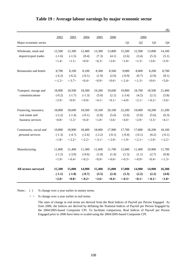|                        |           |                 |            |           |            |           |                 |                | $(\$)$   |
|------------------------|-----------|-----------------|------------|-----------|------------|-----------|-----------------|----------------|----------|
|                        | 2002      | 2003            | 2004       | 2005      | 2006       |           | 2006            |                |          |
| Major economic sector  |           |                 |            |           |            | Q1        | Q <sub>2</sub>  | Q <sub>3</sub> | Q4       |
| Wholesale, retail and  | 12,500    | 12,300          | 12,400     | 13,300    | 13,800     | 15,500    | 12,500          | 13,000         | 14,100   |
| import/export trades   | $(-1.6)$  | $(-1.5)$        | (0.4)      | (7.3)     | (4.1)      | (2.6)     | (3.4)           | (5.3)          | (5.1)    |
|                        | <1.4>     | <1.1>           | <0.9>      | <6.3>     | <2.0>      | <1.0>     | <1.3>           | <3.0>          | <2.9>    |
| Restaurants and hotels | 8,700     | 8,100           | 8,100      | 8,300     | 8,500      | 9,000     | 8,000           | 8,200          | 8,700    |
|                        | $(-4.2)$  | $(-6.2)$        | $(-0.1)$   | (1.9)     | (2.6)      | $(-0.9)$  | (0.7)           | (2.9)          | (8.1)    |
|                        | $< -1.2>$ | $< -3.7>$       | <0.4>      | <0.9>     | <0.6       | $< -2.4>$ | $< -1.3>$       | <0.6           | < 5.8>   |
| Transport, storage and | 18,900    | 18,500          | 18,300     | 19,200    | 19,600     | 19,800    | 18,700          | 18,500         | 21,400   |
| communications         | $(-0.2)$  | $(-1.7)$        | $(-1.3)$   | (5.0)     | (2.1)      | $(-3.4)$  | (4.2)           | (2.1)          | (5.8)    |
|                        | <2.9>     | $<\!\!0.9\!\!>$ | $< -0.9 >$ | <4.1>     | <0.1>      | $< -4.9>$ | <2.1>           | $<-0.2>$       | <3.6>    |
| Financing, insurance,  | 18,800    | 18,600          | 18,500     | 19,100    | 20,100     | 22,200    | 19,000          | 18,200         | 21,200   |
| real estate and        | $(-2.2)$  | $(-1.4)$        | $(-0.1)$   | (2.8)     | (5.6)      | (5.6)     | (5.0)           | (5.6)          | (6.3)    |
| business services      | <0.8>     | <1.2>           | <0.4>      | <1.8>     | <3.6>      | <4.0>     | <2.9>           | <3.3>          | <4.1>    |
| Community, social and  | 19,800    | 18,900          | 18,400     | 18,000    | 17,900     | 17,700    | 17,800          | 18,200         | 18,100   |
| personal services      | $(-1.3)$  | $(-4.7)$        | $(-2.6)$   | $(-2.2)$  | $(-0.1)$   | $(-0.4)$  | $(-0.1)$        | (0.2)          | $(-0.1)$ |
|                        | <1.8>     | $< -2.2>$       | $< -2.2>$  | $< -3.1>$ | $< -2.0>$  | <1.9>     | $<-2.1>$        | $<-2.0>$       | $<-2.2>$ |
| Manufacturing          | 11,800    | 11,400          | 11,300     | 11,600    | 11,700     | 12,900    | 11,400          | 10,900         | 11,700   |
|                        | $(-1.2)$  | $(-3.0)$        | $(-0.6)$   | (1.8)     | (1.4)      | (1.3)     | (1.1)           | (2.7)          | (0.8)    |
|                        | <1.9>     | $< -0.4>$       | $<-0.2>$   | <0.9>     | $< -0.6 >$ | $<-0.3>$  | $< -0.9 >$      | <0.4>          | $<-1.3>$ |
| All sectors surveyed   | 15,300    | 15,000          | 14,900     | 15,400    | 15,800     | 17,000    | 14,900          | 14,900         | 16,300   |
|                        | $(-1.1)$  | $(-1.8)$        | $(-0.7)$   | (3.5)     | (2.4)      | (1.3)     | (2.2)           | (2.2)          | (4.0)    |
|                        | <2.0>     | <0.8>           | $<-0.2>$   | <2.6>     | <0.4>      | $<-0.3>$  | $<\!\!0.1\!\!>$ | $<-0.1>$       | <1.8>    |

### **Table 19 : Average labour earnings by major economic sector**

Notes : ( ) % change over a year earlier in money terms.

< > % change over a year earlier in real terms.

The rates of change in real terms are derived from the Real Indices of Payroll per Person Engaged. As from 2006, the Indices are derived by deflating the Nominal Indices of Payroll per Person Engaged by the 2004/2005-based Composite CPI. To facilitate comparison, Real Indices of Payroll per Person Engaged prior to 2006 have been re-scaled using the 2004/2005-based Composite CPI.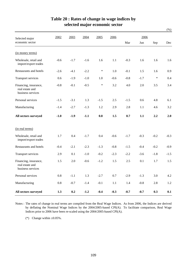|                                                               |         |        |        |        |         |         |        |         | $(\% )$ |
|---------------------------------------------------------------|---------|--------|--------|--------|---------|---------|--------|---------|---------|
| Selected major                                                | 2002    | 2003   | 2004   | 2005   | 2006    |         | 2006   |         |         |
| economic sector                                               |         |        |        |        |         | Mar     | Jun    | Sep     | Dec     |
| (in money terms)                                              |         |        |        |        |         |         |        |         |         |
| Wholesale, retail and<br>import/export trades                 | $-0.6$  | $-1.7$ | $-1.6$ | 1.6    | 1.1     | $-0.3$  | 1.6    | 1.6     | 1.6     |
| Restaurants and hotels                                        | $-2.6$  | $-4.1$ | $-2.2$ | $\ast$ | 1.0     | $-0.1$  | 1.5    | 1.6     | 0.9     |
| Transport services                                            | 0.6     | $-1.9$ | $-1.0$ | 1.0    | $-0.6$  | $-0.8$  | $-1.7$ | $\ast$  | 0.4     |
| Financing, insurance,<br>real estate and<br>business services | $-0.8$  | $-0.1$ | $-0.5$ | $\ast$ | 3.2     | 4.0     | 2.0    | 3.5     | 3.4     |
| Personal services                                             | $-1.5$  | $-3.1$ | 1.3    | $-1.5$ | 2.5     | $-1.5$  | 0.6    | 4.8     | 6.1     |
| Manufacturing                                                 | $-1.4$  | $-2.7$ | $-1.3$ | 1.2    | 2.9     | 2.8     | 1.1    | 4.6     | 3.2     |
| All sectors surveyed                                          | $-1.0$  | $-1.9$ | $-1.1$ | 0.8    | 1.5     | 0.7     | 1.1    | 2.2     | 2.0     |
| (in real terms)                                               |         |        |        |        |         |         |        |         |         |
| Wholesale, retail and<br>import/export trades                 | 1.7     | 0.4    | $-1.7$ | 0.4    | $-0.6$  | $-1.7$  | $-0.3$ | $-0.2$  | $-0.3$  |
| Restaurants and hotels                                        | $-0.4$  | $-2.1$ | $-2.3$ | $-1.3$ | $-0.8$  | $-1.5$  | $-0.4$ | $-0.2$  | $-0.9$  |
| Transport services                                            | 2.9     | 0.1    | $-1.0$ | $-0.2$ | $-2.3$  | $-2.2$  | $-3.6$ | $-1.8$  | $-1.5$  |
| Financing, insurance,<br>real estate and<br>business services | 1.5     | 2.0    | $-0.6$ | $-1.2$ | 1.5     | 2.5     | 0.1    | 1.7     | 1.5     |
| Personal services                                             | $0.8\,$ | $-1.1$ | 1.3    | $-2.7$ | $0.7\,$ | $-2.9$  | $-1.3$ | $3.0\,$ | $4.2\,$ |
| Manufacturing                                                 | $0.8\,$ | $-0.7$ | $-1.4$ | $-0.1$ | $1.1\,$ | $1.4\,$ | $-0.8$ | $2.8\,$ | $1.2\,$ |
| All sectors surveyed                                          | 1.3     | 0.2    | $-1.2$ | $-0.4$ | $-0.3$  | $-0.7$  | $-0.7$ | 0.3     | 0.1     |

## **Table 20 : Rates of change in wage indices by selected major economic sector**

Notes : The rates of change in real terms are compiled from the Real Wage Indices. As from 2006, the Indices are derived by deflating the Nominal Wage Indices by the 2004/2005-based CPI(A). To facilitate comparison, Real Wage Indices prior to 2006 have been re-scaled using the 2004/2005-based CPI(A).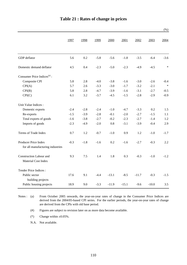|                                                          |        |        |        |         |         |         |         | (% )   |
|----------------------------------------------------------|--------|--------|--------|---------|---------|---------|---------|--------|
|                                                          | 1997   | 1998   | 1999   | 2000    | 2001    | 2002    | 2003    | 2004   |
| GDP deflator                                             | 5.6    | 0.2    | $-5.8$ | $-5.6$  | $-1.8$  | $-3.5$  | $-6.4$  | $-3.6$ |
| Domestic demand deflator                                 | 4.5    | 0.4    | $-2.3$ | $-5.0$  | $-2.3$  | $-4.9$  | $-4.5$  | $\ast$ |
| Consumer Price Indices <sup>(a)</sup> :                  |        |        |        |         |         |         |         |        |
| Composite CPI                                            | 5.8    | 2.8    | $-4.0$ | $-3.8$  | $-1.6$  | $-3.0$  | $-2.6$  | $-0.4$ |
| CPI(A)                                                   | 5.7    | 2.6    | $-3.3$ | $-3.0$  | $-1.7$  | $-3.2$  | $-2.1$  | $\ast$ |
| CPI(B)                                                   | 5.8    | 2.8    | $-4.7$ | $-3.9$  | $-1.6$  | $-3.1$  | $-2.7$  | $-0.5$ |
| CPI(C)                                                   | 6.1    | 3.2    | $-3.7$ | $-4.5$  | $-1.5$  | $-2.8$  | $-2.9$  | $-0.9$ |
| Unit Value Indices :                                     |        |        |        |         |         |         |         |        |
| Domestic exports                                         | $-2.4$ | $-2.8$ | $-2.4$ | $-1.0$  | $-4.7$  | $-3.3$  | 0.2     | 1.5    |
| Re-exports                                               | $-1.5$ | $-3.9$ | $-2.8$ | $-0.1$  | $-2.0$  | $-2.7$  | $-1.5$  | 1.1    |
| Total exports of goods                                   | $-1.6$ | $-3.8$ | $-2.7$ | $-0.2$  | $-2.3$  | $-2.7$  | $-1.4$  | 1.2    |
| Imports of goods                                         | $-2.3$ | $-4.9$ | $-2.0$ | $0.8\,$ | $-3.1$  | $-3.9$  | $-0.4$  | 2.9    |
| Terms of Trade Index                                     | 0.7    | 1.2    | $-0.7$ | $-1.0$  | 0.9     | 1.2     | $-1.0$  | $-1.7$ |
| Producer Price Index<br>for all manufacturing industries | $-0.3$ | $-1.8$ | $-1.6$ | 0.2     | $-1.6$  | $-2.7$  | $-0.3$  | 2.2    |
| <b>Construction Labour and</b><br>Material Cost Index    | 9.3    | 7.5    | 1.4    | 1.8     | 0.3     | $-0.3$  | $-1.0$  | $-1.2$ |
| Tender Price Indices:                                    |        |        |        |         |         |         |         |        |
| Public sector<br>building projects                       | 17.6   | 9.1    | $-4.4$ | $-13.1$ | $-8.5$  | $-11.7$ | $-0.3$  | $-1.5$ |
| Public housing projects                                  | 18.9   | 9.0    | $-3.3$ | $-11.9$ | $-15.1$ | $-9.6$  | $-10.0$ | 3.5    |

Notes : (a) From October 2005 onwards, the year-on-year rates of change in the Consumer Price Indices are derived from the 2004/05-based CPI series. For the earlier periods, the year-on-year rates of change are derived from the CPIs with old base period.

(#) Figures are subject to revision later on as more data become available.

(\*) Change within  $\pm 0.05\%$ .

N.A. Not available.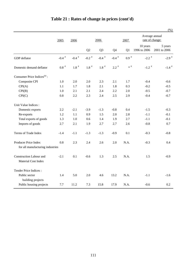|                                                          |                    |               |                |                |               |               |                                   | (% )                    |
|----------------------------------------------------------|--------------------|---------------|----------------|----------------|---------------|---------------|-----------------------------------|-------------------------|
|                                                          | 2005               | 2006          |                | 2006           |               | 2007          | Average annual<br>rate of change: |                         |
|                                                          |                    |               | Q <sub>2</sub> | Q <sub>3</sub> | Q4            | Q1            | 10 years<br>1996 to 2006          | 5 years<br>2001 to 2006 |
| GDP deflator                                             | -0.4 $^\#$         | -0.4 $^\#$    | -0.2 $^\#$     | -0.4 $^\#$     | -0.4 $^\#$    | $0.9$ $^{\#}$ | $-2.2$ <sup>#</sup>               | $-2.9$ <sup>#</sup>     |
| Domestic demand deflator                                 | $0.8$ <sup>#</sup> | $1.8$ $^{\#}$ | $1.8$ $^{\#}$  | $1.8$ $^{\#}$  | $2.2$ $^{\#}$ | $\ast$ #      | $-1.2$ <sup>#</sup>               | -1.4 $^\#$              |
| Consumer Price Indices <sup>(a)</sup> :                  |                    |               |                |                |               |               |                                   |                         |
| Composite CPI                                            | 1.0                | 2.0           | 2.0            | 2.3            | 2.1           | 1.7           | $-0.4$                            | $-0.6$                  |
| CPI(A)                                                   | 1.1                | 1.7           | 1.8            | 2.1            | 1.8           | 0.3           | $-0.2$                            | $-0.5$                  |
| CPI(B)                                                   | 1.0                | 2.1           | 2.1            | 2.4            | 2.2           | 2.0           | $-0.5$                            | $-0.7$                  |
| CPI(C)                                                   | 0.8                | 2.2           | 2.3            | 2.4            | 2.5           | 2.9           | $-0.4$                            | $-0.7$                  |
| Unit Value Indices :                                     |                    |               |                |                |               |               |                                   |                         |
| Domestic exports                                         | 2.2                | $-2.1$        | $-3.9$         | $-1.3$         | $-0.8$        | 0.4           | $-1.5$                            | $-0.3$                  |
| Re-exports                                               | 1.2                | 1.1           | 0.9            | 1.5            | 2.0           | 2.8           | $-1.1$                            | $-0.1$                  |
| Total exports of goods                                   | 1.3                | 1.0           | 0.6            | 1.4            | 1.9           | 2.7           | $-1.1$                            | $-0.1$                  |
| Imports of goods                                         | 2.7                | 2.1           | 1.9            | 2.7            | 2.7           | 2.6           | $-0.8$                            | 0.7                     |
| Terms of Trade Index                                     | $-1.4$             | $-1.1$        | $-1.3$         | $-1.3$         | $-0.9$        | 0.1           | $-0.3$                            | $-0.8$                  |
| Producer Price Index<br>for all manufacturing industries | 0.8                | 2.3           | 2.4            | 2.6            | 2.0           | N.A.          | $-0.3$                            | 0.4                     |
|                                                          |                    |               |                |                |               |               |                                   |                         |
| <b>Construction Labour and</b><br>Material Cost Index    | $-2.1$             | 0.1           | $-0.6$         | 1.3            | 2.5           | N.A.          | 1.5                               | $-0.9$                  |
| Tender Price Indices:                                    |                    |               |                |                |               |               |                                   |                         |
| Public sector<br>building projects                       | 1.4                | 5.0           | 2.0            | 4.6            | 13.2          | N.A.          | $-1.1$                            | $-1.6$                  |
| Public housing projects                                  | 7.7                | 11.2          | 7.3            | 15.8           | 17.9          | N.A.          | $-0.6$                            | 0.2                     |

# **Table 21 : Rates of change in prices (cont'd)**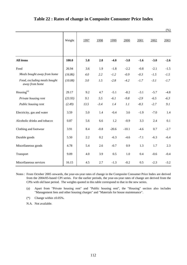|                                                |         |      |        |         |         |        |        | $(\%)$ |
|------------------------------------------------|---------|------|--------|---------|---------|--------|--------|--------|
|                                                | Weight  | 1997 | 1998   | 1999    | 2000    | 2001   | 2002   | 2003   |
| All items                                      | 100.0   | 5.8  | 2.8    | $-4.0$  | $-3.8$  | $-1.6$ | $-3.0$ | $-2.6$ |
| Food                                           | 26.94   | 3.6  | 1.9    | $-1.8$  | $-2.2$  | $-0.8$ | $-2.1$ | $-1.5$ |
| Meals bought away from home                    | (16.86) | 4.0  | 2.2    | $-1.2$  | $-0.9$  | $-0.3$ | $-1.5$ | $-1.5$ |
| Food, excluding meals bought<br>away from home | (10.08) | 3.0  | 1.5    | $-2.8$  | $-4.2$  | $-1.7$ | $-3.1$ | $-1.7$ |
| Housing <sup>(a)</sup>                         | 29.17   | 9.2  | 4.7    | $-5.1$  | $-8.2$  | $-3.1$ | $-5.7$ | $-4.8$ |
| Private housing rent                           | (23.93) | 9.1  | 5.5    | $-6.1$  | $-9.8$  | $-2.9$ | $-6.5$ | $-6.3$ |
| Public housing rent                            | (2.49)  | 13.5 | $-3.4$ | 1.4     | 1.1     | $-8.3$ | $-2.7$ | 9.1    |
| Electricity, gas and water                     | 3.59    | 5.0  | 1.4    | $-0.4$  | 3.6     | $-1.9$ | $-7.0$ | 1.4    |
| Alcoholic drinks and tobacco                   | 0.87    | 5.6  | 6.6    | 1.2     | $-0.9$  | 3.3    | 2.4    | 0.1    |
| Clothing and footwear                          | 3.91    | 8.4  | $-0.8$ | $-20.6$ | $-10.1$ | $-4.6$ | 0.7    | $-2.7$ |
| Durable goods                                  | 5.50    | 2.2  | 0.2    | $-6.3$  | $-4.6$  | $-7.1$ | $-6.3$ | $-6.4$ |
| Miscellaneous goods                            | 4.78    | 5.4  | 2.6    | $-0.7$  | 0.9     | 1.3    | 1.7    | 2.3    |
| Transport                                      | 9.09    | 4.0  | 3.9    | 0.5     | 1.0     | 0.4    | $-0.6$ | $-0.4$ |
| Miscellaneous services                         | 16.15   | 4.5  | 2.7    | $-1.3$  | $-0.2$  | 0.5    | $-2.3$ | $-3.2$ |

### **Table 22 : Rates of change in Composite Consumer Price Index**

Notes : From October 2005 onwards, the year-on-year rates of change in the Composite Consumer Price Index are derived from the 2004/05-based CPI series. For the earlier periods, the year-on-year rates of change are derived from the CPIs with old base period. The weights quoted in this table correspond to that in the new series.

(a) Apart from "Private housing rent" and "Public housing rent", the "Housing" section also includes "Management fees and other housing charges" and "Materials for house maintenance".

(\*) Change within  $\pm 0.05\%$ .

N.A. Not available.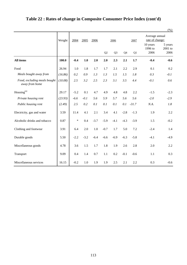|                                                |         |        |        |        |        |                |        |         |                                   | $(\%)$                       |
|------------------------------------------------|---------|--------|--------|--------|--------|----------------|--------|---------|-----------------------------------|------------------------------|
|                                                | Weight  | 2004   | 2005   | 2006   |        | 2006           |        | 2007    | Average annual<br>rate of change: |                              |
|                                                |         |        |        |        | Q2     | Q <sub>3</sub> | Q4     | Q1      | 10 years<br>1996 to<br>2006       | 5 years<br>$2001$ to<br>2006 |
| <b>All items</b>                               | 100.0   | $-0.4$ | 1.0    | 2.0    | 2.0    | 2.3            | 2.1    | 1.7     | $-0.4$                            | $-0.6$                       |
| Food                                           | 26.94   | 1.0    | 1.8    | 1.7    | 1.7    | 2.1            | 2.2    | 2.9     | 0.1                               | 0.2                          |
| Meals bought away from                         | (16.86) | 0.2    | 0.9    | 1.3    | 1.3    | 1.5            | 1.5    | 1.8     | 0.3                               | $-0.1$                       |
| Food, excluding meals bought<br>away from home | (10.08) | 2.5    | 3.2    | 2.5    | 2.3    | 3.1            | 3.5    | 4.4     | $-0.1$                            | 0.6                          |
| $\mathop{\rm Housing}\nolimits^{\rm (a)}$      | 29.17   | $-5.2$ | 0.1    | 4.7    | 4.9    | 4.8            | 4.8    | 2.2     | $-1.5$                            | $-2.3$                       |
| Private housing rent                           | (23.93) | $-6.6$ | $-0.1$ | 5.6    | 5.9    | 5.7            | 5.6    | 5.6     | $-2.0$                            | $-2.9$                       |
| Public housing rent                            | (2.49)  | 2.5    | 0.2    | 0.1    | 0.1    | 0.1            | 0.1    | $-31.7$ | N.A.                              | 1.8                          |
| Electricity, gas and water                     | 3.59    | 11.4   | 4.1    | 2.1    | 3.4    | 4.1            | $-2.8$ | $-1.3$  | 1.9                               | 2.2                          |
| Alcoholic drinks and tobacco                   | 0.87    | $\ast$ | 0.4    | $-3.7$ | $-5.9$ | $-4.1$         | $-4.3$ | $-3.9$  | 1.5                               | $-0.2$                       |
| Clothing and footwear                          | 3.91    | 6.4    | 2.0    | 1.0    | $-0.7$ | 1.7            | 5.0    | 7.2     | $-2.4$                            | 1.4                          |
| Durable goods                                  | 5.50    | $-2.2$ | $-3.2$ | $-6.4$ | $-6.6$ | $-6.9$         | $-6.3$ | $-5.8$  | $-4.1$                            | $-4.9$                       |
| Miscellaneous goods                            | 4.78    | 3.6    | 1.5    | 1.7    | 1.8    | 1.9            | 2.6    | 2.8     | 2.0                               | 2.2                          |
| Transport                                      | 9.09    | 0.4    | 1.4    | 0.7    | 1.1    | 0.2            | $-0.1$ | $-0.6$  | 1.1                               | 0.3                          |
| Miscellaneous services                         | 16.15   | $-0.2$ | 1.0    | 1.9    | 1.9    | 2.5            | 2.1    | 2.2     | 0.3                               | $-0.6$                       |

# **Table 22 : Rates of change in Composite Consumer Price Index (cont'd)**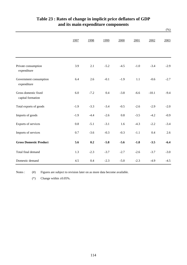|                                           |         |        |        |         |        |         | $(\%)$ |
|-------------------------------------------|---------|--------|--------|---------|--------|---------|--------|
|                                           | 1997    | 1998   | 1999   | 2000    | 2001   | 2002    | 2003   |
| Private consumption<br>expenditure        | 3.9     | 2.1    | $-5.2$ | $-4.5$  | $-1.0$ | $-3.4$  | $-2.9$ |
| Government consumption<br>expenditure     | 6.4     | 2.6    | $-0.1$ | $-1.9$  | 1.1    | $-0.6$  | $-2.7$ |
| Gross domestic fixed<br>capital formation | 6.0     | $-7.2$ | 0.4    | $-3.8$  | $-6.6$ | $-10.1$ | $-9.4$ |
| Total exports of goods                    | $-1.9$  | $-3.3$ | $-3.4$ | $-0.5$  | $-2.6$ | $-2.9$  | $-2.0$ |
| Imports of goods                          | $-1.9$  | $-4.4$ | $-2.6$ | $0.8\,$ | $-3.5$ | $-4.2$  | $-0.9$ |
| Exports of services                       | $0.8\,$ | $-5.1$ | $-3.1$ | 1.6     | $-4.3$ | $-2.2$  | $-3.4$ |
| Imports of services                       | 0.7     | $-3.6$ | $-0.3$ | $-0.3$  | $-1.1$ | 0.4     | 2.6    |
| <b>Gross Domestic Product</b>             | 5.6     | 0.2    | $-5.8$ | $-5.6$  | $-1.8$ | $-3.5$  | $-6.4$ |
| Total final demand                        | 1.3     | $-2.3$ | $-3.7$ | $-2.7$  | $-2.6$ | $-3.7$  | $-3.0$ |
| Domestic demand                           | 4.5     | 0.4    | $-2.3$ | $-5.0$  | $-2.3$ | $-4.9$  | $-4.5$ |

# **and its main expenditure components Table 23 : Rates of change in implicit price deflators of GDP**

Notes :  $(#)$ Figures are subject to revision later on as more data become available.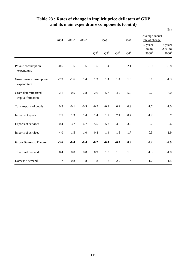|                                           |        |         |                     |                           |           |           |                    |                                          | $(\%)$                                    |
|-------------------------------------------|--------|---------|---------------------|---------------------------|-----------|-----------|--------------------|------------------------------------------|-------------------------------------------|
|                                           | 2004   | $2005*$ | $2006$ <sup>*</sup> | 2006                      |           |           | 2007               | Average annual<br>rate of change:        |                                           |
|                                           |        |         |                     | $\mathrm{Q2}^{\text{\#}}$ | $Q3^{\#}$ | $Q4^{\#}$ | $\mathrm{Q1}^{\#}$ | 10 years<br>1996 to<br>$2006^{\text{*}}$ | 5 years<br>2001 to<br>$2006$ <sup>#</sup> |
| Private consumption<br>expenditure        | $-0.5$ | 1.5     | 1.6                 | 1.5                       | 1.4       | 1.5       | 2.1                | $-0.9$                                   | $-0.8$                                    |
| Government consumption<br>expenditure     | $-2.9$ | $-1.6$  | 1.4                 | 1.3                       | 1.4       | 1.4       | 1.6                | 0.1                                      | $-1.3$                                    |
| Gross domestic fixed<br>capital formation | 2.1    | 0.5     | 2.8                 | 2.6                       | 5.7       | 4.2       | $-5.9$             | $-2.7$                                   | $-3.0$                                    |
| Total exports of goods                    | 0.5    | $-0.1$  | $-0.5$              | $-0.7$                    | $-0.4$    | 0.2       | 0.9                | $-1.7$                                   | $-1.0$                                    |
| Imports of goods                          | 2.5    | 1.3     | 1.4                 | 1.4                       | 1.7       | 2.1       | 0.7                | $-1.2$                                   | $\ast$                                    |
| Exports of services                       | 0.4    | 3.7     | 4.7                 | 5.5                       | 5.2       | 3.5       | 3.0                | $-0.7$                                   | 0.6                                       |
| Imports of services                       | 4.0    | 1.5     | 1.0                 | 0.8                       | 1.4       | 1.8       | 1.7                | 0.5                                      | 1.9                                       |
| <b>Gross Domestic Product</b>             | $-3.6$ | $-0.4$  | $-0.4$              | $-0.2$                    | $-0.4$    | $-0.4$    | 0.9                | $-2.2$                                   | $-2.9$                                    |
| Total final demand                        | 0.4    | $0.8\,$ | $0.8\,$             | 0.9                       | $1.0\,$   | 1.3       | $1.0\,$            | $-1.5$                                   | $-1.0$                                    |
| Domestic demand                           | $\ast$ | 0.8     | 1.8                 | 1.8                       | 1.8       | 2.2       | $\ast$             | $-1.2$                                   | $-1.4$                                    |

## **Table 23 : Rates of change in implicit price deflators of GDP and its main expenditure components (cont'd)**